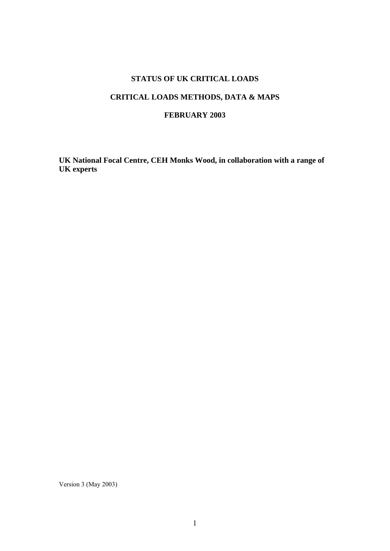### **STATUS OF UK CRITICAL LOADS**

# **CRITICAL LOADS METHODS, DATA & MAPS**

### **FEBRUARY 2003**

**UK National Focal Centre, CEH Monks Wood, in collaboration with a range of UK experts** 

Version 3 (May 2003)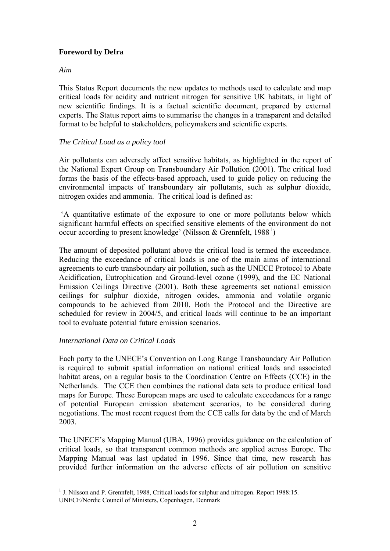# **Foreword by Defra**

#### *Aim*

This Status Report documents the new updates to methods used to calculate and map critical loads for acidity and nutrient nitrogen for sensitive UK habitats, in light of new scientific findings. It is a factual scientific document, prepared by external experts. The Status report aims to summarise the changes in a transparent and detailed format to be helpful to stakeholders, policymakers and scientific experts.

### *The Critical Load as a policy tool*

Air pollutants can adversely affect sensitive habitats, as highlighted in the report of the National Expert Group on Transboundary Air Pollution (2001). The critical load forms the basis of the effects-based approach, used to guide policy on reducing the environmental impacts of transboundary air pollutants, such as sulphur dioxide, nitrogen oxides and ammonia. The critical load is defined as:

 'A quantitative estimate of the exposure to one or more pollutants below which significant harmful effects on specified sensitive elements of the environment do not occur according to present knowledge' (Nilsson & Grennfelt,  $1988^1$  $1988^1$ )

The amount of deposited pollutant above the critical load is termed the exceedance. Reducing the exceedance of critical loads is one of the main aims of international agreements to curb transboundary air pollution, such as the UNECE Protocol to Abate Acidification, Eutrophication and Ground-level ozone (1999), and the EC National Emission Ceilings Directive (2001). Both these agreements set national emission ceilings for sulphur dioxide, nitrogen oxides, ammonia and volatile organic compounds to be achieved from 2010. Both the Protocol and the Directive are scheduled for review in 2004/5, and critical loads will continue to be an important tool to evaluate potential future emission scenarios.

### *International Data on Critical Loads*

Each party to the UNECE's Convention on Long Range Transboundary Air Pollution is required to submit spatial information on national critical loads and associated habitat areas, on a regular basis to the Coordination Centre on Effects (CCE) in the Netherlands. The CCE then combines the national data sets to produce critical load maps for Europe. These European maps are used to calculate exceedances for a range of potential European emission abatement scenarios, to be considered during negotiations. The most recent request from the CCE calls for data by the end of March 2003.

The UNECE's Mapping Manual (UBA, 1996) provides guidance on the calculation of critical loads, so that transparent common methods are applied across Europe. The Mapping Manual was last updated in 1996. Since that time, new research has provided further information on the adverse effects of air pollution on sensitive

<span id="page-1-0"></span><sup>&</sup>lt;u>.</u> <sup>1</sup> J. Nilsson and P. Grennfelt, 1988, Critical loads for sulphur and nitrogen. Report 1988:15. UNECE/Nordic Council of Ministers, Copenhagen, Denmark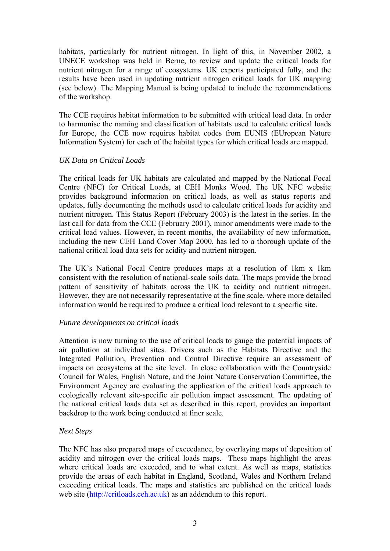habitats, particularly for nutrient nitrogen. In light of this, in November 2002, a UNECE workshop was held in Berne, to review and update the critical loads for nutrient nitrogen for a range of ecosystems. UK experts participated fully, and the results have been used in updating nutrient nitrogen critical loads for UK mapping (see below). The Mapping Manual is being updated to include the recommendations of the workshop.

The CCE requires habitat information to be submitted with critical load data. In order to harmonise the naming and classification of habitats used to calculate critical loads for Europe, the CCE now requires habitat codes from EUNIS (EUropean Nature Information System) for each of the habitat types for which critical loads are mapped.

### *UK Data on Critical Loads*

The critical loads for UK habitats are calculated and mapped by the National Focal Centre (NFC) for Critical Loads, at CEH Monks Wood. The UK NFC website provides background information on critical loads, as well as status reports and updates, fully documenting the methods used to calculate critical loads for acidity and nutrient nitrogen. This Status Report (February 2003) is the latest in the series. In the last call for data from the CCE (February 2001), minor amendments were made to the critical load values. However, in recent months, the availability of new information, including the new CEH Land Cover Map 2000, has led to a thorough update of the national critical load data sets for acidity and nutrient nitrogen.

The UK's National Focal Centre produces maps at a resolution of 1km x 1km consistent with the resolution of national-scale soils data. The maps provide the broad pattern of sensitivity of habitats across the UK to acidity and nutrient nitrogen. However, they are not necessarily representative at the fine scale, where more detailed information would be required to produce a critical load relevant to a specific site.

### *Future developments on critical loads*

Attention is now turning to the use of critical loads to gauge the potential impacts of air pollution at individual sites. Drivers such as the Habitats Directive and the Integrated Pollution, Prevention and Control Directive require an assessment of impacts on ecosystems at the site level.In close collaboration with the Countryside Council for Wales, English Nature, and the Joint Nature Conservation Committee, the Environment Agency are evaluating the application of the critical loads approach to ecologically relevant site-specific air pollution impact assessment. The updating of the national critical loads data set as described in this report, provides an important backdrop to the work being conducted at finer scale.

#### *Next Steps*

The NFC has also prepared maps of exceedance, by overlaying maps of deposition of acidity and nitrogen over the critical loads maps. These maps highlight the areas where critical loads are exceeded, and to what extent. As well as maps, statistics provide the areas of each habitat in England, Scotland, Wales and Northern Ireland exceeding critical loads. The maps and statistics are published on the critical loads web site ([http://critloads.ceh.ac.uk\)](http://critloads.ceh.ac.uk/) as an addendum to this report.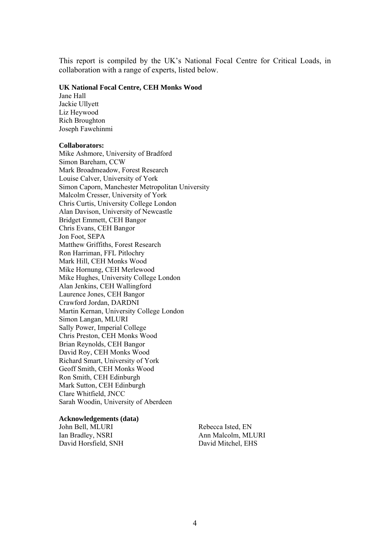This report is compiled by the UK's National Focal Centre for Critical Loads, in collaboration with a range of experts, listed below.

#### **UK National Focal Centre, CEH Monks Wood**

Jane Hall Jackie Ullyett Liz Heywood Rich Broughton Joseph Fawehinmi

#### **Collaborators:**

Mike Ashmore, University of Bradford Simon Bareham, CCW Mark Broadmeadow, Forest Research Louise Calver, University of York Simon Caporn, Manchester Metropolitan University Malcolm Cresser, University of York Chris Curtis, University College London Alan Davison, University of Newcastle Bridget Emmett, CEH Bangor Chris Evans, CEH Bangor Jon Foot, SEPA Matthew Griffiths, Forest Research Ron Harriman, FFL Pitlochry Mark Hill, CEH Monks Wood Mike Hornung, CEH Merlewood Mike Hughes, University College London Alan Jenkins, CEH Wallingford Laurence Jones, CEH Bangor Crawford Jordan, DARDNI Martin Kernan, University College London Simon Langan, MLURI Sally Power, Imperial College Chris Preston, CEH Monks Wood Brian Reynolds, CEH Bangor David Roy, CEH Monks Wood Richard Smart, University of York Geoff Smith, CEH Monks Wood Ron Smith, CEH Edinburgh Mark Sutton, CEH Edinburgh Clare Whitfield, JNCC Sarah Woodin, University of Aberdeen

#### **Acknowledgements (data)**

John Bell, MLURI Ian Bradley, NSRI David Horsfield, SNH Rebecca Isted, EN Ann Malcolm, MLURI David Mitchel, EHS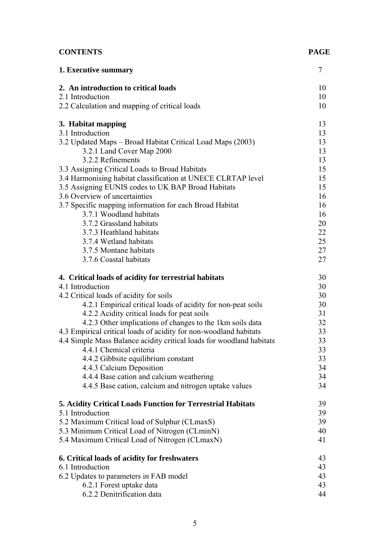# **CONTENTS PAGE**

| 1. Executive summary                                                                                                           | 7        |
|--------------------------------------------------------------------------------------------------------------------------------|----------|
| 2. An introduction to critical loads                                                                                           | 10       |
| 2.1 Introduction                                                                                                               | 10       |
| 2.2 Calculation and mapping of critical loads                                                                                  | 10       |
| 3. Habitat mapping                                                                                                             | 13       |
| 3.1 Introduction                                                                                                               | 13       |
| 3.2 Updated Maps - Broad Habitat Critical Load Maps (2003)                                                                     | 13       |
| 3.2.1 Land Cover Map 2000                                                                                                      | 13       |
| 3.2.2 Refinements                                                                                                              | 13       |
| 3.3 Assigning Critical Loads to Broad Habitats<br>3.4 Harmonising habitat classification at UNECE CLRTAP level                 | 15<br>15 |
| 3.5 Assigning EUNIS codes to UK BAP Broad Habitats                                                                             | 15       |
| 3.6 Overview of uncertainties                                                                                                  | 16       |
| 3.7 Specific mapping information for each Broad Habitat                                                                        | 16       |
| 3.7.1 Woodland habitats                                                                                                        | 16       |
| 3.7.2 Grassland habitats                                                                                                       | 20       |
| 3.7.3 Heathland habitats                                                                                                       | 22       |
| 3.7.4 Wetland habitats                                                                                                         | 25       |
| 3.7.5 Montane habitats                                                                                                         | 27       |
| 3.7.6 Coastal habitats                                                                                                         | 27       |
| 4. Critical loads of acidity for terrestrial habitats                                                                          | 30       |
| 4.1 Introduction                                                                                                               | 30       |
| 4.2 Critical loads of acidity for soils                                                                                        | 30       |
| 4.2.1 Empirical critical loads of acidity for non-peat soils                                                                   | 30       |
| 4.2.2 Acidity critical loads for peat soils                                                                                    | 31       |
| 4.2.3 Other implications of changes to the 1km soils data<br>4.3 Empirical critical loads of acidity for non-woodland habitats | 32<br>33 |
| 4.4 Simple Mass Balance acidity critical loads for woodland habitats                                                           | 33       |
| 4.4.1 Chemical criteria                                                                                                        | 33       |
| 4.4.2 Gibbsite equilibrium constant                                                                                            | 33       |
| 4.4.3 Calcium Deposition                                                                                                       | 34       |
| 4.4.4 Base cation and calcium weathering                                                                                       | 34       |
| 4.4.5 Base cation, calcium and nitrogen uptake values                                                                          | 34       |
| 5. Acidity Critical Loads Function for Terrestrial Habitats                                                                    | 39       |
| 5.1 Introduction                                                                                                               | 39       |
| 5.2 Maximum Critical load of Sulphur (CLmaxS)                                                                                  | 39       |
| 5.3 Minimum Critical Load of Nitrogen (CLminN)                                                                                 | 40       |
| 5.4 Maximum Critical Load of Nitrogen (CLmaxN)                                                                                 | 41       |
| 6. Critical loads of acidity for freshwaters                                                                                   | 43       |
| 6.1 Introduction                                                                                                               | 43       |
| 6.2 Updates to parameters in FAB model                                                                                         | 43       |
| 6.2.1 Forest uptake data                                                                                                       | 43       |
| 6.2.2 Denitrification data                                                                                                     | 44       |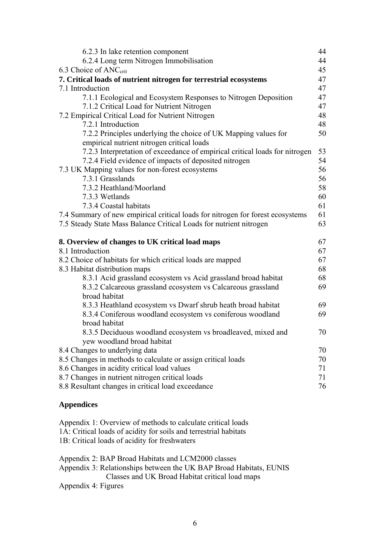| 6.2.3 In lake retention component                                              | 44 |
|--------------------------------------------------------------------------------|----|
| 6.2.4 Long term Nitrogen Immobilisation                                        | 44 |
| 6.3 Choice of ANC <sub>crit</sub>                                              | 45 |
| 7. Critical loads of nutrient nitrogen for terrestrial ecosystems              | 47 |
| 7.1 Introduction                                                               | 47 |
| 7.1.1 Ecological and Ecosystem Responses to Nitrogen Deposition                | 47 |
| 7.1.2 Critical Load for Nutrient Nitrogen                                      | 47 |
| 7.2 Empirical Critical Load for Nutrient Nitrogen                              | 48 |
| 7.2.1 Introduction                                                             | 48 |
| 7.2.2 Principles underlying the choice of UK Mapping values for                | 50 |
| empirical nutrient nitrogen critical loads                                     |    |
| 7.2.3 Interpretation of exceedance of empirical critical loads for nitrogen    | 53 |
| 7.2.4 Field evidence of impacts of deposited nitrogen                          | 54 |
| 7.3 UK Mapping values for non-forest ecosystems                                | 56 |
| 7.3.1 Grasslands                                                               | 56 |
| 7.3.2 Heathland/Moorland                                                       | 58 |
| 7.3.3 Wetlands                                                                 | 60 |
| 7.3.4 Coastal habitats                                                         | 61 |
| 7.4 Summary of new empirical critical loads for nitrogen for forest ecosystems | 61 |
| 7.5 Steady State Mass Balance Critical Loads for nutrient nitrogen             | 63 |
| 8. Overview of changes to UK critical load maps                                | 67 |
| 8.1 Introduction                                                               | 67 |
| 8.2 Choice of habitats for which critical loads are mapped                     | 67 |
| 8.3 Habitat distribution maps                                                  | 68 |
|                                                                                |    |
| 8.3.1 Acid grassland ecosystem vs Acid grassland broad habitat                 | 68 |
| 8.3.2 Calcareous grassland ecosystem vs Calcareous grassland                   | 69 |
| broad habitat                                                                  |    |
| 8.3.3 Heathland ecosystem vs Dwarf shrub heath broad habitat                   | 69 |
| 8.3.4 Coniferous woodland ecosystem vs coniferous woodland                     | 69 |
| broad habitat                                                                  |    |
| 8.3.5 Deciduous woodland ecosystem vs broadleaved, mixed and                   | 70 |
| yew woodland broad habitat                                                     |    |
| 8.4 Changes to underlying data                                                 | 70 |
| 8.5 Changes in methods to calculate or assign critical loads                   | 70 |
| 8.6 Changes in acidity critical load values                                    | 71 |
| 8.7 Changes in nutrient nitrogen critical loads                                | 71 |
| 8.8 Resultant changes in critical load exceedance                              | 76 |

Appendix 1: Overview of methods to calculate critical loads 1A: Critical loads of acidity for soils and terrestrial habitats 1B: Critical loads of acidity for freshwaters

| Appendix 2: BAP Broad Habitats and LCM2000 classes                 |
|--------------------------------------------------------------------|
| Appendix 3: Relationships between the UK BAP Broad Habitats, EUNIS |
| Classes and UK Broad Habitat critical load maps                    |
| Appendix 4: Figures                                                |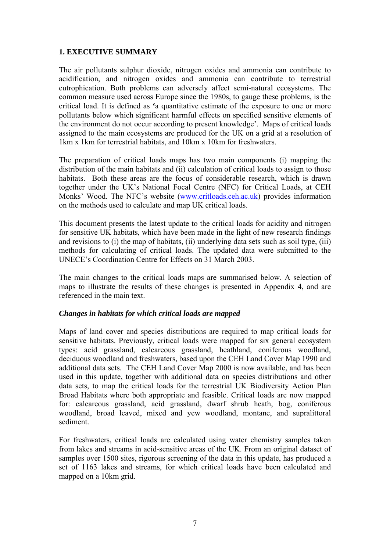### **1. EXECUTIVE SUMMARY**

The air pollutants sulphur dioxide, nitrogen oxides and ammonia can contribute to acidification, and nitrogen oxides and ammonia can contribute to terrestrial eutrophication. Both problems can adversely affect semi-natural ecosystems. The common measure used across Europe since the 1980s, to gauge these problems, is the critical load. It is defined as **'**a quantitative estimate of the exposure to one or more pollutants below which significant harmful effects on specified sensitive elements of the environment do not occur according to present knowledge'. Maps of critical loads assigned to the main ecosystems are produced for the UK on a grid at a resolution of 1km x 1km for terrestrial habitats, and 10km x 10km for freshwaters.

The preparation of critical loads maps has two main components (i) mapping the distribution of the main habitats and (ii) calculation of critical loads to assign to those habitats. Both these areas are the focus of considerable research, which is drawn together under the UK's National Focal Centre (NFC) for Critical Loads, at CEH Monks' Wood. The NFC's website [\(www.critloads.ceh.ac.uk\)](http://www.critloads.ceh.ac.uk/) provides information on the methods used to calculate and map UK critical loads.

This document presents the latest update to the critical loads for acidity and nitrogen for sensitive UK habitats, which have been made in the light of new research findings and revisions to (i) the map of habitats, (ii) underlying data sets such as soil type, (iii) methods for calculating of critical loads. The updated data were submitted to the UNECE's Coordination Centre for Effects on 31 March 2003.

The main changes to the critical loads maps are summarised below. A selection of maps to illustrate the results of these changes is presented in Appendix 4, and are referenced in the main text.

#### *Changes in habitats for which critical loads are mapped*

Maps of land cover and species distributions are required to map critical loads for sensitive habitats. Previously, critical loads were mapped for six general ecosystem types: acid grassland, calcareous grassland, heathland, coniferous woodland, deciduous woodland and freshwaters, based upon the CEH Land Cover Map 1990 and additional data sets. The CEH Land Cover Map 2000 is now available, and has been used in this update, together with additional data on species distributions and other data sets, to map the critical loads for the terrestrial UK Biodiversity Action Plan Broad Habitats where both appropriate and feasible. Critical loads are now mapped for: calcareous grassland, acid grassland, dwarf shrub heath, bog, coniferous woodland, broad leaved, mixed and yew woodland, montane, and supralittoral sediment.

For freshwaters, critical loads are calculated using water chemistry samples taken from lakes and streams in acid-sensitive areas of the UK. From an original dataset of samples over 1500 sites, rigorous screening of the data in this update, has produced a set of 1163 lakes and streams, for which critical loads have been calculated and mapped on a 10km grid.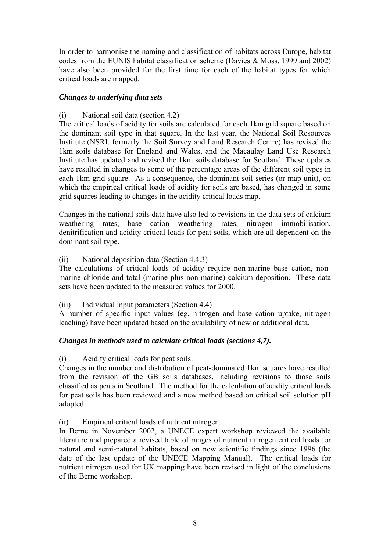In order to harmonise the naming and classification of habitats across Europe, habitat codes from the EUNIS habitat classification scheme (Davies & Moss, 1999 and 2002) have also been provided for the first time for each of the habitat types for which critical loads are mapped.

### *Changes to underlying data sets*

(i) National soil data (section 4.2)

The critical loads of acidity for soils are calculated for each 1km grid square based on the dominant soil type in that square. In the last year, the National Soil Resources Institute (NSRI, formerly the Soil Survey and Land Research Centre) has revised the 1km soils database for England and Wales, and the Macaulay Land Use Research Institute has updated and revised the 1km soils database for Scotland. These updates have resulted in changes to some of the percentage areas of the different soil types in each 1km grid square. As a consequence, the dominant soil series (or map unit), on which the empirical critical loads of acidity for soils are based, has changed in some grid squares leading to changes in the acidity critical loads map.

Changes in the national soils data have also led to revisions in the data sets of calcium weathering rates, base cation weathering rates, nitrogen immobilisation, denitrification and acidity critical loads for peat soils, which are all dependent on the dominant soil type.

### (ii) National deposition data (Section 4.4.3)

The calculations of critical loads of acidity require non-marine base cation, nonmarine chloride and total (marine plus non-marine) calcium deposition. These data sets have been updated to the measured values for 2000.

(iii) Individual input parameters (Section 4.4)

A number of specific input values (eg, nitrogen and base cation uptake, nitrogen leaching) have been updated based on the availability of new or additional data.

### *Changes in methods used to calculate critical loads (sections 4,7).*

### (i) Acidity critical loads for peat soils.

Changes in the number and distribution of peat-dominated 1km squares have resulted from the revision of the GB soils databases, including revisions to those soils classified as peats in Scotland. The method for the calculation of acidity critical loads for peat soils has been reviewed and a new method based on critical soil solution pH adopted.

(ii) Empirical critical loads of nutrient nitrogen.

In Berne in November 2002, a UNECE expert workshop reviewed the available literature and prepared a revised table of ranges of nutrient nitrogen critical loads for natural and semi-natural habitats, based on new scientific findings since 1996 (the date of the last update of the UNECE Mapping Manual). The critical loads for nutrient nitrogen used for UK mapping have been revised in light of the conclusions of the Berne workshop.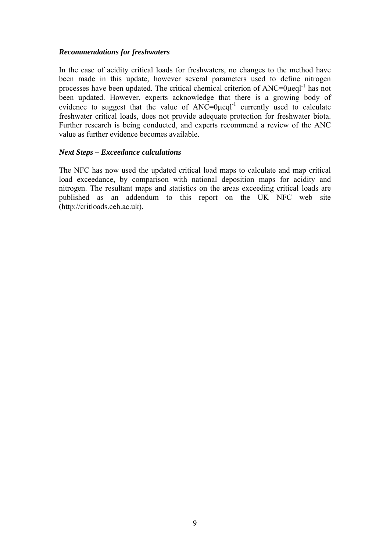### *Recommendations for freshwaters*

In the case of acidity critical loads for freshwaters, no changes to the method have been made in this update, however several parameters used to define nitrogen processes have been updated. The critical chemical criterion of  $ANC=0\mu eq^{-1}$  has not been updated. However, experts acknowledge that there is a growing body of evidence to suggest that the value of  $ANC=0\mu$ eql<sup>-1</sup> currently used to calculate freshwater critical loads, does not provide adequate protection for freshwater biota. Further research is being conducted, and experts recommend a review of the ANC value as further evidence becomes available.

#### *Next Steps – Exceedance calculations*

The NFC has now used the updated critical load maps to calculate and map critical load exceedance, by comparison with national deposition maps for acidity and nitrogen. The resultant maps and statistics on the areas exceeding critical loads are published as an addendum to this report on the UK NFC web site (http://critloads.ceh.ac.uk).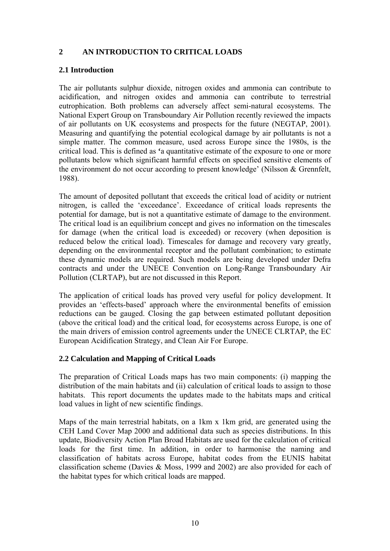# **2 AN INTRODUCTION TO CRITICAL LOADS**

### **2.1 Introduction**

The air pollutants sulphur dioxide, nitrogen oxides and ammonia can contribute to acidification, and nitrogen oxides and ammonia can contribute to terrestrial eutrophication. Both problems can adversely affect semi-natural ecosystems. The National Expert Group on Transboundary Air Pollution recently reviewed the impacts of air pollutants on UK ecosystems and prospects for the future (NEGTAP, 2001). Measuring and quantifying the potential ecological damage by air pollutants is not a simple matter. The common measure, used across Europe since the 1980s, is the critical load. This is defined as **'**a quantitative estimate of the exposure to one or more pollutants below which significant harmful effects on specified sensitive elements of the environment do not occur according to present knowledge' (Nilsson & Grennfelt, 1988).

The amount of deposited pollutant that exceeds the critical load of acidity or nutrient nitrogen, is called the 'exceedance'. Exceedance of critical loads represents the potential for damage, but is not a quantitative estimate of damage to the environment. The critical load is an equilibrium concept and gives no information on the timescales for damage (when the critical load is exceeded) or recovery (when deposition is reduced below the critical load). Timescales for damage and recovery vary greatly, depending on the environmental receptor and the pollutant combination; to estimate these dynamic models are required. Such models are being developed under Defra contracts and under the UNECE Convention on Long-Range Transboundary Air Pollution (CLRTAP), but are not discussed in this Report.

The application of critical loads has proved very useful for policy development. It provides an 'effects-based' approach where the environmental benefits of emission reductions can be gauged. Closing the gap between estimated pollutant deposition (above the critical load) and the critical load, for ecosystems across Europe, is one of the main drivers of emission control agreements under the UNECE CLRTAP, the EC European Acidification Strategy, and Clean Air For Europe.

### **2.2 Calculation and Mapping of Critical Loads**

The preparation of Critical Loads maps has two main components: (i) mapping the distribution of the main habitats and (ii) calculation of critical loads to assign to those habitats. This report documents the updates made to the habitats maps and critical load values in light of new scientific findings.

Maps of the main terrestrial habitats, on a 1km x 1km grid, are generated using the CEH Land Cover Map 2000 and additional data such as species distributions. In this update, Biodiversity Action Plan Broad Habitats are used for the calculation of critical loads for the first time. In addition, in order to harmonise the naming and classification of habitats across Europe, habitat codes from the EUNIS habitat classification scheme (Davies & Moss, 1999 and 2002) are also provided for each of the habitat types for which critical loads are mapped.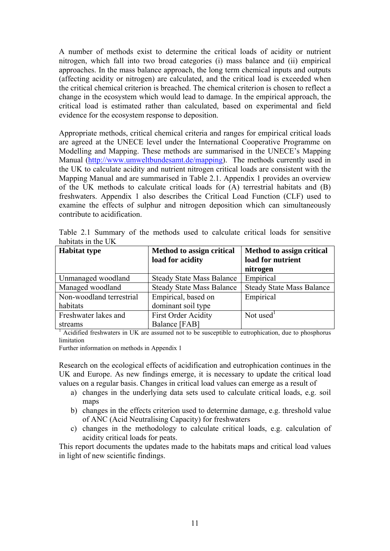A number of methods exist to determine the critical loads of acidity or nutrient nitrogen, which fall into two broad categories (i) mass balance and (ii) empirical approaches. In the mass balance approach, the long term chemical inputs and outputs (affecting acidity or nitrogen) are calculated, and the critical load is exceeded when the critical chemical criterion is breached. The chemical criterion is chosen to reflect a change in the ecosystem which would lead to damage. In the empirical approach, the critical load is estimated rather than calculated, based on experimental and field evidence for the ecosystem response to deposition.

Appropriate methods, critical chemical criteria and ranges for empirical critical loads are agreed at the UNECE level under the International Cooperative Programme on Modelling and Mapping. These methods are summarised in the UNECE's Mapping Manual (<http://www.umweltbundesamt.de/mapping>). The methods currently used in the UK to calculate acidity and nutrient nitrogen critical loads are consistent with the Mapping Manual and are summarised in Table 2.1. Appendix 1 provides an overview of the UK methods to calculate critical loads for (A) terrestrial habitats and (B) freshwaters. Appendix 1 also describes the Critical Load Function (CLF) used to examine the effects of sulphur and nitrogen deposition which can simultaneously contribute to acidification.

| <b>Habitat type</b>      | Method to assign critical        | <b>Method to assign critical</b> |
|--------------------------|----------------------------------|----------------------------------|
|                          | load for acidity                 | load for nutrient                |
|                          |                                  | nitrogen                         |
| Unmanaged woodland       | <b>Steady State Mass Balance</b> | Empirical                        |
| Managed woodland         | <b>Steady State Mass Balance</b> | <b>Steady State Mass Balance</b> |
| Non-woodland terrestrial | Empirical, based on              | Empirical                        |
| habitats                 | dominant soil type               |                                  |
| Freshwater lakes and     | <b>First Order Acidity</b>       | Not used $1$                     |
| streams                  | Balance [FAB]                    |                                  |

Table 2.1 Summary of the methods used to calculate critical loads for sensitive habitats in the UK

 $<sup>1</sup>$  Acidified freshwaters in UK are assumed not to be susceptible to eutrophication, due to phosphorus</sup> limitation

Further information on methods in Appendix 1

Research on the ecological effects of acidification and eutrophication continues in the UK and Europe. As new findings emerge, it is necessary to update the critical load values on a regular basis. Changes in critical load values can emerge as a result of

- a) changes in the underlying data sets used to calculate critical loads, e.g. soil maps
- b) changes in the effects criterion used to determine damage, e.g. threshold value of ANC (Acid Neutralising Capacity) for freshwaters
- c) changes in the methodology to calculate critical loads, e.g. calculation of acidity critical loads for peats.

This report documents the updates made to the habitats maps and critical load values in light of new scientific findings.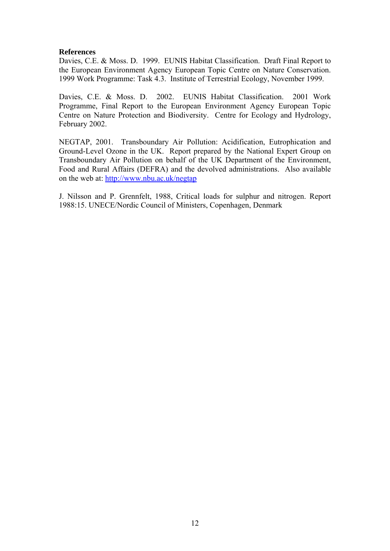#### **References**

Davies, C.E. & Moss. D. 1999. EUNIS Habitat Classification. Draft Final Report to the European Environment Agency European Topic Centre on Nature Conservation. 1999 Work Programme: Task 4.3. Institute of Terrestrial Ecology, November 1999.

Davies, C.E. & Moss. D. 2002. EUNIS Habitat Classification. 2001 Work Programme, Final Report to the European Environment Agency European Topic Centre on Nature Protection and Biodiversity. Centre for Ecology and Hydrology, February 2002.

NEGTAP, 2001. Transboundary Air Pollution: Acidification, Eutrophication and Ground-Level Ozone in the UK. Report prepared by the National Expert Group on Transboundary Air Pollution on behalf of the UK Department of the Environment, Food and Rural Affairs (DEFRA) and the devolved administrations. Also available on the web at: <http://www.nbu.ac.uk/negtap>

J. Nilsson and P. Grennfelt, 1988, Critical loads for sulphur and nitrogen. Report 1988:15. UNECE/Nordic Council of Ministers, Copenhagen, Denmark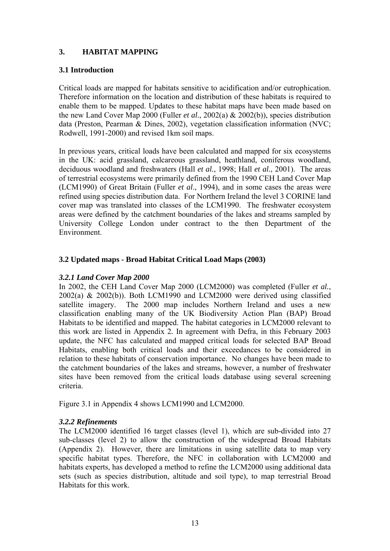# **3. HABITAT MAPPING**

### **3.1 Introduction**

Critical loads are mapped for habitats sensitive to acidification and/or eutrophication. Therefore information on the location and distribution of these habitats is required to enable them to be mapped. Updates to these habitat maps have been made based on the new Land Cover Map 2000 (Fuller *et al.*, 2002(a) & 2002(b)), species distribution data (Preston, Pearman & Dines, 2002), vegetation classification information (NVC; Rodwell, 1991-2000) and revised 1km soil maps.

In previous years, critical loads have been calculated and mapped for six ecosystems in the UK: acid grassland, calcareous grassland, heathland, coniferous woodland, deciduous woodland and freshwaters (Hall *et al.*, 1998; Hall *et al.*, 2001). The areas of terrestrial ecosystems were primarily defined from the 1990 CEH Land Cover Map (LCM1990) of Great Britain (Fuller *et al*., 1994), and in some cases the areas were refined using species distribution data. For Northern Ireland the level 3 CORINE land cover map was translated into classes of the LCM1990. The freshwater ecosystem areas were defined by the catchment boundaries of the lakes and streams sampled by University College London under contract to the then Department of the Environment.

### **3.2 Updated maps - Broad Habitat Critical Load Maps (2003)**

### *3.2.1 Land Cover Map 2000*

In 2002, the CEH Land Cover Map 2000 (LCM2000) was completed (Fuller *et al.*, 2002(a) & 2002(b)). Both LCM1990 and LCM2000 were derived using classified satellite imagery. The 2000 map includes Northern Ireland and uses a new classification enabling many of the UK Biodiversity Action Plan (BAP) Broad Habitats to be identified and mapped. The habitat categories in LCM2000 relevant to this work are listed in Appendix 2*.* In agreement with Defra, in this February 2003 update, the NFC has calculated and mapped critical loads for selected BAP Broad Habitats, enabling both critical loads and their exceedances to be considered in relation to these habitats of conservation importance. No changes have been made to the catchment boundaries of the lakes and streams, however, a number of freshwater sites have been removed from the critical loads database using several screening criteria.

Figure 3.1 in Appendix 4 shows LCM1990 and LCM2000.

### *3.2.2 Refinements*

The LCM2000 identified 16 target classes (level 1), which are sub-divided into 27 sub-classes (level 2) to allow the construction of the widespread Broad Habitats (Appendix 2). However, there are limitations in using satellite data to map very specific habitat types. Therefore, the NFC in collaboration with LCM2000 and habitats experts, has developed a method to refine the LCM2000 using additional data sets (such as species distribution, altitude and soil type), to map terrestrial Broad Habitats for this work.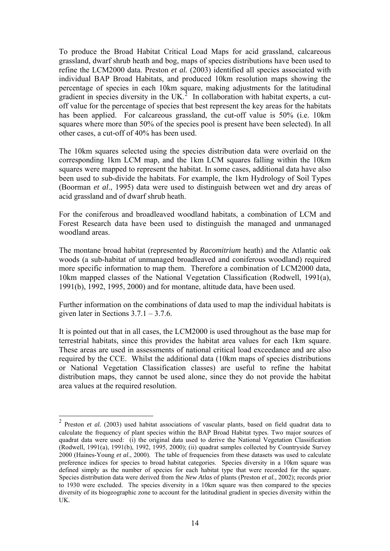<span id="page-13-0"></span>To produce the Broad Habitat Critical Load Maps for acid grassland, calcareous grassland, dwarf shrub heath and bog, maps of species distributions have been used to refine the LCM2000 data. Preston *et al.* (2003) identified all species associated with individual BAP Broad Habitats, and produced 10km resolution maps showing the percentage of species in each 10km square, making adjustments for the latitudinal gradient in species diversity in the UK.<sup>[2](#page-13-0)</sup> In collaboration with habitat experts, a cutoff value for the percentage of species that best represent the key areas for the habitats has been applied. For calcareous grassland, the cut-off value is 50% (i.e. 10km squares where more than 50% of the species pool is present have been selected). In all other cases, a cut-off of 40% has been used.

The 10km squares selected using the species distribution data were overlaid on the corresponding 1km LCM map, and the 1km LCM squares falling within the 10km squares were mapped to represent the habitat. In some cases, additional data have also been used to sub-divide the habitats. For example, the 1km Hydrology of Soil Types (Boorman *et al*., 1995) data were used to distinguish between wet and dry areas of acid grassland and of dwarf shrub heath.

For the coniferous and broadleaved woodland habitats, a combination of LCM and Forest Research data have been used to distinguish the managed and unmanaged woodland areas.

The montane broad habitat (represented by *Racomitrium* heath) and the Atlantic oak woods (a sub-habitat of unmanaged broadleaved and coniferous woodland) required more specific information to map them. Therefore a combination of LCM2000 data, 10km mapped classes of the National Vegetation Classification (Rodwell, 1991(a), 1991(b), 1992, 1995, 2000) and for montane, altitude data, have been used.

Further information on the combinations of data used to map the individual habitats is given later in Sections  $3.7.1 - 3.7.6$ .

It is pointed out that in all cases, the LCM2000 is used throughout as the base map for terrestrial habitats, since this provides the habitat area values for each 1km square. These areas are used in assessments of national critical load exceedance and are also required by the CCE. Whilst the additional data (10km maps of species distributions or National Vegetation Classification classes) are useful to refine the habitat distribution maps, they cannot be used alone, since they do not provide the habitat area values at the required resolution.

1

<sup>2</sup> Preston *et al.* (2003) used habitat associations of vascular plants, based on field quadrat data to calculate the frequency of plant species within the BAP Broad Habitat types. Two major sources of quadrat data were used: (i) the original data used to derive the National Vegetation Classification (Rodwell, 1991(a), 1991(b), 1992, 1995, 2000); (ii) quadrat samples collected by Countryside Survey 2000 (Haines-Young *et al*., 2000). The table of frequencies from these datasets was used to calculate preference indices for species to broad habitat categories. Species diversity in a 10km square was defined simply as the number of species for each habitat type that were recorded for the square. Species distribution data were derived from the *New Atlas* of plants (Preston *et al.*, 2002); records prior to 1930 were excluded. The species diversity in a 10km square was then compared to the species diversity of its biogeographic zone to account for the latitudinal gradient in species diversity within the UK.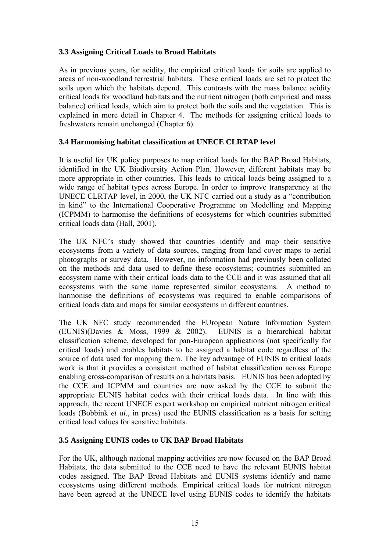### **3.3 Assigning Critical Loads to Broad Habitats**

As in previous years, for acidity, the empirical critical loads for soils are applied to areas of non-woodland terrestrial habitats. These critical loads are set to protect the soils upon which the habitats depend. This contrasts with the mass balance acidity critical loads for woodland habitats and the nutrient nitrogen (both empirical and mass balance) critical loads, which aim to protect both the soils and the vegetation. This is explained in more detail in Chapter 4. The methods for assigning critical loads to freshwaters remain unchanged (Chapter 6).

### **3.4 Harmonising habitat classification at UNECE CLRTAP level**

It is useful for UK policy purposes to map critical loads for the BAP Broad Habitats, identified in the UK Biodiversity Action Plan. However, different habitats may be more appropriate in other countries. This leads to critical loads being assigned to a wide range of habitat types across Europe. In order to improve transparency at the UNECE CLRTAP level, in 2000, the UK NFC carried out a study as a "contribution in kind" to the International Cooperative Programme on Modelling and Mapping (ICPMM) to harmonise the definitions of ecosystems for which countries submitted critical loads data (Hall, 2001).

The UK NFC's study showed that countries identify and map their sensitive ecosystems from a variety of data sources, ranging from land cover maps to aerial photographs or survey data. However, no information had previously been collated on the methods and data used to define these ecosystems; countries submitted an ecosystem name with their critical loads data to the CCE and it was assumed that all ecosystems with the same name represented similar ecosystems. A method to harmonise the definitions of ecosystems was required to enable comparisons of critical loads data and maps for similar ecosystems in different countries.

The UK NFC study recommended the EUropean Nature Information System (EUNIS)(Davies & Moss, 1999 & 2002). EUNIS is a hierarchical habitat classification scheme, developed for pan-European applications (not specifically for critical loads) and enables habitats to be assigned a habitat code regardless of the source of data used for mapping them. The key advantage of EUNIS to critical loads work is that it provides a consistent method of habitat classification across Europe enabling cross-comparison of results on a habitats basis. EUNIS has been adopted by the CCE and ICPMM and countries are now asked by the CCE to submit the appropriate EUNIS habitat codes with their critical loads data. In line with this approach, the recent UNECE expert workshop on empirical nutrient nitrogen critical loads (Bobbink *et al.*, in press) used the EUNIS classification as a basis for setting critical load values for sensitive habitats.

### **3.5 Assigning EUNIS codes to UK BAP Broad Habitats**

For the UK, although national mapping activities are now focused on the BAP Broad Habitats, the data submitted to the CCE need to have the relevant EUNIS habitat codes assigned. The BAP Broad Habitats and EUNIS systems identify and name ecosystems using different methods. Empirical critical loads for nutrient nitrogen have been agreed at the UNECE level using EUNIS codes to identify the habitats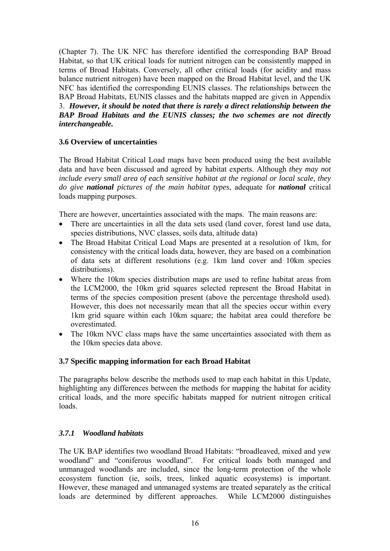(Chapter 7). The UK NFC has therefore identified the corresponding BAP Broad Habitat, so that UK critical loads for nutrient nitrogen can be consistently mapped in terms of Broad Habitats. Conversely, all other critical loads (for acidity and mass balance nutrient nitrogen) have been mapped on the Broad Habitat level, and the UK NFC has identified the corresponding EUNIS classes. The relationships between the BAP Broad Habitats, EUNIS classes and the habitats mapped are given in Appendix 3. *However, it should be noted that there is rarely a direct relationship between the BAP Broad Habitats and the EUNIS classes; the two schemes are not directly interchangeable.*

### **3.6 Overview of uncertainties**

The Broad Habitat Critical Load maps have been produced using the best available data and have been discussed and agreed by habitat experts. Although *they may not include every small area of each sensitive habitat at the regional or local scale, they do give national pictures of the main habitat types*, adequate for *national* critical loads mapping purposes.

There are however, uncertainties associated with the maps. The main reasons are:

- There are uncertainties in all the data sets used (land cover, forest land use data, species distributions, NVC classes, soils data, altitude data)
- The Broad Habitat Critical Load Maps are presented at a resolution of 1km, for consistency with the critical loads data, however, they are based on a combination of data sets at different resolutions (e.g. 1km land cover and 10km species distributions).
- Where the 10km species distribution maps are used to refine habitat areas from the LCM2000, the 10km grid squares selected represent the Broad Habitat in terms of the species composition present (above the percentage threshold used). However, this does not necessarily mean that all the species occur within every 1km grid square within each 10km square; the habitat area could therefore be overestimated.
- The 10km NVC class maps have the same uncertainties associated with them as the 10km species data above.

### **3.7 Specific mapping information for each Broad Habitat**

The paragraphs below describe the methods used to map each habitat in this Update, highlighting any differences between the methods for mapping the habitat for acidity critical loads, and the more specific habitats mapped for nutrient nitrogen critical loads.

# *3.7.1 Woodland habitats*

The UK BAP identifies two woodland Broad Habitats: "broadleaved, mixed and yew woodland" and "coniferous woodland". For critical loads both managed and unmanaged woodlands are included, since the long-term protection of the whole ecosystem function (ie, soils, trees, linked aquatic ecosystems) is important. However, these managed and unmanaged systems are treated separately as the critical loads are determined by different approaches. While LCM2000 distinguishes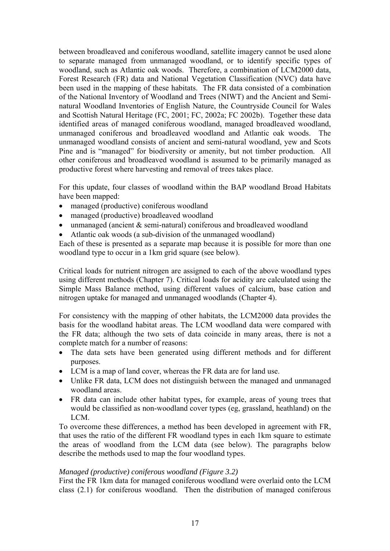between broadleaved and coniferous woodland, satellite imagery cannot be used alone to separate managed from unmanaged woodland, or to identify specific types of woodland, such as Atlantic oak woods. Therefore, a combination of LCM2000 data, Forest Research (FR) data and National Vegetation Classification (NVC) data have been used in the mapping of these habitats. The FR data consisted of a combination of the National Inventory of Woodland and Trees (NIWT) and the Ancient and Seminatural Woodland Inventories of English Nature, the Countryside Council for Wales and Scottish Natural Heritage (FC, 2001; FC, 2002a; FC 2002b). Together these data identified areas of managed coniferous woodland, managed broadleaved woodland, unmanaged coniferous and broadleaved woodland and Atlantic oak woods. The unmanaged woodland consists of ancient and semi-natural woodland, yew and Scots Pine and is "managed" for biodiversity or amenity, but not timber production. All other coniferous and broadleaved woodland is assumed to be primarily managed as productive forest where harvesting and removal of trees takes place.

For this update, four classes of woodland within the BAP woodland Broad Habitats have been mapped:

- managed (productive) coniferous woodland
- managed (productive) broadleaved woodland
- unmanaged (ancient & semi-natural) coniferous and broadleaved woodland
- Atlantic oak woods (a sub-division of the unmanaged woodland)

Each of these is presented as a separate map because it is possible for more than one woodland type to occur in a 1km grid square (see below).

Critical loads for nutrient nitrogen are assigned to each of the above woodland types using different methods (Chapter 7). Critical loads for acidity are calculated using the Simple Mass Balance method, using different values of calcium, base cation and nitrogen uptake for managed and unmanaged woodlands (Chapter 4).

For consistency with the mapping of other habitats, the LCM2000 data provides the basis for the woodland habitat areas. The LCM woodland data were compared with the FR data; although the two sets of data coincide in many areas, there is not a complete match for a number of reasons:

- The data sets have been generated using different methods and for different purposes.
- LCM is a map of land cover, whereas the FR data are for land use.
- Unlike FR data, LCM does not distinguish between the managed and unmanaged woodland areas.
- FR data can include other habitat types, for example, areas of young trees that would be classified as non-woodland cover types (eg, grassland, heathland) on the LCM.

To overcome these differences, a method has been developed in agreement with FR, that uses the ratio of the different FR woodland types in each 1km square to estimate the areas of woodland from the LCM data (see below). The paragraphs below describe the methods used to map the four woodland types.

#### *Managed (productive) coniferous woodland (Figure 3.2)*

First the FR 1km data for managed coniferous woodland were overlaid onto the LCM class (2.1) for coniferous woodland. Then the distribution of managed coniferous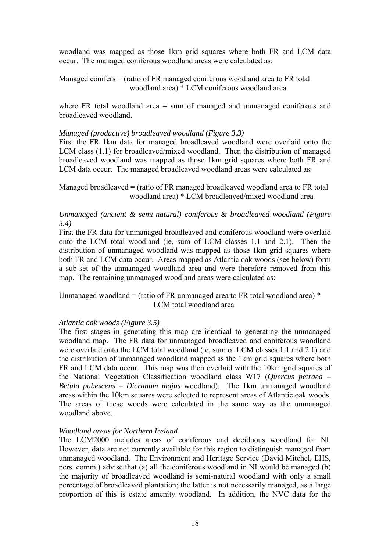woodland was mapped as those 1km grid squares where both FR and LCM data occur. The managed coniferous woodland areas were calculated as:

Managed conifers = (ratio of FR managed coniferous woodland area to FR total woodland area) \* LCM coniferous woodland area

where FR total woodland area  $=$  sum of managed and unmanaged coniferous and broadleaved woodland.

#### *Managed (productive) broadleaved woodland (Figure 3.3)*

First the FR 1km data for managed broadleaved woodland were overlaid onto the LCM class (1.1) for broadleaved/mixed woodland. Then the distribution of managed broadleaved woodland was mapped as those 1km grid squares where both FR and LCM data occur. The managed broadleaved woodland areas were calculated as:

Managed broadleaved = (ratio of FR managed broadleaved woodland area to FR total woodland area) \* LCM broadleaved/mixed woodland area

#### *Unmanaged (ancient & semi-natural) coniferous & broadleaved woodland (Figure 3.4)*

First the FR data for unmanaged broadleaved and coniferous woodland were overlaid onto the LCM total woodland (ie, sum of LCM classes 1.1 and 2.1). Then the distribution of unmanaged woodland was mapped as those 1km grid squares where both FR and LCM data occur. Areas mapped as Atlantic oak woods (see below) form a sub-set of the unmanaged woodland area and were therefore removed from this map. The remaining unmanaged woodland areas were calculated as:

Unmanaged woodland = (ratio of FR unmanaged area to FR total woodland area)  $*$ LCM total woodland area

#### *Atlantic oak woods (Figure 3.5)*

The first stages in generating this map are identical to generating the unmanaged woodland map. The FR data for unmanaged broadleaved and coniferous woodland were overlaid onto the LCM total woodland (ie, sum of LCM classes 1.1 and 2.1) and the distribution of unmanaged woodland mapped as the 1km grid squares where both FR and LCM data occur. This map was then overlaid with the 10km grid squares of the National Vegetation Classification woodland class W17 (*Quercus petraea* – *Betula pubescens* – *Dicranum majus* woodland). The 1km unmanaged woodland areas within the 10km squares were selected to represent areas of Atlantic oak woods. The areas of these woods were calculated in the same way as the unmanaged woodland above.

#### *Woodland areas for Northern Ireland*

The LCM2000 includes areas of coniferous and deciduous woodland for NI. However, data are not currently available for this region to distinguish managed from unmanaged woodland. The Environment and Heritage Service (David Mitchel, EHS, pers. comm.) advise that (a) all the coniferous woodland in NI would be managed (b) the majority of broadleaved woodland is semi-natural woodland with only a small percentage of broadleaved plantation; the latter is not necessarily managed, as a large proportion of this is estate amenity woodland. In addition, the NVC data for the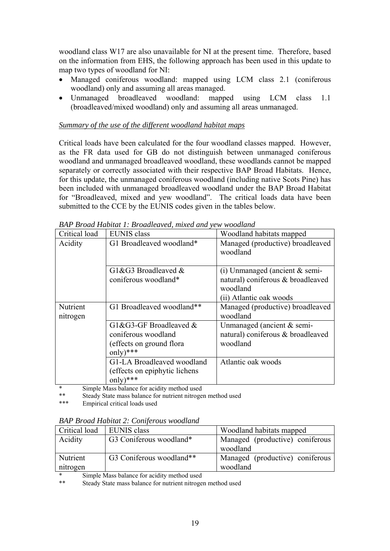woodland class W17 are also unavailable for NI at the present time. Therefore, based on the information from EHS, the following approach has been used in this update to map two types of woodland for NI:

- Managed coniferous woodland: mapped using LCM class 2.1 (coniferous woodland) only and assuming all areas managed.
- Unmanaged broadleaved woodland: mapped using LCM class 1.1 (broadleaved/mixed woodland) only and assuming all areas unmanaged.

### *Summary of the use of the different woodland habitat maps*

Critical loads have been calculated for the four woodland classes mapped. However, as the FR data used for GB do not distinguish between unmanaged coniferous woodland and unmanaged broadleaved woodland, these woodlands cannot be mapped separately or correctly associated with their respective BAP Broad Habitats. Hence, for this update, the unmanaged coniferous woodland (including native Scots Pine) has been included with unmanaged broadleaved woodland under the BAP Broad Habitat for "Broadleaved, mixed and yew woodland". The critical loads data have been submitted to the CCE by the EUNIS codes given in the tables below.

| БАГ Бтош пирнин 1. Бтошиеиуеи, тіхеи ини уем моодини |                                                                                              |                                                                                                                |  |
|------------------------------------------------------|----------------------------------------------------------------------------------------------|----------------------------------------------------------------------------------------------------------------|--|
| Critical load                                        | <b>EUNIS</b> class                                                                           | Woodland habitats mapped                                                                                       |  |
| G1 Broadleaved woodland*<br>Acidity                  |                                                                                              | Managed (productive) broadleaved<br>woodland                                                                   |  |
|                                                      | G1&G3 Broadleaved &<br>coniferous woodland*                                                  | $(i)$ Unmanaged (ancient $&$ semi-<br>natural) coniferous & broadleaved<br>woodland<br>(ii) Atlantic oak woods |  |
| Nutrient<br>nitrogen                                 | G1 Broadleaved woodland**                                                                    | Managed (productive) broadleaved<br>woodland                                                                   |  |
|                                                      | $G1\&G3-GF$ Broadleaved $\&$<br>coniferous woodland<br>(effects on ground flora)<br>only)*** | Unmanaged (ancient $&$ semi-<br>natural) coniferous & broadleaved<br>woodland                                  |  |
|                                                      | G1-LA Broadleaved woodland<br>(effects on epiphytic lichens)<br>$only$ )***                  | Atlantic oak woods                                                                                             |  |

*BAP Broad Habitat 1: Broadleaved, mixed and yew woodland* 

Simple Mass balance for acidity method used

Steady State mass balance for nutrient nitrogen method used

\*\*\* Empirical critical loads used

| <b>BAP Broad Habitat 2: Coniferous woodland</b> |  |
|-------------------------------------------------|--|
|-------------------------------------------------|--|

| Critical load | EUNIS class              | Woodland habitats mapped        |
|---------------|--------------------------|---------------------------------|
| Acidity       | G3 Coniferous woodland*  | Managed (productive) coniferous |
|               |                          | woodland                        |
| Nutrient      | G3 Coniferous woodland** | Managed (productive) coniferous |
| nitrogen      |                          | woodland                        |

\* Simple Mass balance for acidity method used

Steady State mass balance for nutrient nitrogen method used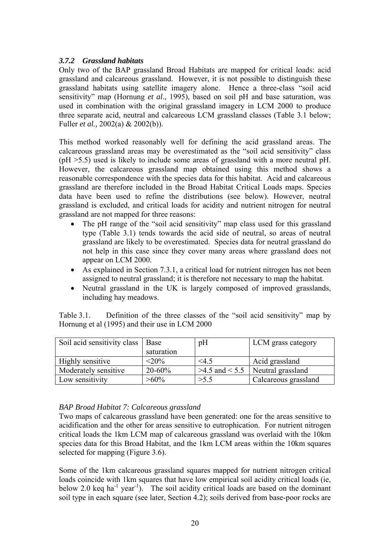### *3.7.2 Grassland habitats*

Only two of the BAP grassland Broad Habitats are mapped for critical loads: acid grassland and calcareous grassland. However, it is not possible to distinguish these grassland habitats using satellite imagery alone. Hence a three-class "soil acid sensitivity" map (Hornung *et al*., 1995), based on soil pH and base saturation, was used in combination with the original grassland imagery in LCM 2000 to produce three separate acid, neutral and calcareous LCM grassland classes (Table 3.1 below; Fuller *et al.,* 2002(a) & 2002(b)).

This method worked reasonably well for defining the acid grassland areas. The calcareous grassland areas may be overestimated as the "soil acid sensitivity" class (pH >5.5) used is likely to include some areas of grassland with a more neutral pH. However, the calcareous grassland map obtained using this method shows a reasonable correspondence with the species data for this habitat. Acid and calcareous grassland are therefore included in the Broad Habitat Critical Loads maps. Species data have been used to refine the distributions (see below). However, neutral grassland is excluded, and critical loads for acidity and nutrient nitrogen for neutral grassland are not mapped for three reasons:

- The pH range of the "soil acid sensitivity" map class used for this grassland type (Table 3.1) tends towards the acid side of neutral, so areas of neutral grassland are likely to be overestimated. Species data for neutral grassland do not help in this case since they cover many areas where grassland does not appear on LCM 2000.
- As explained in Section 7.3.1, a critical load for nutrient nitrogen has not been assigned to neutral grassland; it is therefore not necessary to map the habitat.
- Neutral grassland in the UK is largely composed of improved grasslands, including hay meadows.

Table 3.1. Definition of the three classes of the "soil acid sensitivity" map by Hornung et al (1995) and their use in LCM 2000

| Soil acid sensitivity class   Base |            | pH   | LCM grass category                   |
|------------------------------------|------------|------|--------------------------------------|
|                                    | saturation |      |                                      |
| Highly sensitive                   | $<$ 20%    | 4.5  | Acid grassland                       |
| Moderately sensitive               | $20 - 60%$ |      | $>4.5$ and $< 5.5$ Neutral grassland |
| Low sensitivity                    | $>60\%$    | >5.5 | Calcareous grassland                 |

### *BAP Broad Habitat 7: Calcareous grassland*

Two maps of calcareous grassland have been generated: one for the areas sensitive to acidification and the other for areas sensitive to eutrophication. For nutrient nitrogen critical loads the 1km LCM map of calcareous grassland was overlaid with the 10km species data for this Broad Habitat, and the 1km LCM areas within the 10km squares selected for mapping (Figure 3.6).

Some of the 1km calcareous grassland squares mapped for nutrient nitrogen critical loads coincide with 1km squares that have low empirical soil acidity critical loads (ie, below 2.0 keq ha<sup>-1</sup> year<sup>-1</sup>). The soil acidity critical loads are based on the dominant soil type in each square (see later, Section 4.2); soils derived from base-poor rocks are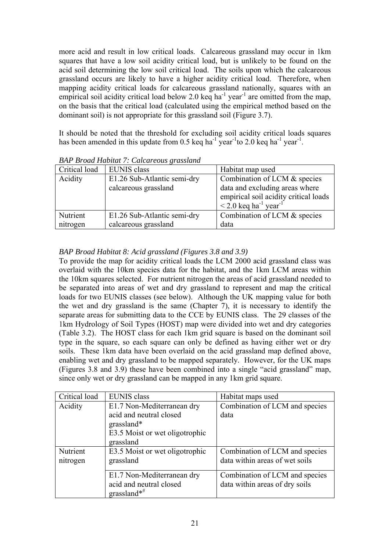more acid and result in low critical loads. Calcareous grassland may occur in 1km squares that have a low soil acidity critical load, but is unlikely to be found on the acid soil determining the low soil critical load. The soils upon which the calcareous grassland occurs are likely to have a higher acidity critical load. Therefore, when mapping acidity critical loads for calcareous grassland nationally, squares with an empirical soil acidity critical load below 2.0 keq ha<sup>-1</sup> year<sup>-1</sup> are omitted from the map, on the basis that the critical load (calculated using the empirical method based on the dominant soil) is not appropriate for this grassland soil (Figure 3.7).

It should be noted that the threshold for excluding soil acidity critical loads squares has been amended in this update from 0.5 keq ha<sup>-1</sup> year<sup>-1</sup>to 2.0 keq ha<sup>-1</sup> year<sup>-1</sup>.

| Critical load | <b>EUNIS</b> class          | Habitat map used                                   |
|---------------|-----------------------------|----------------------------------------------------|
| Acidity       | E1.26 Sub-Atlantic semi-dry | Combination of LCM & species                       |
|               | calcareous grassland        | data and excluding areas where                     |
|               |                             | empirical soil acidity critical loads              |
|               |                             | $\leq$ 2.0 keq ha <sup>-1</sup> year <sup>-1</sup> |
| Nutrient      | E1.26 Sub-Atlantic semi-dry | Combination of LCM & species                       |
| nitrogen      | calcareous grassland        | data                                               |

*BAP Broad Habitat 7: Calcareous grassland* 

### *BAP Broad Habitat 8: Acid grassland (Figures 3.8 and 3.9)*

To provide the map for acidity critical loads the LCM 2000 acid grassland class was overlaid with the 10km species data for the habitat, and the 1km LCM areas within the 10km squares selected. For nutrient nitrogen the areas of acid grassland needed to be separated into areas of wet and dry grassland to represent and map the critical loads for two EUNIS classes (see below). Although the UK mapping value for both the wet and dry grassland is the same (Chapter 7), it is necessary to identify the separate areas for submitting data to the CCE by EUNIS class. The 29 classes of the 1km Hydrology of Soil Types (HOST) map were divided into wet and dry categories (Table 3.2). The HOST class for each 1km grid square is based on the dominant soil type in the square, so each square can only be defined as having either wet or dry soils. These 1km data have been overlaid on the acid grassland map defined above, enabling wet and dry grassland to be mapped separately. However, for the UK maps (Figures 3.8 and 3.9) these have been combined into a single "acid grassland" map, since only wet or dry grassland can be mapped in any 1km grid square.

| Critical load | <b>EUNIS</b> class             | Habitat maps used              |
|---------------|--------------------------------|--------------------------------|
| Acidity       | E1.7 Non-Mediterranean dry     | Combination of LCM and species |
|               | acid and neutral closed        | data                           |
|               | grassland*                     |                                |
|               | E3.5 Moist or wet oligotrophic |                                |
|               | grassland                      |                                |
| Nutrient      | E3.5 Moist or wet oligotrophic | Combination of LCM and species |
| nitrogen      | grassland                      | data within areas of wet soils |
|               |                                |                                |
|               | E1.7 Non-Mediterranean dry     | Combination of LCM and species |
|               | acid and neutral closed        | data within areas of dry soils |
|               | grassland $*$ <sup>#</sup>     |                                |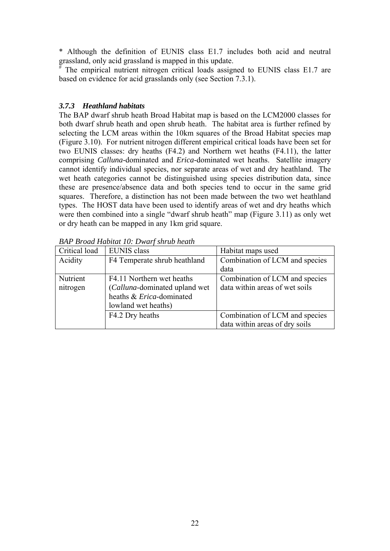\* Although the definition of EUNIS class E1.7 includes both acid and neutral grassland, only acid grassland is mapped in this update.

# The empirical nutrient nitrogen critical loads assigned to EUNIS class E1.7 are based on evidence for acid grasslands only (see Section 7.3.1).

#### *3.7.3 Heathland habitats*

The BAP dwarf shrub heath Broad Habitat map is based on the LCM2000 classes for both dwarf shrub heath and open shrub heath. The habitat area is further refined by selecting the LCM areas within the 10km squares of the Broad Habitat species map (Figure 3.10). For nutrient nitrogen different empirical critical loads have been set for two EUNIS classes: dry heaths (F4.2) and Northern wet heaths (F4.11), the latter comprising *Calluna*-dominated and *Erica*-dominated wet heaths. Satellite imagery cannot identify individual species, nor separate areas of wet and dry heathland. The wet heath categories cannot be distinguished using species distribution data, since these are presence/absence data and both species tend to occur in the same grid squares. Therefore, a distinction has not been made between the two wet heathland types. The HOST data have been used to identify areas of wet and dry heaths which were then combined into a single "dwarf shrub heath" map (Figure 3.11) as only wet or dry heath can be mapped in any 1km grid square.

| Critical load | <b>EUNIS</b> class            | Habitat maps used              |
|---------------|-------------------------------|--------------------------------|
| Acidity       | F4 Temperate shrub heathland  | Combination of LCM and species |
|               |                               | data                           |
| Nutrient      | F4.11 Northern wet heaths     | Combination of LCM and species |
| nitrogen      | (Calluna-dominated upland wet | data within areas of wet soils |
|               | heaths & Erica-dominated      |                                |
|               | lowland wet heaths)           |                                |
|               | F4.2 Dry heaths               | Combination of LCM and species |
|               |                               | data within areas of dry soils |

*BAP Broad Habitat 10: Dwarf shrub heath*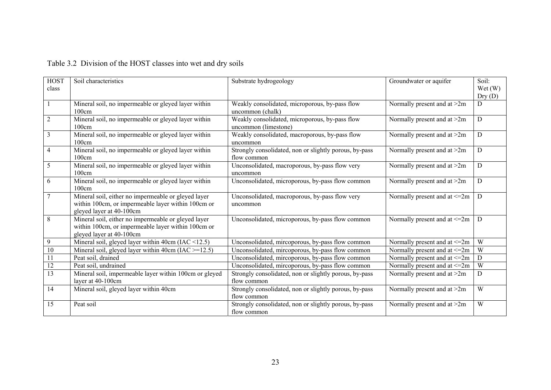# Table 3.2 Division of the HOST classes into wet and dry soils

| <b>HOST</b>      | Soil characteristics                                      | Substrate hydrogeology                                 | Groundwater or aquifer            | Soil:  |
|------------------|-----------------------------------------------------------|--------------------------------------------------------|-----------------------------------|--------|
| class            |                                                           |                                                        |                                   | Wet(W) |
|                  |                                                           |                                                        |                                   | Dry(D) |
|                  | Mineral soil, no impermeable or gleyed layer within       | Weakly consolidated, microporous, by-pass flow         | Normally present and at >2m       | D      |
|                  | 100cm                                                     | uncommon (chalk)                                       |                                   |        |
| $\overline{2}$   | Mineral soil, no impermeable or gleyed layer within       | Weakly consolidated, microporous, by-pass flow         | Normally present and at >2m       | D      |
|                  | 100cm                                                     | uncommon (limestone)                                   |                                   |        |
| 3                | Mineral soil, no impermeable or gleyed layer within       | Weakly consolidated, macroporous, by-pass flow         | Normally present and at >2m       | D      |
|                  | 100cm                                                     | uncommon                                               |                                   |        |
| 4                | Mineral soil, no impermeable or gleyed layer within       | Strongly consolidated, non or slightly porous, by-pass | Normally present and at >2m       | D      |
|                  | 100cm                                                     | flow common                                            |                                   |        |
| 5                | Mineral soil, no impermeable or gleyed layer within       | Unconsolidated, macroporous, by-pass flow very         | Normally present and at >2m       | D      |
|                  | 100cm                                                     | uncommon                                               |                                   |        |
| 6                | Mineral soil, no impermeable or gleyed layer within       | Unconsolidated, microporous, by-pass flow common       | Normally present and at >2m       | D      |
|                  | 100cm                                                     |                                                        |                                   |        |
| 7                | Mineral soil, either no impermeable or gleyed layer       | Unconsolidated, macroporous, by-pass flow very         | Normally present and at <= 2m     | D      |
|                  | within 100cm, or impermeable layer within 100cm or        | uncommon                                               |                                   |        |
|                  | gleyed layer at 40-100cm                                  |                                                        |                                   |        |
| 8                | Mineral soil, either no impermeable or gleyed layer       | Unconsolidated, microporous, by-pass flow common       | Normally present and at $\leq 2m$ | D      |
|                  | within 100cm, or impermeable layer within 100cm or        |                                                        |                                   |        |
|                  | gleyed layer at 40-100cm                                  |                                                        |                                   |        |
| $\boldsymbol{9}$ | Mineral soil, gleyed layer within $40cm$ (IAC <12.5)      | Unconsolidated, mircoporous, by-pass flow common       | Normally present and at $\leq 2m$ | W      |
| 10               | Mineral soil, gleyed layer within 40cm ( $IAC \ge 12.5$ ) | Unconsolidated, mircoporous, by-pass flow common       | Normally present and at <= 2m     | W      |
| 11               | Peat soil, drained                                        | Unconsolidated, mircoporous, by-pass flow common       | Normally present and at $\leq$ 2m | D      |
| 12               | Peat soil, undrained                                      | Unconsolidated, mircoporous, by-pass flow common       | Normally present and at $\leq$ 2m | W      |
| 13               | Mineral soil, impermeable layer within 100cm or gleyed    | Strongly consolidated, non or slightly porous, by-pass | Normally present and at $>2m$     | D      |
|                  | layer at 40-100cm                                         | flow common                                            |                                   |        |
| 14               | Mineral soil, gleyed layer within 40cm                    | Strongly consolidated, non or slightly porous, by-pass | Normally present and at >2m       | W      |
|                  |                                                           | flow common                                            |                                   |        |
| 15               | Peat soil                                                 | Strongly consolidated, non or slightly porous, by-pass | Normally present and at >2m       | W      |
|                  |                                                           | flow common                                            |                                   |        |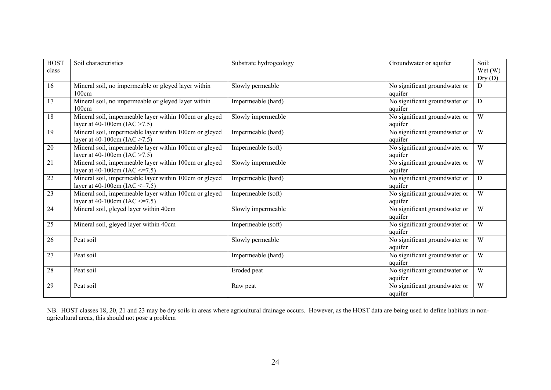| <b>HOST</b><br>class | Soil characteristics                                                                          | Substrate hydrogeology | Groundwater or aquifer                   | Soil:<br>Wet(W)<br>Dry(D) |
|----------------------|-----------------------------------------------------------------------------------------------|------------------------|------------------------------------------|---------------------------|
| 16                   | Mineral soil, no impermeable or gleyed layer within<br>100cm                                  | Slowly permeable       | No significant groundwater or<br>aquifer | D                         |
| 17                   | Mineral soil, no impermeable or gleyed layer within<br>100cm                                  | Impermeable (hard)     | No significant groundwater or<br>aquifer | D                         |
| 18                   | Mineral soil, impermeable layer within 100cm or gleyed<br>layer at 40-100cm (IAC $>7.5$ )     | Slowly impermeable     | No significant groundwater or<br>aquifer | W                         |
| 19                   | Mineral soil, impermeable layer within 100cm or gleyed<br>layer at 40-100cm (IAC $>7.5$ )     | Impermeable (hard)     | No significant groundwater or<br>aquifer | W                         |
| 20                   | Mineral soil, impermeable layer within 100cm or gleyed<br>layer at 40-100cm (IAC $>7.5$ )     | Impermeable (soft)     | No significant groundwater or<br>aquifer | W                         |
| $\overline{21}$      | Mineral soil, impermeable layer within 100cm or gleyed<br>layer at 40-100cm (IAC $\leq$ =7.5) | Slowly impermeable     | No significant groundwater or<br>aquifer | W                         |
| 22                   | Mineral soil, impermeable layer within 100cm or gleyed<br>layer at 40-100cm (IAC $\leq$ =7.5) | Impermeable (hard)     | No significant groundwater or<br>aquifer | D                         |
| 23                   | Mineral soil, impermeable layer within 100cm or gleyed<br>layer at 40-100cm (IAC $\leq$ =7.5) | Impermeable (soft)     | No significant groundwater or<br>aquifer | W                         |
| 24                   | Mineral soil, gleyed layer within 40cm                                                        | Slowly impermeable     | No significant groundwater or<br>aquifer | W                         |
| 25                   | Mineral soil, gleyed layer within 40cm                                                        | Impermeable (soft)     | No significant groundwater or<br>aquifer | W                         |
| 26                   | Peat soil                                                                                     | Slowly permeable       | No significant groundwater or<br>aquifer | W                         |
| 27                   | Peat soil                                                                                     | Impermeable (hard)     | No significant groundwater or<br>aquifer | W                         |
| 28                   | Peat soil                                                                                     | Eroded peat            | No significant groundwater or<br>aquifer | W                         |
| 29                   | Peat soil                                                                                     | Raw peat               | No significant groundwater or<br>aquifer | W                         |

NB. HOST classes 18, 20, 21 and 23 may be dry soils in areas where agricultural drainage occurs. However, as the HOST data are being used to define habitats in nonagricultural areas, this should not pose a problem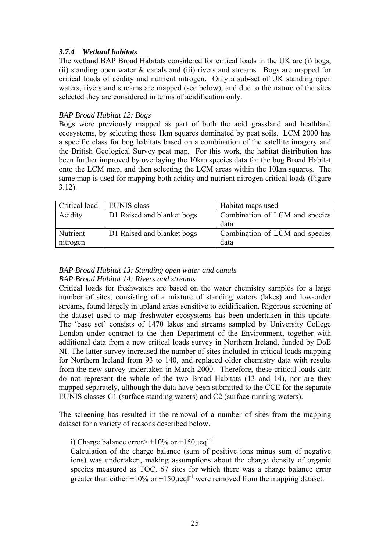### *3.7.4 Wetland habitats*

The wetland BAP Broad Habitats considered for critical loads in the UK are (i) bogs, (ii) standing open water & canals and (iii) rivers and streams. Bogs are mapped for critical loads of acidity and nutrient nitrogen. Only a sub-set of UK standing open waters, rivers and streams are mapped (see below), and due to the nature of the sites selected they are considered in terms of acidification only.

### *BAP Broad Habitat 12: Bogs*

Bogs were previously mapped as part of both the acid grassland and heathland ecosystems, by selecting those 1km squares dominated by peat soils. LCM 2000 has a specific class for bog habitats based on a combination of the satellite imagery and the British Geological Survey peat map. For this work, the habitat distribution has been further improved by overlaying the 10km species data for the bog Broad Habitat onto the LCM map, and then selecting the LCM areas within the 10km squares. The same map is used for mapping both acidity and nutrient nitrogen critical loads (Figure 3.12).

| Critical load | EUNIS class                | Habitat maps used              |
|---------------|----------------------------|--------------------------------|
| Acidity       | D1 Raised and blanket bogs | Combination of LCM and species |
|               |                            | data                           |
| Nutrient      | D1 Raised and blanket bogs | Combination of LCM and species |
| nitrogen      |                            | data                           |

#### *BAP Broad Habitat 13: Standing open water and canals BAP Broad Habitat 14: Rivers and streams*

Critical loads for freshwaters are based on the water chemistry samples for a large number of sites, consisting of a mixture of standing waters (lakes) and low-order streams, found largely in upland areas sensitive to acidification. Rigorous screening of the dataset used to map freshwater ecosystems has been undertaken in this update. The 'base set' consists of 1470 lakes and streams sampled by University College London under contract to the then Department of the Environment, together with additional data from a new critical loads survey in Northern Ireland, funded by DoE NI. The latter survey increased the number of sites included in critical loads mapping for Northern Ireland from 93 to 140, and replaced older chemistry data with results from the new survey undertaken in March 2000. Therefore, these critical loads data do not represent the whole of the two Broad Habitats (13 and 14), nor are they mapped separately, although the data have been submitted to the CCE for the separate EUNIS classes C1 (surface standing waters) and C2 (surface running waters).

The screening has resulted in the removal of a number of sites from the mapping dataset for a variety of reasons described below.

i) Charge balance error  $> \pm 10\%$  or  $\pm 150$  uegl<sup>-1</sup>

Calculation of the charge balance (sum of positive ions minus sum of negative ions) was undertaken, making assumptions about the charge density of organic species measured as TOC. 67 sites for which there was a charge balance error greater than either  $\pm 10\%$  or  $\pm 150$  usual  $^{-1}$  were removed from the mapping dataset.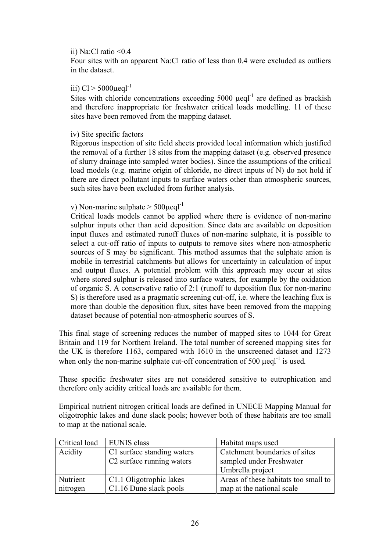#### ii) Na:Cl ratio <0.4

Four sites with an apparent Na:Cl ratio of less than 0.4 were excluded as outliers in the dataset.

#### iii)  $Cl > 5000 \mu$ eql<sup>-1</sup>

Sites with chloride concentrations exceeding  $5000$  ueql<sup>-1</sup> are defined as brackish and therefore inappropriate for freshwater critical loads modelling. 11 of these sites have been removed from the mapping dataset.

#### iv) Site specific factors

Rigorous inspection of site field sheets provided local information which justified the removal of a further 18 sites from the mapping dataset (e.g. observed presence of slurry drainage into sampled water bodies). Since the assumptions of the critical load models (e.g. marine origin of chloride, no direct inputs of N) do not hold if there are direct pollutant inputs to surface waters other than atmospheric sources, such sites have been excluded from further analysis.

### v) Non-marine sulphate  $>$  500 $\mu$ eql<sup>-1</sup>

Critical loads models cannot be applied where there is evidence of non-marine sulphur inputs other than acid deposition. Since data are available on deposition input fluxes and estimated runoff fluxes of non-marine sulphate, it is possible to select a cut-off ratio of inputs to outputs to remove sites where non-atmospheric sources of S may be significant. This method assumes that the sulphate anion is mobile in terrestrial catchments but allows for uncertainty in calculation of input and output fluxes. A potential problem with this approach may occur at sites where stored sulphur is released into surface waters, for example by the oxidation of organic S. A conservative ratio of 2:1 (runoff to deposition flux for non-marine S) is therefore used as a pragmatic screening cut-off, i.e. where the leaching flux is more than double the deposition flux, sites have been removed from the mapping dataset because of potential non-atmospheric sources of S.

This final stage of screening reduces the number of mapped sites to 1044 for Great Britain and 119 for Northern Ireland. The total number of screened mapping sites for the UK is therefore 1163, compared with 1610 in the unscreened dataset and 1273 when only the non-marine sulphate cut-off concentration of 500  $\mu$ eql<sup>-1</sup> is used.

These specific freshwater sites are not considered sensitive to eutrophication and therefore only acidity critical loads are available for them.

Empirical nutrient nitrogen critical loads are defined in UNECE Mapping Manual for oligotrophic lakes and dune slack pools; however both of these habitats are too small to map at the national scale.

| Critical load | <b>EUNIS</b> class                    | Habitat maps used                    |  |
|---------------|---------------------------------------|--------------------------------------|--|
| Acidity       | C1 surface standing waters            | Catchment boundaries of sites        |  |
|               | C <sub>2</sub> surface running waters | sampled under Freshwater             |  |
|               |                                       | Umbrella project                     |  |
| Nutrient      | C1.1 Oligotrophic lakes               | Areas of these habitats too small to |  |
| nitrogen      | C1.16 Dune slack pools                | map at the national scale            |  |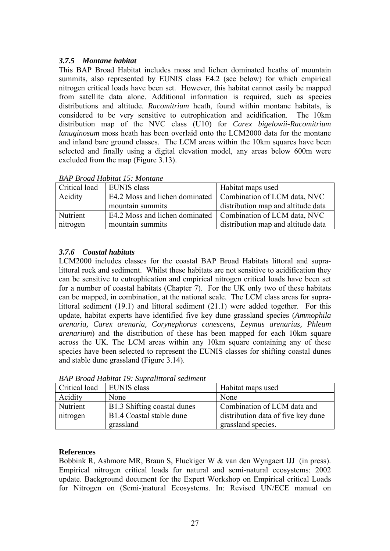### *3.7.5 Montane habitat*

This BAP Broad Habitat includes moss and lichen dominated heaths of mountain summits, also represented by EUNIS class E4.2 (see below) for which empirical nitrogen critical loads have been set. However, this habitat cannot easily be mapped from satellite data alone. Additional information is required, such as species distributions and altitude. *Racomitrium* heath, found within montane habitats, is considered to be very sensitive to eutrophication and acidification. The 10km distribution map of the NVC class (U10) for *Carex bigelowii-Racomitrium lanuginosum* moss heath has been overlaid onto the LCM2000 data for the montane and inland bare ground classes. The LCM areas within the 10km squares have been selected and finally using a digital elevation model, any areas below 600m were excluded from the map (Figure 3.13).

| <b>DIM DIVAA HADHAI IS, MONANO</b> |                                                               |                                    |  |  |  |
|------------------------------------|---------------------------------------------------------------|------------------------------------|--|--|--|
| Critical load                      | <b>EUNIS</b> class                                            | Habitat maps used                  |  |  |  |
| Acidity                            | E4.2 Moss and lichen dominated   Combination of LCM data, NVC |                                    |  |  |  |
|                                    | mountain summits                                              | distribution map and altitude data |  |  |  |
| Nutrient                           | E4.2 Moss and lichen dominated   Combination of LCM data, NVC |                                    |  |  |  |
| nitrogen                           | mountain summits                                              | distribution map and altitude data |  |  |  |

*BAP Broad Habitat 15: Montane* 

### *3.7.6 Coastal habitats*

LCM2000 includes classes for the coastal BAP Broad Habitats littoral and supralittoral rock and sediment. Whilst these habitats are not sensitive to acidification they can be sensitive to eutrophication and empirical nitrogen critical loads have been set for a number of coastal habitats (Chapter 7). For the UK only two of these habitats can be mapped, in combination, at the national scale. The LCM class areas for supralittoral sediment (19.1) and littoral sediment (21.1) were added together. For this update, habitat experts have identified five key dune grassland species (*Ammophila arenaria, Carex arenaria, Corynephorus canescens, Leymus arenarius, Phleum arenarium*) and the distribution of these has been mapped for each 10km square across the UK. The LCM areas within any 10km square containing any of these species have been selected to represent the EUNIS classes for shifting coastal dunes and stable dune grassland (Figure 3.14).

| Critical load | EUNIS class                 | Habitat maps used                  |
|---------------|-----------------------------|------------------------------------|
| Acidity       | None                        | None                               |
| Nutrient      | B1.3 Shifting coastal dunes | Combination of LCM data and        |
| nitrogen      | B1.4 Coastal stable dune    | distribution data of five key dune |
|               | grassland                   | grassland species.                 |

*BAP Broad Habitat 19: Supralittoral sediment*

### **References**

Bobbink R, Ashmore MR, Braun S, Fluckiger W & van den Wyngaert IJJ (in press). Empirical nitrogen critical loads for natural and semi-natural ecosystems: 2002 update. Background document for the Expert Workshop on Empirical critical Loads for Nitrogen on (Semi-)natural Ecosystems. In: Revised UN/ECE manual on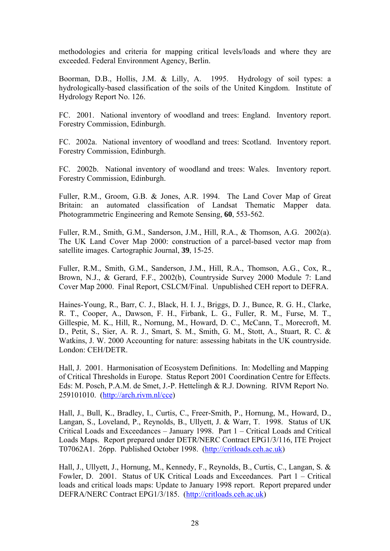methodologies and criteria for mapping critical levels/loads and where they are exceeded. Federal Environment Agency, Berlin.

Boorman, D.B., Hollis, J.M. & Lilly, A. 1995. Hydrology of soil types: a hydrologically-based classification of the soils of the United Kingdom. Institute of Hydrology Report No. 126.

FC. 2001. National inventory of woodland and trees: England. Inventory report. Forestry Commission, Edinburgh.

FC. 2002a. National inventory of woodland and trees: Scotland. Inventory report. Forestry Commission, Edinburgh.

FC. 2002b. National inventory of woodland and trees: Wales. Inventory report. Forestry Commission, Edinburgh.

Fuller, R.M., Groom, G.B. & Jones, A.R. 1994. The Land Cover Map of Great Britain: an automated classification of Landsat Thematic Mapper data. Photogrammetric Engineering and Remote Sensing, **60**, 553-562.

Fuller, R.M., Smith, G.M., Sanderson, J.M., Hill, R.A., & Thomson, A.G. 2002(a). The UK Land Cover Map 2000: construction of a parcel-based vector map from satellite images. Cartographic Journal, **39**, 15-25.

Fuller, R.M., Smith, G.M., Sanderson, J.M., Hill, R.A., Thomson, A.G., Cox, R., Brown, N.J., & Gerard, F.F., 2002(b), Countryside Survey 2000 Module 7: Land Cover Map 2000. Final Report, CSLCM/Final. Unpublished CEH report to DEFRA.

Haines-Young, R., Barr, C. J., Black, H. I. J., Briggs, D. J., Bunce, R. G. H., Clarke, R. T., Cooper, A., Dawson, F. H., Firbank, L. G., Fuller, R. M., Furse, M. T., Gillespie, M. K., Hill, R., Nornung, M., Howard, D. C., McCann, T., Morecroft, M. D., Petit, S., Sier, A. R. J., Smart, S. M., Smith, G. M., Stott, A., Stuart, R. C. & Watkins, J. W. 2000 Accounting for nature: assessing habitats in the UK countryside. London: CEH/DETR.

Hall, J. 2001. Harmonisation of Ecosystem Definitions. In: Modelling and Mapping of Critical Thresholds in Europe. Status Report 2001 Coordination Centre for Effects. Eds: M. Posch, P.A.M. de Smet, J.-P. Hettelingh & R.J. Downing. RIVM Report No. 259101010. ([http://arch.rivm.nl/cce\)](http://arch.rivm.nl/cce)

Hall, J., Bull, K., Bradley, I., Curtis, C., Freer-Smith, P., Hornung, M., Howard, D., Langan, S., Loveland, P., Reynolds, B., Ullyett, J. & Warr, T. 1998. Status of UK Critical Loads and Exceedances – January 1998. Part 1 – Critical Loads and Critical Loads Maps. Report prepared under DETR/NERC Contract EPG1/3/116, ITE Project T07062A1. 26pp. Published October 1998. ([http://critloads.ceh.ac.uk](http://critloads.ceh.ac.uk/))

Hall, J., Ullyett, J., Hornung, M., Kennedy, F., Reynolds, B., Curtis, C., Langan, S. & Fowler, D. 2001. Status of UK Critical Loads and Exceedances. Part 1 – Critical loads and critical loads maps: Update to January 1998 report. Report prepared under DEFRA/NERC Contract EPG1/3/185. [\(http://critloads.ceh.ac.uk\)](http://critloads.ceh.ac.uk/)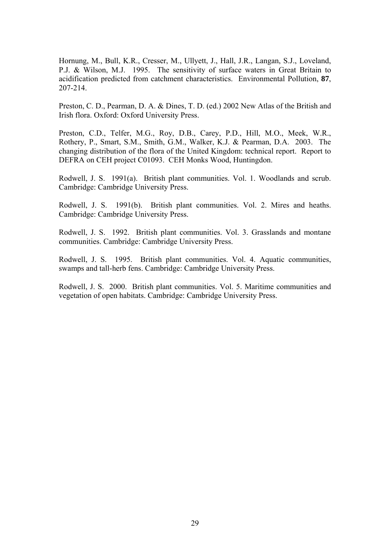Hornung, M., Bull, K.R., Cresser, M., Ullyett, J., Hall, J.R., Langan, S.J., Loveland, P.J. & Wilson, M.J. 1995. The sensitivity of surface waters in Great Britain to acidification predicted from catchment characteristics. Environmental Pollution, **87**, 207-214.

Preston, C. D., Pearman, D. A. & Dines, T. D. (ed.) 2002 New Atlas of the British and Irish flora. Oxford: Oxford University Press.

Preston, C.D., Telfer, M.G., Roy, D.B., Carey, P.D., Hill, M.O., Meek, W.R., Rothery, P., Smart, S.M., Smith, G.M., Walker, K.J. & Pearman, D.A. 2003. The changing distribution of the flora of the United Kingdom: technical report. Report to DEFRA on CEH project C01093. CEH Monks Wood, Huntingdon.

Rodwell, J. S. 1991(a). British plant communities. Vol. 1. Woodlands and scrub. Cambridge: Cambridge University Press.

Rodwell, J. S. 1991(b). British plant communities. Vol. 2. Mires and heaths. Cambridge: Cambridge University Press.

Rodwell, J. S. 1992. British plant communities. Vol. 3. Grasslands and montane communities. Cambridge: Cambridge University Press.

Rodwell, J. S. 1995. British plant communities. Vol. 4. Aquatic communities, swamps and tall-herb fens. Cambridge: Cambridge University Press.

Rodwell, J. S. 2000. British plant communities. Vol. 5. Maritime communities and vegetation of open habitats. Cambridge: Cambridge University Press.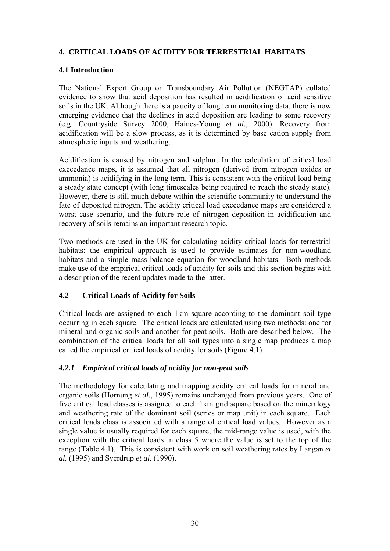# **4. CRITICAL LOADS OF ACIDITY FOR TERRESTRIAL HABITATS**

### **4.1 Introduction**

The National Expert Group on Transboundary Air Pollution (NEGTAP) collated evidence to show that acid deposition has resulted in acidification of acid sensitive soils in the UK. Although there is a paucity of long term monitoring data, there is now emerging evidence that the declines in acid deposition are leading to some recovery (e.g. Countryside Survey 2000, Haines-Young *et al.*, 2000). Recovery from acidification will be a slow process, as it is determined by base cation supply from atmospheric inputs and weathering.

Acidification is caused by nitrogen and sulphur. In the calculation of critical load exceedance maps, it is assumed that all nitrogen (derived from nitrogen oxides or ammonia) is acidifying in the long term. This is consistent with the critical load being a steady state concept (with long timescales being required to reach the steady state). However, there is still much debate within the scientific community to understand the fate of deposited nitrogen. The acidity critical load exceedance maps are considered a worst case scenario, and the future role of nitrogen deposition in acidification and recovery of soils remains an important research topic.

Two methods are used in the UK for calculating acidity critical loads for terrestrial habitats: the empirical approach is used to provide estimates for non-woodland habitats and a simple mass balance equation for woodland habitats. Both methods make use of the empirical critical loads of acidity for soils and this section begins with a description of the recent updates made to the latter.

### **4.2 Critical Loads of Acidity for Soils**

Critical loads are assigned to each 1km square according to the dominant soil type occurring in each square. The critical loads are calculated using two methods: one for mineral and organic soils and another for peat soils. Both are described below. The combination of the critical loads for all soil types into a single map produces a map called the empirical critical loads of acidity for soils (Figure 4.1).

### *4.2.1 Empirical critical loads of acidity for non-peat soils*

The methodology for calculating and mapping acidity critical loads for mineral and organic soils (Hornung *et al.*, 1995) remains unchanged from previous years. One of five critical load classes is assigned to each 1km grid square based on the mineralogy and weathering rate of the dominant soil (series or map unit) in each square.Each critical loads class is associated with a range of critical load values. However as a single value is usually required for each square, the mid-range value is used, with the exception with the critical loads in class 5 where the value is set to the top of the range (Table 4.1). This is consistent with work on soil weathering rates by Langan *et al.* (1995) and Sverdrup *et al.* (1990).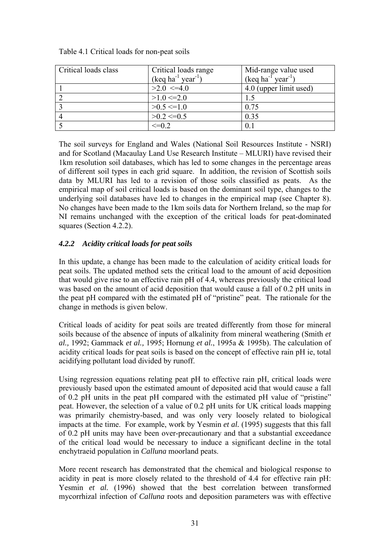| Critical loads class | Critical loads range                     | Mid-range value used                     |
|----------------------|------------------------------------------|------------------------------------------|
|                      | $(\text{keq ha}^{-1} \text{ year}^{-1})$ | $(\text{keq ha}^{-1} \text{ year}^{-1})$ |
|                      | $>2.0$ <=4.0                             | 4.0 (upper limit used)                   |
|                      | $>1.0 \le 2.0$                           |                                          |
|                      | $>0.5 \le 1.0$                           | 0.75                                     |
|                      | $>0.2 \le 0.5$                           | 0.35                                     |
|                      | $\leq=0.2$                               | 0.1                                      |

Table 4.1 Critical loads for non-peat soils

The soil surveys for England and Wales (National Soil Resources Institute - NSRI) and for Scotland (Macaulay Land Use Research Institute – MLURI) have revised their 1km resolution soil databases, which has led to some changes in the percentage areas of different soil types in each grid square. In addition, the revision of Scottish soils data by MLURI has led to a revision of those soils classified as peats. As the empirical map of soil critical loads is based on the dominant soil type, changes to the underlying soil databases have led to changes in the empirical map (see Chapter 8). No changes have been made to the 1km soils data for Northern Ireland, so the map for NI remains unchanged with the exception of the critical loads for peat-dominated squares (Section 4.2.2).

### *4.2.2 Acidity critical loads for peat soils*

In this update, a change has been made to the calculation of acidity critical loads for peat soils. The updated method sets the critical load to the amount of acid deposition that would give rise to an effective rain pH of 4.4, whereas previously the critical load was based on the amount of acid deposition that would cause a fall of 0.2 pH units in the peat pH compared with the estimated pH of "pristine" peat. The rationale for the change in methods is given below.

Critical loads of acidity for peat soils are treated differently from those for mineral soils because of the absence of inputs of alkalinity from mineral weathering (Smith *et al.,* 1992; Gammack *et al.,* 1995; Hornung *et al.*, 1995a & 1995b). The calculation of acidity critical loads for peat soils is based on the concept of effective rain pH ie, total acidifying pollutant load divided by runoff.

Using regression equations relating peat pH to effective rain pH, critical loads were previously based upon the estimated amount of deposited acid that would cause a fall of 0.2 pH units in the peat pH compared with the estimated pH value of "pristine" peat. However, the selection of a value of 0.2 pH units for UK critical loads mapping was primarily chemistry-based, and was only very loosely related to biological impacts at the time. For example, work by Yesmin *et al.* (1995) suggests that this fall of 0.2 pH units may have been over-precautionary and that a substantial exceedance of the critical load would be necessary to induce a significant decline in the total enchytraeid population in *Calluna* moorland peats.

More recent research has demonstrated that the chemical and biological response to acidity in peat is more closely related to the threshold of 4.4 for effective rain pH: Yesmin *et al.* (1996) showed that the best correlation between transformed mycorrhizal infection of *Calluna* roots and deposition parameters was with effective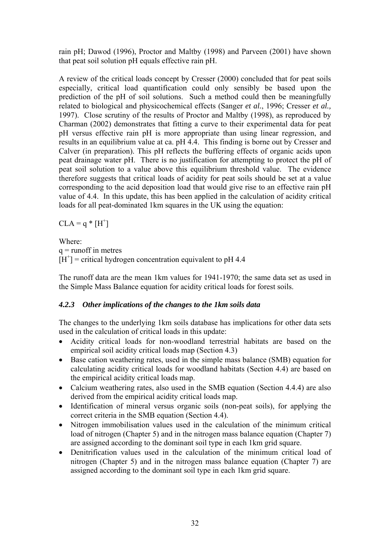rain pH; Dawod (1996), Proctor and Maltby (1998) and Parveen (2001) have shown that peat soil solution pH equals effective rain pH.

A review of the critical loads concept by Cresser (2000) concluded that for peat soils especially, critical load quantification could only sensibly be based upon the prediction of the pH of soil solutions. Such a method could then be meaningfully related to biological and physicochemical effects (Sanger *et al.*, 1996; Cresser *et al.,* 1997). Close scrutiny of the results of Proctor and Maltby (1998), as reproduced by Charman (2002) demonstrates that fitting a curve to their experimental data for peat pH versus effective rain pH is more appropriate than using linear regression, and results in an equilibrium value at ca. pH 4.4. This finding is borne out by Cresser and Calver (in preparation). This pH reflects the buffering effects of organic acids upon peat drainage water pH. There is no justification for attempting to protect the pH of peat soil solution to a value above this equilibrium threshold value. The evidence therefore suggests that critical loads of acidity for peat soils should be set at a value corresponding to the acid deposition load that would give rise to an effective rain pH value of 4.4. In this update, this has been applied in the calculation of acidity critical loads for all peat-dominated 1km squares in the UK using the equation:

 $CLA = q * [H^+]$ 

Where:  $q =$  runoff in metres  $[H^+]$  = critical hydrogen concentration equivalent to pH 4.4

The runoff data are the mean 1km values for 1941-1970; the same data set as used in the Simple Mass Balance equation for acidity critical loads for forest soils.

### *4.2.3 Other implications of the changes to the 1km soils data*

The changes to the underlying 1km soils database has implications for other data sets used in the calculation of critical loads in this update:

- Acidity critical loads for non-woodland terrestrial habitats are based on the empirical soil acidity critical loads map (Section 4.3)
- Base cation weathering rates, used in the simple mass balance (SMB) equation for calculating acidity critical loads for woodland habitats (Section 4.4) are based on the empirical acidity critical loads map.
- Calcium weathering rates, also used in the SMB equation (Section 4.4.4) are also derived from the empirical acidity critical loads map.
- Identification of mineral versus organic soils (non-peat soils), for applying the correct criteria in the SMB equation (Section 4.4).
- Nitrogen immobilisation values used in the calculation of the minimum critical load of nitrogen (Chapter 5) and in the nitrogen mass balance equation (Chapter 7) are assigned according to the dominant soil type in each 1km grid square.
- Denitrification values used in the calculation of the minimum critical load of nitrogen (Chapter 5) and in the nitrogen mass balance equation (Chapter 7) are assigned according to the dominant soil type in each 1km grid square.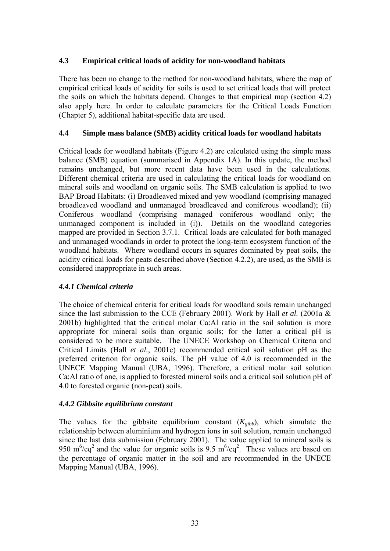### **4.3 Empirical critical loads of acidity for non-woodland habitats**

There has been no change to the method for non-woodland habitats, where the map of empirical critical loads of acidity for soils is used to set critical loads that will protect the soils on which the habitats depend. Changes to that empirical map (section 4.2) also apply here. In order to calculate parameters for the Critical Loads Function (Chapter 5), additional habitat-specific data are used.

### **4.4 Simple mass balance (SMB) acidity critical loads for woodland habitats**

Critical loads for woodland habitats (Figure 4.2) are calculated using the simple mass balance (SMB) equation (summarised in Appendix 1A). In this update, the method remains unchanged, but more recent data have been used in the calculations. Different chemical criteria are used in calculating the critical loads for woodland on mineral soils and woodland on organic soils. The SMB calculation is applied to two BAP Broad Habitats: (i) Broadleaved mixed and yew woodland (comprising managed broadleaved woodland and unmanaged broadleaved and coniferous woodland); (ii) Coniferous woodland (comprising managed coniferous woodland only; the unmanaged component is included in (i)). Details on the woodland categories mapped are provided in Section 3.7.1. Critical loads are calculated for both managed and unmanaged woodlands in order to protect the long-term ecosystem function of the woodland habitats. Where woodland occurs in squares dominated by peat soils, the acidity critical loads for peats described above (Section 4.2.2), are used, as the SMB is considered inappropriate in such areas.

### *4.4.1 Chemical criteria*

The choice of chemical criteria for critical loads for woodland soils remain unchanged since the last submission to the CCE (February 2001). Work by Hall *et al.* (2001a & 2001b) highlighted that the critical molar Ca:Al ratio in the soil solution is more appropriate for mineral soils than organic soils; for the latter a critical pH is considered to be more suitable. The UNECE Workshop on Chemical Criteria and Critical Limits (Hall *et al.*, 2001c) recommended critical soil solution pH as the preferred criterion for organic soils. The pH value of 4.0 is recommended in the UNECE Mapping Manual (UBA, 1996). Therefore, a critical molar soil solution Ca:Al ratio of one, is applied to forested mineral soils and a critical soil solution pH of 4.0 to forested organic (non-peat) soils.

#### *4.4.2 Gibbsite equilibrium constant*

The values for the gibbsite equilibrium constant  $(K_{\alpha ibb})$ , which simulate the relationship between aluminium and hydrogen ions in soil solution, remain unchanged since the last data submission (February 2001). The value applied to mineral soils is 950 m<sup>6</sup>/eq<sup>2</sup> and the value for organic soils is 9.5 m<sup>6</sup>/eq<sup>2</sup>. These values are based on the percentage of organic matter in the soil and are recommended in the UNECE Mapping Manual (UBA, 1996).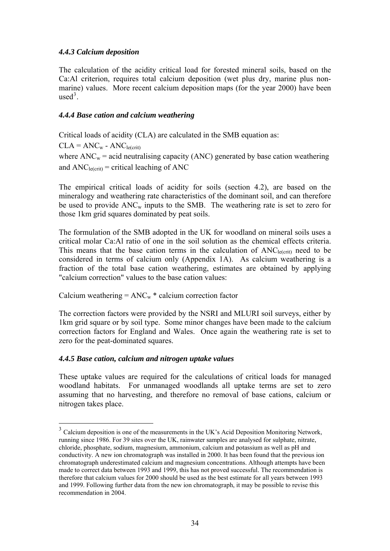### <span id="page-33-0"></span>*4.4.3 Calcium deposition*

The calculation of the acidity critical load for forested mineral soils, based on the Ca:Al criterion, requires total calcium deposition (wet plus dry, marine plus nonmarine) values. More recent calcium deposition maps (for the year 2000) have been  $used<sup>3</sup>$  $used<sup>3</sup>$  $used<sup>3</sup>$ .

### *4.4.4 Base cation and calcium weathering*

Critical loads of acidity (CLA) are calculated in the SMB equation as:

 $CLA = ANC<sub>w</sub> - ANC<sub>le(crit)</sub>$ where  $\text{ANC}_w$  = acid neutralising capacity (ANC) generated by base cation weathering and  $ANC<sub>le(crit)</sub> = critical leading of ANC$ 

The empirical critical loads of acidity for soils (section 4.2), are based on the mineralogy and weathering rate characteristics of the dominant soil, and can therefore be used to provide  $ANC_w$  inputs to the SMB. The weathering rate is set to zero for those 1km grid squares dominated by peat soils.

The formulation of the SMB adopted in the UK for woodland on mineral soils uses a critical molar Ca:Al ratio of one in the soil solution as the chemical effects criteria. This means that the base cation terms in the calculation of  $ANC<sub>le(crit)</sub>$  need to be considered in terms of calcium only (Appendix 1A). As calcium weathering is a fraction of the total base cation weathering, estimates are obtained by applying "calcium correction" values to the base cation values:

Calcium weathering  $= ANC_w *$  calcium correction factor

The correction factors were provided by the NSRI and MLURI soil surveys, either by 1km grid square or by soil type. Some minor changes have been made to the calcium correction factors for England and Wales. Once again the weathering rate is set to zero for the peat-dominated squares.

### *4.4.5 Base cation, calcium and nitrogen uptake values*

 $\overline{a}$ 

These uptake values are required for the calculations of critical loads for managed woodland habitats. For unmanaged woodlands all uptake terms are set to zero assuming that no harvesting, and therefore no removal of base cations, calcium or nitrogen takes place.

<sup>&</sup>lt;sup>3</sup> Calcium deposition is one of the measurements in the UK's Acid Deposition Monitoring Network, running since 1986. For 39 sites over the UK, rainwater samples are analysed for sulphate, nitrate, chloride, phosphate, sodium, magnesium, ammonium, calcium and potassium as well as pH and conductivity. A new ion chromatograph was installed in 2000. It has been found that the previous ion chromatograph underestimated calcium and magnesium concentrations. Although attempts have been made to correct data between 1993 and 1999, this has not proved successful. The recommendation is therefore that calcium values for 2000 should be used as the best estimate for all years between 1993 and 1999. Following further data from the new ion chromatograph, it may be possible to revise this recommendation in 2004.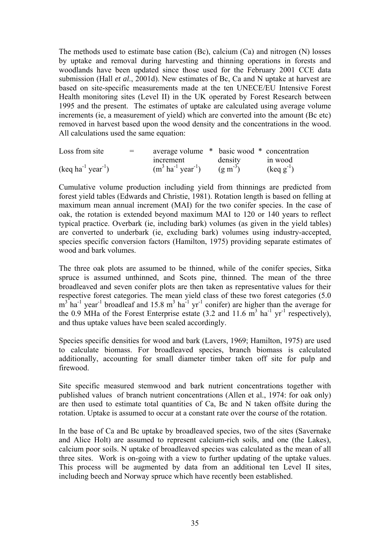The methods used to estimate base cation (Bc), calcium (Ca) and nitrogen (N) losses by uptake and removal during harvesting and thinning operations in forests and woodlands have been updated since those used for the February 2001 CCE data submission (Hall *et al.*, 2001d). New estimates of Bc, Ca and N uptake at harvest are based on site-specific measurements made at the ten UNECE/EU Intensive Forest Health monitoring sites (Level II) in the UK operated by Forest Research between 1995 and the present. The estimates of uptake are calculated using average volume increments (ie, a measurement of yield) which are converted into the amount (Bc etc) removed in harvest based upon the wood density and the concentrations in the wood. All calculations used the same equation:

| Loss from site                           | $=$ | average volume * basic wood * concentration |           |                       |
|------------------------------------------|-----|---------------------------------------------|-----------|-----------------------|
|                                          |     | increment                                   | density   | in wood               |
| $(\text{keq ha}^{-1} \text{ year}^{-1})$ |     | $(m^3 \text{ ha}^{-1} \text{ year}^{-1})$   | $(g m-3)$ | $(\text{keq g}^{-1})$ |

Cumulative volume production including yield from thinnings are predicted from forest yield tables (Edwards and Christie, 1981). Rotation length is based on felling at maximum mean annual increment (MAI) for the two conifer species. In the case of oak, the rotation is extended beyond maximum MAI to 120 or 140 years to reflect typical practice. Overbark (ie, including bark) volumes (as given in the yield tables) are converted to underbark (ie, excluding bark) volumes using industry-accepted, species specific conversion factors (Hamilton, 1975) providing separate estimates of wood and bark volumes.

The three oak plots are assumed to be thinned, while of the conifer species, Sitka spruce is assumed unthinned, and Scots pine, thinned. The mean of the three broadleaved and seven conifer plots are then taken as representative values for their respective forest categories. The mean yield class of these two forest categories (5.0  $m<sup>3</sup>$  ha<sup>-1</sup> year<sup>-1</sup> broadleaf and 15.8 m<sup>3</sup> ha<sup>-1</sup> yr<sup>-1</sup> conifer) are higher than the average for the 0.9 MHa of the Forest Enterprise estate  $(3.2 \text{ and } 11.6 \text{ m}^3 \text{ ha}^{-1} \text{ yr}^{-1}$  respectively), and thus uptake values have been scaled accordingly.

Species specific densities for wood and bark (Lavers, 1969; Hamilton, 1975) are used to calculate biomass. For broadleaved species, branch biomass is calculated additionally, accounting for small diameter timber taken off site for pulp and firewood.

Site specific measured stemwood and bark nutrient concentrations together with published values of branch nutrient concentrations (Allen et al., 1974: for oak only) are then used to estimate total quantities of Ca, Bc and N taken offsite during the rotation. Uptake is assumed to occur at a constant rate over the course of the rotation.

In the base of Ca and Bc uptake by broadleaved species, two of the sites (Savernake and Alice Holt) are assumed to represent calcium-rich soils, and one (the Lakes), calcium poor soils. N uptake of broadleaved species was calculated as the mean of all three sites. Work is on-going with a view to further updating of the uptake values. This process will be augmented by data from an additional ten Level II sites, including beech and Norway spruce which have recently been established.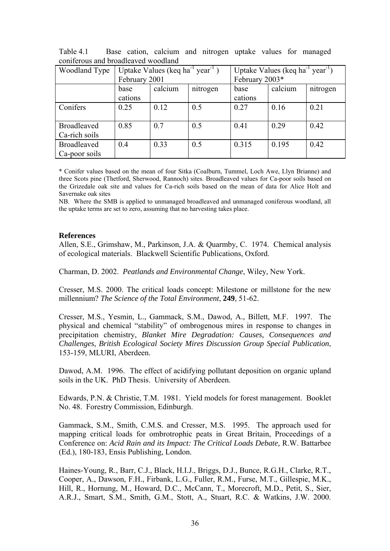| Woodland Type                       | Uptake Values (keq ha <sup>-1</sup> year <sup>-1</sup> ) |         |          | Uptake Values (keq ha <sup>-1</sup> year <sup>-1</sup> ) |         |          |
|-------------------------------------|----------------------------------------------------------|---------|----------|----------------------------------------------------------|---------|----------|
|                                     | February 2001                                            |         |          | February 2003*                                           |         |          |
|                                     | base                                                     | calcium | nitrogen | base                                                     | calcium | nitrogen |
|                                     | cations                                                  |         |          | cations                                                  |         |          |
| Conifers                            | 0.25                                                     | 0.12    | 0.5      | 0.27                                                     | 0.16    | 0.21     |
| <b>Broadleaved</b><br>Ca-rich soils | 0.85                                                     | 0.7     | 0.5      | 0.41                                                     | 0.29    | 0.42     |
| <b>Broadleaved</b><br>Ca-poor soils | 0.4                                                      | 0.33    | 0.5      | 0.315                                                    | 0.195   | 0.42     |

Table 4.1 Base cation, calcium and nitrogen uptake values for managed coniferous and broadleaved woodland

\* Conifer values based on the mean of four Sitka (Coalburn, Tummel, Loch Awe, Llyn Brianne) and three Scots pine (Thetford, Sherwood, Rannoch) sites. Broadleaved values for Ca-poor soils based on the Grizedale oak site and values for Ca-rich soils based on the mean of data for Alice Holt and Savernake oak sites

NB. Where the SMB is applied to unmanaged broadleaved and unmanaged coniferous woodland, all the uptake terms are set to zero, assuming that no harvesting takes place.

#### **References**

Allen, S.E., Grimshaw, M., Parkinson, J.A. & Quarmby, C. 1974. Chemical analysis of ecological materials. Blackwell Scientific Publications, Oxford.

Charman, D. 2002. *Peatlands and Environmental Change*, Wiley, New York.

Cresser, M.S. 2000. The critical loads concept: Milestone or millstone for the new millennium? *The Science of the Total Environment*, **249**, 51-62.

Cresser, M.S., Yesmin, L., Gammack, S.M., Dawod, A., Billett, M.F. 1997. The physical and chemical "stability" of ombrogenous mires in response to changes in precipitation chemistry, *Blanket Mire Degradation: Causes, Consequences and Challenges, British Ecological Society Mires Discussion Group Special Publication*, 153-159, MLURI, Aberdeen.

Dawod, A.M. 1996. The effect of acidifying pollutant deposition on organic upland soils in the UK. PhD Thesis. University of Aberdeen.

Edwards, P.N. & Christie, T.M. 1981. Yield models for forest management. Booklet No. 48. Forestry Commission, Edinburgh.

Gammack, S.M., Smith, C.M.S. and Cresser, M.S. 1995. The approach used for mapping critical loads for ombrotrophic peats in Great Britain, Proceedings of a Conference on: *Acid Rain and its Impact: The Critical Loads Debate,* R.W. Battarbee (Ed.), 180-183, Ensis Publishing, London.

Haines-Young, R., Barr, C.J., Black, H.I.J., Briggs, D.J., Bunce, R.G.H., Clarke, R.T., Cooper, A., Dawson, F.H., Firbank, L.G., Fuller, R.M., Furse, M.T., Gillespie, M.K., Hill, R., Hornung, M., Howard, D.C., McCann, T., Morecroft, M.D., Petit, S., Sier, A.R.J., Smart, S.M., Smith, G.M., Stott, A., Stuart, R.C. & Watkins, J.W. 2000.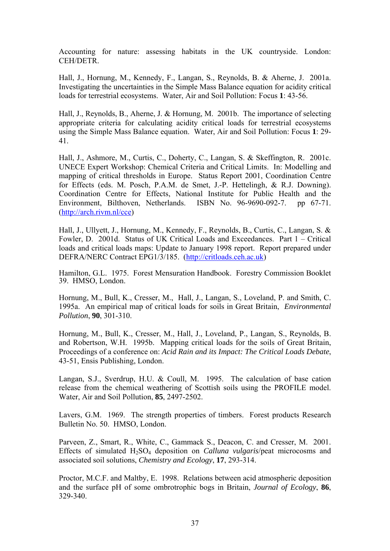Accounting for nature: assessing habitats in the UK countryside. London: CEH/DETR.

Hall, J., Hornung, M., Kennedy, F., Langan, S., Reynolds, B. & Aherne, J. 2001a. Investigating the uncertainties in the Simple Mass Balance equation for acidity critical loads for terrestrial ecosystems. Water, Air and Soil Pollution: Focus **1**: 43-56.

Hall, J., Reynolds, B., Aherne, J. & Hornung, M. 2001b. The importance of selecting appropriate criteria for calculating acidity critical loads for terrestrial ecosystems using the Simple Mass Balance equation. Water, Air and Soil Pollution: Focus **1**: 29- 41.

Hall, J., Ashmore, M., Curtis, C., Doherty, C., Langan, S. & Skeffington, R. 2001c. UNECE Expert Workshop: Chemical Criteria and Critical Limits. In: Modelling and mapping of critical thresholds in Europe. Status Report 2001, Coordination Centre for Effects (eds. M. Posch, P.A.M. de Smet, J.-P. Hettelingh, & R.J. Downing). Coordination Centre for Effects, National Institute for Public Health and the Environment, Bilthoven, Netherlands. ISBN No. 96-9690-092-7. pp 67-71. ([http://arch.rivm.nl/cce\)](http://arch.rivm.nl/cce)

Hall, J., Ullyett, J., Hornung, M., Kennedy, F., Reynolds, B., Curtis, C., Langan, S. & Fowler, D. 2001d. Status of UK Critical Loads and Exceedances. Part 1 – Critical loads and critical loads maps: Update to January 1998 report. Report prepared under DEFRA/NERC Contract EPG1/3/185. [\(http://critloads.ceh.ac.uk\)](http://critloads.ceh.ac.uk/)

Hamilton, G.L. 1975. Forest Mensuration Handbook. Forestry Commission Booklet 39. HMSO, London.

Hornung, M., Bull, K., Cresser, M., Hall, J., Langan, S., Loveland, P. and Smith, C. 1995a. An empirical map of critical loads for soils in Great Britain, *Environmental Pollution*, **90**, 301-310.

Hornung, M., Bull, K., Cresser, M., Hall, J., Loveland, P., Langan, S., Reynolds, B. and Robertson, W.H. 1995b. Mapping critical loads for the soils of Great Britain, Proceedings of a conference on: *Acid Rain and its Impact: The Critical Loads Debate*, 43-51, Ensis Publishing, London.

Langan, S.J., Sverdrup, H.U. & Coull, M. 1995. The calculation of base cation release from the chemical weathering of Scottish soils using the PROFILE model. Water, Air and Soil Pollution, **85**, 2497-2502.

Lavers, G.M. 1969. The strength properties of timbers. Forest products Research Bulletin No. 50. HMSO, London.

Parveen, Z., Smart, R., White, C., Gammack S., Deacon, C. and Cresser, M. 2001. Effects of simulated H2SO4 deposition on *Calluna vulgaris*/peat microcosms and associated soil solutions, *Chemistry and Ecology*, **17**, 293-314.

Proctor, M.C.F. and Maltby, E. 1998. Relations between acid atmospheric deposition and the surface pH of some ombrotrophic bogs in Britain, *Journal of Ecology*, **86**, 329-340.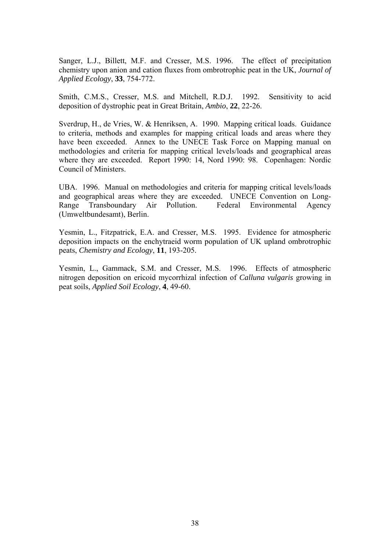Sanger, L.J., Billett, M.F. and Cresser, M.S. 1996. The effect of precipitation chemistry upon anion and cation fluxes from ombrotrophic peat in the UK, *Journal of Applied Ecology*, **33**, 754-772.

Smith, C.M.S., Cresser, M.S. and Mitchell, R.D.J. 1992. Sensitivity to acid deposition of dystrophic peat in Great Britain, *Ambio*, **22**, 22-26.

Sverdrup, H., de Vries, W. & Henriksen, A. 1990. Mapping critical loads. Guidance to criteria, methods and examples for mapping critical loads and areas where they have been exceeded. Annex to the UNECE Task Force on Mapping manual on methodologies and criteria for mapping critical levels/loads and geographical areas where they are exceeded. Report 1990: 14, Nord 1990: 98. Copenhagen: Nordic Council of Ministers.

UBA. 1996. Manual on methodologies and criteria for mapping critical levels/loads and geographical areas where they are exceeded. UNECE Convention on Long-Range Transboundary Air Pollution. Federal Environmental Agency (Umweltbundesamt), Berlin.

Yesmin, L., Fitzpatrick, E.A. and Cresser, M.S. 1995. Evidence for atmospheric deposition impacts on the enchytraeid worm population of UK upland ombrotrophic peats, *Chemistry and Ecology*, **11**, 193-205.

Yesmin, L., Gammack, S.M. and Cresser, M.S. 1996. Effects of atmospheric nitrogen deposition on ericoid mycorrhizal infection of *Calluna vulgaris* growing in peat soils, *Applied Soil Ecology*, **4**, 49-60.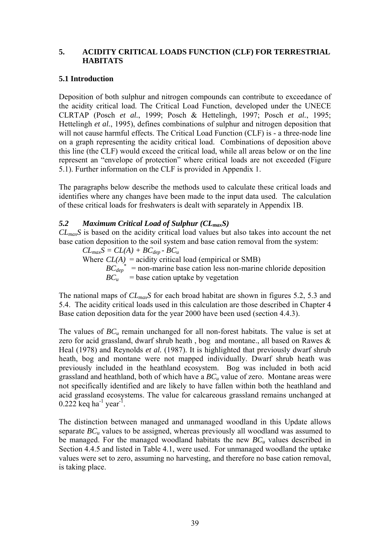## **5. ACIDITY CRITICAL LOADS FUNCTION (CLF) FOR TERRESTRIAL HABITATS**

## **5.1 Introduction**

Deposition of both sulphur and nitrogen compounds can contribute to exceedance of the acidity critical load. The Critical Load Function, developed under the UNECE CLRTAP (Posch *et al.*, 1999; Posch & Hettelingh, 1997; Posch *et al.*, 1995; Hettelingh *et al.*, 1995), defines combinations of sulphur and nitrogen deposition that will not cause harmful effects. The Critical Load Function (CLF) is - a three-node line on a graph representing the acidity critical load. Combinations of deposition above this line (the CLF) would exceed the critical load, while all areas below or on the line represent an "envelope of protection" where critical loads are not exceeded (Figure 5.1). Further information on the CLF is provided in Appendix 1.

The paragraphs below describe the methods used to calculate these critical loads and identifies where any changes have been made to the input data used. The calculation of these critical loads for freshwaters is dealt with separately in Appendix 1B.

## *5.2 Maximum Critical Load of Sulphur (CLmaxS)*

*CLmaxS* is based on the acidity critical load values but also takes into account the net base cation deposition to the soil system and base cation removal from the system:

 $CL_{max}S = CL(A) + BC_{dep} - BC_u$ Where  $CL(A)$  = acidity critical load (empirical or SMB)  $BC_{dep}^*$  = non-marine base cation less non-marine chloride deposition  $BC_u$  = base cation uptake by vegetation

The national maps of *CLmaxS* for each broad habitat are shown in figures 5.2, 5.3 and 5.4. The acidity critical loads used in this calculation are those described in Chapter 4 Base cation deposition data for the year 2000 have been used (section 4.4.3).

The values of  $BC_u$  remain unchanged for all non-forest habitats. The value is set at zero for acid grassland, dwarf shrub heath , bog and montane., all based on Rawes & Heal (1978) and Reynolds *et al.* (1987). It is highlighted that previously dwarf shrub heath, bog and montane were not mapped individually. Dwarf shrub heath was previously included in the heathland ecosystem. Bog was included in both acid grassland and heathland, both of which have a *BC<sub>u</sub>* value of zero. Montane areas were not specifically identified and are likely to have fallen within both the heathland and acid grassland ecosystems. The value for calcareous grassland remains unchanged at  $0.222$  keq ha<sup>-1</sup> year<sup>-1</sup>.

The distinction between managed and unmanaged woodland in this Update allows separate  $BC_u$  values to be assigned, whereas previously all woodland was assumed to be managed. For the managed woodland habitats the new  $BC_u$  values described in Section 4.4.5 and listed in Table 4.1, were used. For unmanaged woodland the uptake values were set to zero, assuming no harvesting, and therefore no base cation removal, is taking place.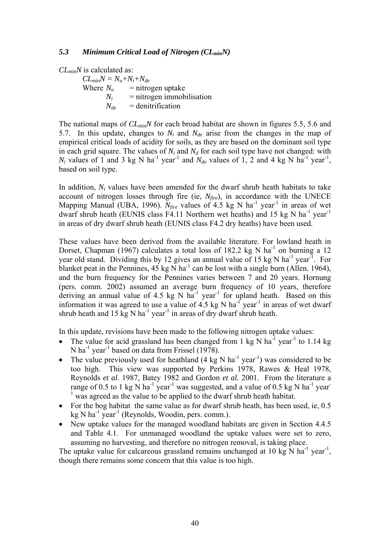#### *5.3 Minimum Critical Load of Nitrogen (CLminN)*

*CLminN* is calculated as:

 $CL_{min}N = N_u + N_i + N_{de}$ <br>Where  $N_u$  = nitro = nitrogen uptake  $N_i$  = nitrogen immobilisation  $N_{de}$  = denitrification

The national maps of  $CL_{min}N$  for each broad habitat are shown in figures 5.5, 5.6 and 5.7. In this update, changes to  $N_i$  and  $N_{de}$  arise from the changes in the map of empirical critical loads of acidity for soils, as they are based on the dominant soil type in each grid square. The values of  $N_i$  and  $N_d$  for each soil type have not changed: with  $N_i$  values of 1 and 3 kg N ha<sup>-1</sup> year<sup>-1</sup> and  $N_{de}$  values of 1, 2 and 4 kg N ha<sup>-1</sup> year<sup>-1</sup>, based on soil type.

In addition, *Ni* values have been amended for the dwarf shrub heath habitats to take account of nitrogen losses through fire (ie,  $N_{fire}$ ), in accordance with the UNECE Mapping Manual (UBA, 1996).  $N_{fire}$  values of 4.5 kg N ha<sup>-1</sup> year<sup>-1</sup> in areas of wet dwarf shrub heath (EUNIS class F4.11 Northern wet heaths) and 15 kg N ha<sup>-1</sup> year<sup>-1</sup> in areas of dry dwarf shrub heath (EUNIS class F4.2 dry heaths) have been used.

These values have been derived from the available literature. For lowland heath in Dorset, Chapman (1967) calculates a total loss of 182.2 kg N ha<sup>-1</sup> on burning a 12 year old stand. Dividing this by 12 gives an annual value of 15 kg N ha<sup>-1</sup> year<sup>-1</sup>. For blanket peat in the Pennines,  $45 \text{ kg N}$  ha<sup>-1</sup> can be lost with a single burn (Allen. 1964), and the burn frequency for the Pennines varies between 7 and 20 years. Hornung (pers. comm. 2002) assumed an average burn frequency of 10 years, therefore deriving an annual value of 4.5 kg N  $ha^{-1}$  year<sup>-1</sup> for upland heath. Based on this information it was agreed to use a value of  $4.5 \text{ kg N} \text{ ha}^{-1}$  year<sup>-1</sup> in areas of wet dwarf shrub heath and 15 kg N ha<sup>-1</sup> year<sup>-1</sup> in areas of dry dwarf shrub heath.

In this update, revisions have been made to the following nitrogen uptake values:

- The value for acid grassland has been changed from 1 kg N ha<sup>-1</sup> year<sup>-1</sup> to 1.14 kg N ha<sup>-1</sup> year<sup>-1</sup> based on data from Frissel (1978).
- The value previously used for heathland  $(4 \text{ kg N ha}^{-1} \text{ year}^{-1})$  was considered to be too high. This view was supported by Perkins 1978, Rawes & Heal 1978, Reynolds *et al*. 1987, Batey 1982 and Gordon *et al.* 2001. From the literature a range of 0.5 to 1 kg N ha<sup>-1</sup> year<sup>-1</sup> was suggested, and a value of 0.5 kg N ha<sup>-1</sup> year-<sup>1</sup> was agreed as the value to be applied to the dwarf shrub heath habitat.
- For the bog habitat the same value as for dwarf shrub heath, has been used, ie, 0.5  $kg \text{N}$  ha<sup>-1</sup> year<sup>-1</sup> (Reynolds, Woodin, pers. comm.).
- New uptake values for the managed woodland habitats are given in Section 4.4.5 and Table 4.1. For unmanaged woodland the uptake values were set to zero, assuming no harvesting, and therefore no nitrogen removal, is taking place.

The uptake value for calcareous grassland remains unchanged at 10 kg N ha<sup>-1</sup> year<sup>-1</sup>, though there remains some concern that this value is too high.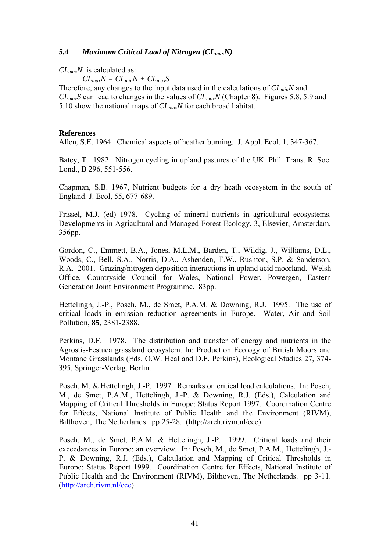### *5.4 Maximum Critical Load of Nitrogen (CLmaxN)*

## *CLmaxN* is calculated as:

 $CL_{max}N = CL_{min}N + CL_{max}S$ 

Therefore, any changes to the input data used in the calculations of *CLminN* and *CLmaxS* can lead to changes in the values of *CLmaxN* (Chapter 8). Figures 5.8, 5.9 and 5.10 show the national maps of *CLmaxN* for each broad habitat.

#### **References**

Allen, S.E. 1964. Chemical aspects of heather burning. J. Appl. Ecol. 1, 347-367.

Batey, T. 1982. Nitrogen cycling in upland pastures of the UK. Phil. Trans. R. Soc. Lond., B 296, 551-556.

Chapman, S.B. 1967, Nutrient budgets for a dry heath ecosystem in the south of England. J. Ecol, 55, 677-689.

Frissel, M.J. (ed) 1978. Cycling of mineral nutrients in agricultural ecosystems. Developments in Agricultural and Managed-Forest Ecology, 3, Elsevier, Amsterdam, 356pp.

Gordon, C., Emmett, B.A., Jones, M.L.M., Barden, T., Wildig, J., Williams, D.L., Woods, C., Bell, S.A., Norris, D.A., Ashenden, T.W., Rushton, S.P. & Sanderson, R.A. 2001. Grazing/nitrogen deposition interactions in upland acid moorland. Welsh Office, Countryside Council for Wales, National Power, Powergen, Eastern Generation Joint Environment Programme. 83pp.

Hettelingh, J.-P., Posch, M., de Smet, P.A.M. & Downing, R.J. 1995. The use of critical loads in emission reduction agreements in Europe. Water, Air and Soil Pollution, **85**, 2381-2388.

Perkins, D.F. 1978. The distribution and transfer of energy and nutrients in the Agrostis-Festuca grassland ecosystem. In: Production Ecology of British Moors and Montane Grasslands (Eds. O.W. Heal and D.F. Perkins), Ecological Studies 27, 374- 395, Springer-Verlag, Berlin.

Posch, M. & Hettelingh, J.-P. 1997. Remarks on critical load calculations. In: Posch, M., de Smet, P.A.M., Hettelingh, J.-P. & Downing, R.J. (Eds.), Calculation and Mapping of Critical Thresholds in Europe: Status Report 1997. Coordination Centre for Effects, National Institute of Public Health and the Environment (RIVM), Bilthoven, The Netherlands. pp 25-28. (http://arch.rivm.nl/cce)

Posch, M., de Smet, P.A.M. & Hettelingh, J.-P. 1999. Critical loads and their exceedances in Europe: an overview. In: Posch, M., de Smet, P.A.M., Hettelingh, J.- P. & Downing, R.J. (Eds.), Calculation and Mapping of Critical Thresholds in Europe: Status Report 1999. Coordination Centre for Effects, National Institute of Public Health and the Environment (RIVM), Bilthoven, The Netherlands. pp 3-11. ([http://arch.rivm.nl/cce\)](http://arch.rivm.nl/cce)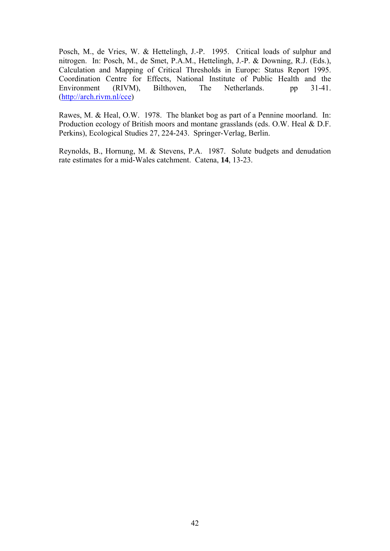Posch, M., de Vries, W. & Hettelingh, J.-P. 1995. Critical loads of sulphur and nitrogen. In: Posch, M., de Smet, P.A.M., Hettelingh, J.-P. & Downing, R.J. (Eds.), Calculation and Mapping of Critical Thresholds in Europe: Status Report 1995. Coordination Centre for Effects, National Institute of Public Health and the Environment (RIVM), Bilthoven, The Netherlands. pp 31-41. ([http://arch.rivm.nl/cce\)](http://arch.rivm.nl/cce)

Rawes, M. & Heal, O.W. 1978. The blanket bog as part of a Pennine moorland. In: Production ecology of British moors and montane grasslands (eds. O.W. Heal & D.F. Perkins), Ecological Studies 27, 224-243. Springer-Verlag, Berlin.

Reynolds, B., Hornung, M. & Stevens, P.A. 1987. Solute budgets and denudation rate estimates for a mid-Wales catchment. Catena, **14**, 13-23.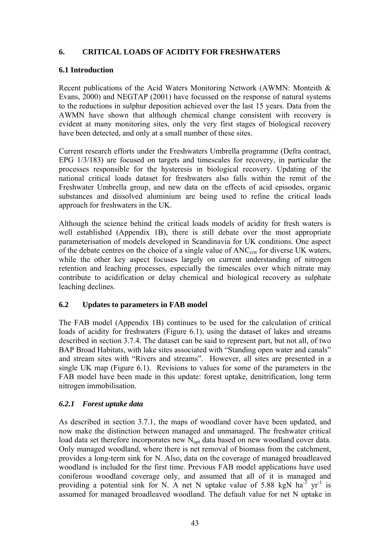## **6. CRITICAL LOADS OF ACIDITY FOR FRESHWATERS**

## **6.1 Introduction**

Recent publications of the Acid Waters Monitoring Network (AWMN: Monteith & Evans, 2000) and NEGTAP (2001) have focussed on the response of natural systems to the reductions in sulphur deposition achieved over the last 15 years. Data from the AWMN have shown that although chemical change consistent with recovery is evident at many monitoring sites, only the very first stages of biological recovery have been detected, and only at a small number of these sites.

Current research efforts under the Freshwaters Umbrella programme (Defra contract, EPG 1/3/183) are focused on targets and timescales for recovery, in particular the processes responsible for the hysteresis in biological recovery. Updating of the national critical loads dataset for freshwaters also falls within the remit of the Freshwater Umbrella group, and new data on the effects of acid episodes, organic substances and dissolved aluminium are being used to refine the critical loads approach for freshwaters in the UK.

Although the science behind the critical loads models of acidity for fresh waters is well established (Appendix 1B), there is still debate over the most appropriate parameterisation of models developed in Scandinavia for UK conditions. One aspect of the debate centres on the choice of a single value of ANC<sub>crit</sub> for diverse UK waters, while the other key aspect focuses largely on current understanding of nitrogen retention and leaching processes, especially the timescales over which nitrate may contribute to acidification or delay chemical and biological recovery as sulphate leaching declines.

## **6.2 Updates to parameters in FAB model**

The FAB model (Appendix 1B) continues to be used for the calculation of critical loads of acidity for freshwaters (Figure 6.1), using the dataset of lakes and streams described in section 3.7.4. The dataset can be said to represent part, but not all, of two BAP Broad Habitats, with lake sites associated with "Standing open water and canals" and stream sites with "Rivers and streams". However, all sites are presented in a single UK map (Figure 6.1). Revisions to values for some of the parameters in the FAB model have been made in this update: forest uptake, denitrification, long term nitrogen immobilisation.

## *6.2.1 Forest uptake data*

As described in section 3.7.1, the maps of woodland cover have been updated, and now make the distinction between managed and unmanaged. The freshwater critical load data set therefore incorporates new  $N<sub>unt</sub>$  data based on new woodland cover data. Only managed woodland, where there is net removal of biomass from the catchment, provides a long-term sink for N. Also, data on the coverage of managed broadleaved woodland is included for the first time. Previous FAB model applications have used coniferous woodland coverage only, and assumed that all of it is managed and providing a potential sink for N. A net N uptake value of 5.88 kgN ha<sup>-1</sup> yr<sup>-1</sup> is assumed for managed broadleaved woodland. The default value for net N uptake in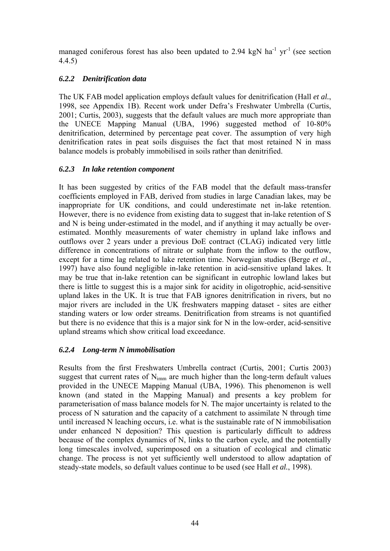managed coniferous forest has also been updated to 2.94 kgN ha<sup>-1</sup> yr<sup>-1</sup> (see section 4.4.5)

## *6.2.2 Denitrification data*

The UK FAB model application employs default values for denitrification (Hall *et al.*, 1998, see Appendix 1B). Recent work under Defra's Freshwater Umbrella (Curtis, 2001; Curtis, 2003), suggests that the default values are much more appropriate than the UNECE Mapping Manual (UBA, 1996) suggested method of 10-80% denitrification, determined by percentage peat cover. The assumption of very high denitrification rates in peat soils disguises the fact that most retained N in mass balance models is probably immobilised in soils rather than denitrified.

## *6.2.3 In lake retention component*

It has been suggested by critics of the FAB model that the default mass-transfer coefficients employed in FAB, derived from studies in large Canadian lakes, may be inappropriate for UK conditions, and could underestimate net in-lake retention. However, there is no evidence from existing data to suggest that in-lake retention of S and N is being under-estimated in the model, and if anything it may actually be overestimated. Monthly measurements of water chemistry in upland lake inflows and outflows over 2 years under a previous DoE contract (CLAG) indicated very little difference in concentrations of nitrate or sulphate from the inflow to the outflow, except for a time lag related to lake retention time. Norwegian studies (Berge *et al.*, 1997) have also found negligible in-lake retention in acid-sensitive upland lakes. It may be true that in-lake retention can be significant in eutrophic lowland lakes but there is little to suggest this is a major sink for acidity in oligotrophic, acid-sensitive upland lakes in the UK. It is true that FAB ignores denitrification in rivers, but no major rivers are included in the UK freshwaters mapping dataset - sites are either standing waters or low order streams. Denitrification from streams is not quantified but there is no evidence that this is a major sink for N in the low-order, acid-sensitive upland streams which show critical load exceedance.

# *6.2.4 Long-term N immobilisation*

Results from the first Freshwaters Umbrella contract (Curtis, 2001; Curtis 2003) suggest that current rates of Nimm are much higher than the long-term default values provided in the UNECE Mapping Manual (UBA, 1996). This phenomenon is well known (and stated in the Mapping Manual) and presents a key problem for parameterisation of mass balance models for N. The major uncertainty is related to the process of N saturation and the capacity of a catchment to assimilate N through time until increased N leaching occurs, i.e. what is the sustainable rate of N immobilisation under enhanced N deposition? This question is particularly difficult to address because of the complex dynamics of N, links to the carbon cycle, and the potentially long timescales involved, superimposed on a situation of ecological and climatic change. The process is not yet sufficiently well understood to allow adaptation of steady-state models, so default values continue to be used (see Hall *et al.*, 1998).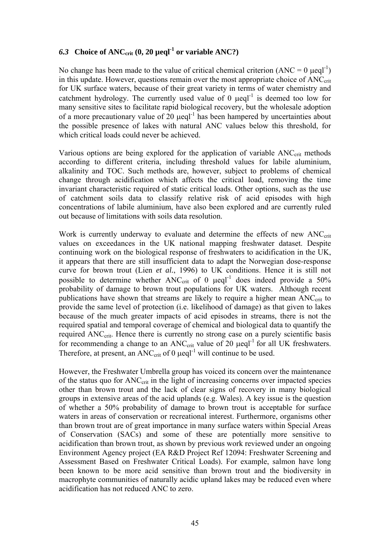# 6.3 Choice of  $ANC_{crit}$  (0, 20  $\mu$ eql<sup>-1</sup> or variable ANC?)

No change has been made to the value of critical chemical criterion  $(ANC = 0 \mu eqI^{-1})$ in this update. However, questions remain over the most appropriate choice of  $\text{ANC}_{\text{crit}}$ for UK surface waters, because of their great variety in terms of water chemistry and catchment hydrology. The currently used value of 0  $\mu$ eql<sup>-1</sup> is deemed too low for many sensitive sites to facilitate rapid biological recovery, but the wholesale adoption of a more precautionary value of 20  $\mu$ eql<sup>-1</sup> has been hampered by uncertainties about the possible presence of lakes with natural ANC values below this threshold, for which critical loads could never be achieved.

Various options are being explored for the application of variable ANC<sub>crit</sub> methods according to different criteria, including threshold values for labile aluminium, alkalinity and TOC. Such methods are, however, subject to problems of chemical change through acidification which affects the critical load, removing the time invariant characteristic required of static critical loads. Other options, such as the use of catchment soils data to classify relative risk of acid episodes with high concentrations of labile aluminium, have also been explored and are currently ruled out because of limitations with soils data resolution.

Work is currently underway to evaluate and determine the effects of new  $\text{ANC}_{\text{crit}}$ values on exceedances in the UK national mapping freshwater dataset. Despite continuing work on the biological response of freshwaters to acidification in the UK, it appears that there are still insufficient data to adapt the Norwegian dose-response curve for brown trout (Lien *et al.*, 1996) to UK conditions. Hence it is still not possible to determine whether  $ANC_{crit}$  of 0  $\mu$ eql<sup>-1</sup> does indeed provide a 50% probability of damage to brown trout populations for UK waters. Although recent publications have shown that streams are likely to require a higher mean ANC<sub>crit</sub> to provide the same level of protection (i.e. likelihood of damage) as that given to lakes because of the much greater impacts of acid episodes in streams, there is not the required spatial and temporal coverage of chemical and biological data to quantify the required ANC<sub>crit</sub>. Hence there is currently no strong case on a purely scientific basis for recommending a change to an  $ANC_{\text{crit}}$  value of 20  $\mu$ eql<sup>-1</sup> for all UK freshwaters. Therefore, at present, an  $ANC_{\rm crit}$  of 0  $\mu$ eql<sup>-1</sup> will continue to be used.

However, the Freshwater Umbrella group has voiced its concern over the maintenance of the status quo for ANC<sub>crit</sub> in the light of increasing concerns over impacted species other than brown trout and the lack of clear signs of recovery in many biological groups in extensive areas of the acid uplands (e.g. Wales). A key issue is the question of whether a 50% probability of damage to brown trout is acceptable for surface waters in areas of conservation or recreational interest. Furthermore, organisms other than brown trout are of great importance in many surface waters within Special Areas of Conservation (SACs) and some of these are potentially more sensitive to acidification than brown trout, as shown by previous work reviewed under an ongoing Environment Agency project (EA R&D Project Ref 12094: Freshwater Screening and Assessment Based on Freshwater Critical Loads). For example, salmon have long been known to be more acid sensitive than brown trout and the biodiversity in macrophyte communities of naturally acidic upland lakes may be reduced even where acidification has not reduced ANC to zero.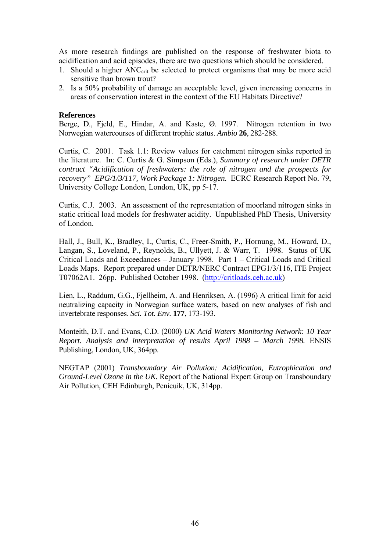As more research findings are published on the response of freshwater biota to acidification and acid episodes, there are two questions which should be considered.

- 1. Should a higher ANC<sub>crit</sub> be selected to protect organisms that may be more acid sensitive than brown trout?
- 2. Is a 50% probability of damage an acceptable level, given increasing concerns in areas of conservation interest in the context of the EU Habitats Directive?

#### **References**

Berge, D., Fjeld, E., Hindar, A. and Kaste, Ø. 1997. Nitrogen retention in two Norwegian watercourses of different trophic status. *Ambio* **26**, 282-288.

Curtis, C. 2001. Task 1.1: Review values for catchment nitrogen sinks reported in the literature. In: C. Curtis & G. Simpson (Eds.), *Summary of research under DETR contract "Acidification of freshwaters: the role of nitrogen and the prospects for recovery" EPG/1/3/117, Work Package 1: Nitrogen.* ECRC Research Report No. 79, University College London, London, UK, pp 5-17.

Curtis, C.J. 2003. An assessment of the representation of moorland nitrogen sinks in static critical load models for freshwater acidity. Unpublished PhD Thesis, University of London.

Hall, J., Bull, K., Bradley, I., Curtis, C., Freer-Smith, P., Hornung, M., Howard, D., Langan, S., Loveland, P., Reynolds, B., Ullyett, J. & Warr, T. 1998. Status of UK Critical Loads and Exceedances – January 1998. Part 1 – Critical Loads and Critical Loads Maps. Report prepared under DETR/NERC Contract EPG1/3/116, ITE Project T07062A1. 26pp. Published October 1998. ([http://critloads.ceh.ac.uk](http://critloads.ceh.ac.uk/))

Lien, L., Raddum, G.G., Fjellheim, A. and Henriksen, A. (1996) A critical limit for acid neutralizing capacity in Norwegian surface waters, based on new analyses of fish and invertebrate responses. *Sci. Tot. Env.* **177**, 173-193.

Monteith, D.T. and Evans, C.D. (2000) *UK Acid Waters Monitoring Network: 10 Year Report. Analysis and interpretation of results April 1988 – March 1998.* ENSIS Publishing, London, UK, 364pp.

NEGTAP (2001) *Transboundary Air Pollution: Acidification, Eutrophication and Ground-Level Ozone in the UK.* Report of the National Expert Group on Transboundary Air Pollution, CEH Edinburgh, Penicuik, UK, 314pp.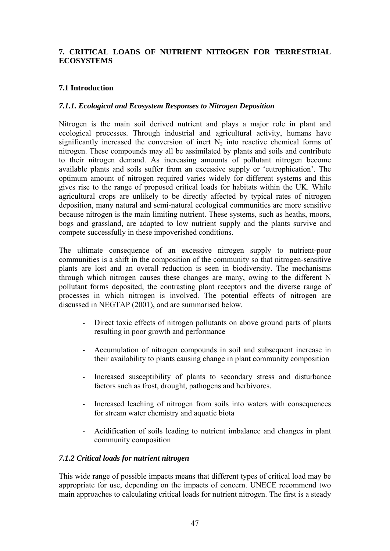## **7. CRITICAL LOADS OF NUTRIENT NITROGEN FOR TERRESTRIAL ECOSYSTEMS**

## **7.1 Introduction**

### *7.1.1. Ecological and Ecosystem Responses to Nitrogen Deposition*

Nitrogen is the main soil derived nutrient and plays a major role in plant and ecological processes. Through industrial and agricultural activity, humans have significantly increased the conversion of inert  $N<sub>2</sub>$  into reactive chemical forms of nitrogen. These compounds may all be assimilated by plants and soils and contribute to their nitrogen demand. As increasing amounts of pollutant nitrogen become available plants and soils suffer from an excessive supply or 'eutrophication'. The optimum amount of nitrogen required varies widely for different systems and this gives rise to the range of proposed critical loads for habitats within the UK. While agricultural crops are unlikely to be directly affected by typical rates of nitrogen deposition, many natural and semi-natural ecological communities are more sensitive because nitrogen is the main limiting nutrient. These systems, such as heaths, moors, bogs and grassland, are adapted to low nutrient supply and the plants survive and compete successfully in these impoverished conditions.

The ultimate consequence of an excessive nitrogen supply to nutrient-poor communities is a shift in the composition of the community so that nitrogen-sensitive plants are lost and an overall reduction is seen in biodiversity. The mechanisms through which nitrogen causes these changes are many, owing to the different N pollutant forms deposited, the contrasting plant receptors and the diverse range of processes in which nitrogen is involved. The potential effects of nitrogen are discussed in NEGTAP (2001), and are summarised below.

- Direct toxic effects of nitrogen pollutants on above ground parts of plants resulting in poor growth and performance
- Accumulation of nitrogen compounds in soil and subsequent increase in their availability to plants causing change in plant community composition
- Increased susceptibility of plants to secondary stress and disturbance factors such as frost, drought, pathogens and herbivores.
- Increased leaching of nitrogen from soils into waters with consequences for stream water chemistry and aquatic biota
- Acidification of soils leading to nutrient imbalance and changes in plant community composition

### *7.1.2 Critical loads for nutrient nitrogen*

This wide range of possible impacts means that different types of critical load may be appropriate for use, depending on the impacts of concern. UNECE recommend two main approaches to calculating critical loads for nutrient nitrogen. The first is a steady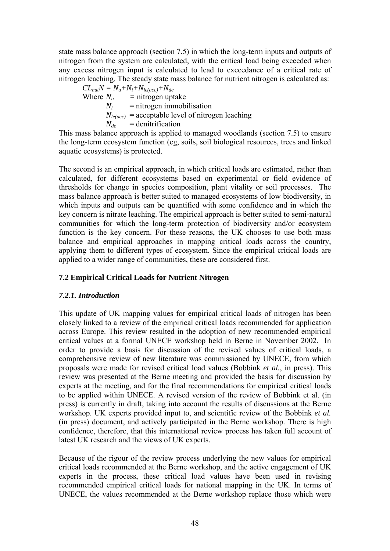state mass balance approach (section 7.5) in which the long-term inputs and outputs of nitrogen from the system are calculated, with the critical load being exceeded when any excess nitrogen input is calculated to lead to exceedance of a critical rate of nitrogen leaching. The steady state mass balance for nutrient nitrogen is calculated as:

 $CL_{nut}N = N_u + N_i + N_{le(acc)} + N_{de}$ <br>Where  $N_u$  = nitrogen upt = nitrogen uptake  $N_i$  = nitrogen immobilisation  $N_{le(ncc)}$  = acceptable level of nitrogen leaching  $N_{de}$  = denitrification

This mass balance approach is applied to managed woodlands (section 7.5) to ensure the long-term ecosystem function (eg, soils, soil biological resources, trees and linked aquatic ecosystems) is protected.

The second is an empirical approach, in which critical loads are estimated, rather than calculated, for different ecosystems based on experimental or field evidence of thresholds for change in species composition, plant vitality or soil processes. The mass balance approach is better suited to managed ecosystems of low biodiversity, in which inputs and outputs can be quantified with some confidence and in which the key concern is nitrate leaching. The empirical approach is better suited to semi-natural communities for which the long-term protection of biodiversity and/or ecosystem function is the key concern. For these reasons, the UK chooses to use both mass balance and empirical approaches in mapping critical loads across the country, applying them to different types of ecosystem. Since the empirical critical loads are applied to a wider range of communities, these are considered first.

## **7.2 Empirical Critical Loads for Nutrient Nitrogen**

## *7.2.1. Introduction*

This update of UK mapping values for empirical critical loads of nitrogen has been closely linked to a review of the empirical critical loads recommended for application across Europe. This review resulted in the adoption of new recommended empirical critical values at a formal UNECE workshop held in Berne in November 2002. In order to provide a basis for discussion of the revised values of critical loads, a comprehensive review of new literature was commissioned by UNECE, from which proposals were made for revised critical load values (Bobbink *et al.*, in press). This review was presented at the Berne meeting and provided the basis for discussion by experts at the meeting, and for the final recommendations for empirical critical loads to be applied within UNECE. A revised version of the review of Bobbink et al. (in press) is currently in draft, taking into account the results of discussions at the Berne workshop. UK experts provided input to, and scientific review of the Bobbink *et al.* (in press) document, and actively participated in the Berne workshop. There is high confidence, therefore, that this international review process has taken full account of latest UK research and the views of UK experts.

Because of the rigour of the review process underlying the new values for empirical critical loads recommended at the Berne workshop, and the active engagement of UK experts in the process, these critical load values have been used in revising recommended empirical critical loads for national mapping in the UK. In terms of UNECE, the values recommended at the Berne workshop replace those which were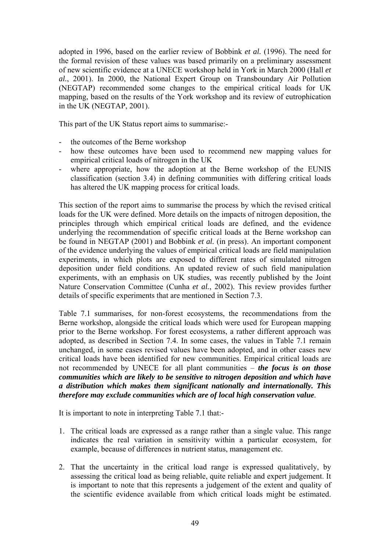adopted in 1996, based on the earlier review of Bobbink *et al.* (1996). The need for the formal revision of these values was based primarily on a preliminary assessment of new scientific evidence at a UNECE workshop held in York in March 2000 (Hall *et al.*, 2001). In 2000, the National Expert Group on Transboundary Air Pollution (NEGTAP) recommended some changes to the empirical critical loads for UK mapping, based on the results of the York workshop and its review of eutrophication in the UK (NEGTAP, 2001).

This part of the UK Status report aims to summarise:-

- the outcomes of the Berne workshop
- how these outcomes have been used to recommend new mapping values for empirical critical loads of nitrogen in the UK
- where appropriate, how the adoption at the Berne workshop of the EUNIS classification (section 3.4) in defining communities with differing critical loads has altered the UK mapping process for critical loads.

This section of the report aims to summarise the process by which the revised critical loads for the UK were defined. More details on the impacts of nitrogen deposition, the principles through which empirical critical loads are defined, and the evidence underlying the recommendation of specific critical loads at the Berne workshop can be found in NEGTAP (2001) and Bobbink *et al.* (in press). An important component of the evidence underlying the values of empirical critical loads are field manipulation experiments, in which plots are exposed to different rates of simulated nitrogen deposition under field conditions. An updated review of such field manipulation experiments, with an emphasis on UK studies, was recently published by the Joint Nature Conservation Committee (Cunha *et al.*, 2002). This review provides further details of specific experiments that are mentioned in Section 7.3.

Table 7.1 summarises, for non-forest ecosystems, the recommendations from the Berne workshop, alongside the critical loads which were used for European mapping prior to the Berne workshop. For forest ecosystems, a rather different approach was adopted, as described in Section 7.4. In some cases, the values in Table 7.1 remain unchanged, in some cases revised values have been adopted, and in other cases new critical loads have been identified for new communities. Empirical critical loads are not recommended by UNECE for all plant communities – *the focus is on those communities which are likely to be sensitive to nitrogen deposition and which have a distribution which makes them significant nationally and internationally. This therefore may exclude communities which are of local high conservation value.*

It is important to note in interpreting Table 7.1 that:-

- 1. The critical loads are expressed as a range rather than a single value. This range indicates the real variation in sensitivity within a particular ecosystem, for example, because of differences in nutrient status, management etc.
- 2. That the uncertainty in the critical load range is expressed qualitatively, by assessing the critical load as being reliable, quite reliable and expert judgement. It is important to note that this represents a judgement of the extent and quality of the scientific evidence available from which critical loads might be estimated.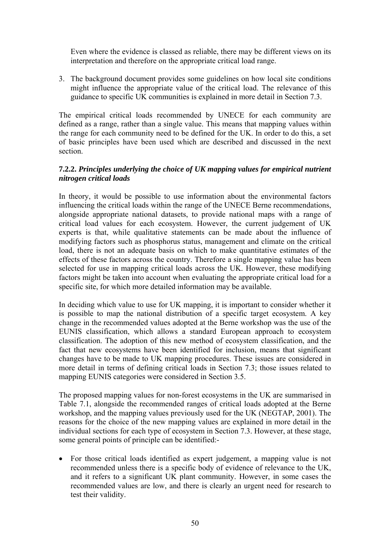Even where the evidence is classed as reliable, there may be different views on its interpretation and therefore on the appropriate critical load range.

3. The background document provides some guidelines on how local site conditions might influence the appropriate value of the critical load. The relevance of this guidance to specific UK communities is explained in more detail in Section 7.3.

The empirical critical loads recommended by UNECE for each community are defined as a range, rather than a single value. This means that mapping values within the range for each community need to be defined for the UK. In order to do this, a set of basic principles have been used which are described and discussed in the next section.

## **7.2.2.** *Principles underlying the choice of UK mapping values for empirical nutrient nitrogen critical loads*

In theory, it would be possible to use information about the environmental factors influencing the critical loads within the range of the UNECE Berne recommendations, alongside appropriate national datasets, to provide national maps with a range of critical load values for each ecosystem. However, the current judgement of UK experts is that, while qualitative statements can be made about the influence of modifying factors such as phosphorus status, management and climate on the critical load, there is not an adequate basis on which to make quantitative estimates of the effects of these factors across the country. Therefore a single mapping value has been selected for use in mapping critical loads across the UK. However, these modifying factors might be taken into account when evaluating the appropriate critical load for a specific site, for which more detailed information may be available.

In deciding which value to use for UK mapping, it is important to consider whether it is possible to map the national distribution of a specific target ecosystem. A key change in the recommended values adopted at the Berne workshop was the use of the EUNIS classification, which allows a standard European approach to ecosystem classification. The adoption of this new method of ecosystem classification, and the fact that new ecosystems have been identified for inclusion, means that significant changes have to be made to UK mapping procedures. These issues are considered in more detail in terms of defining critical loads in Section 7.3; those issues related to mapping EUNIS categories were considered in Section 3.5.

The proposed mapping values for non-forest ecosystems in the UK are summarised in Table 7.1, alongside the recommended ranges of critical loads adopted at the Berne workshop, and the mapping values previously used for the UK (NEGTAP, 2001). The reasons for the choice of the new mapping values are explained in more detail in the individual sections for each type of ecosystem in Section 7.3. However, at these stage, some general points of principle can be identified:-

• For those critical loads identified as expert judgement, a mapping value is not recommended unless there is a specific body of evidence of relevance to the UK, and it refers to a significant UK plant community. However, in some cases the recommended values are low, and there is clearly an urgent need for research to test their validity.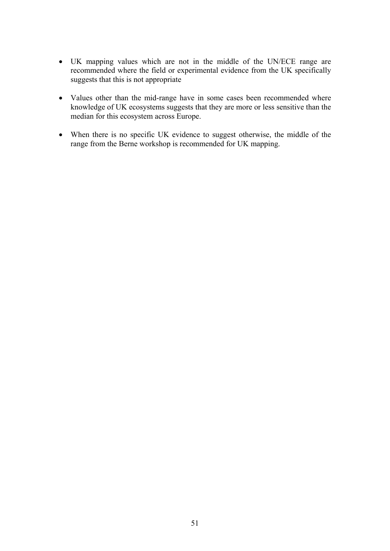- UK mapping values which are not in the middle of the UN/ECE range are recommended where the field or experimental evidence from the UK specifically suggests that this is not appropriate
- Values other than the mid-range have in some cases been recommended where knowledge of UK ecosystems suggests that they are more or less sensitive than the median for this ecosystem across Europe.
- When there is no specific UK evidence to suggest otherwise, the middle of the range from the Berne workshop is recommended for UK mapping.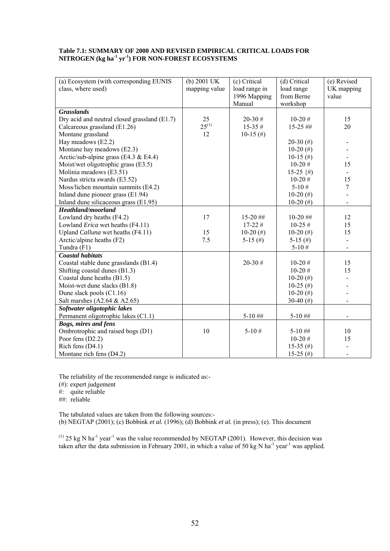#### **Table 7.1: SUMMARY OF 2000 AND REVISED EMPIRICAL CRITICAL LOADS FOR NITROGEN (kg ha-1 yr-1) FOR NON-FOREST ECOSYSTEMS**

| (a) Ecosystem (with corresponding EUNIS      | $(b) 2001$ UK | (c) Critical  | (d) Critical | (e) Revised    |
|----------------------------------------------|---------------|---------------|--------------|----------------|
| class, where used)                           | mapping value | load range in | load range   | UK mapping     |
|                                              |               | 1996 Mapping  | from Berne   | value          |
|                                              |               | Manual        | workshop     |                |
| <b>Grasslands</b>                            |               |               |              |                |
| Dry acid and neutral closed grassland (E1.7) | 25            | $20 - 30$ #   | $10-20#$     | 15             |
| Calcareous grassland (E1.26)                 | $25^{(1)}$    | $15-35#$      | $15-25$ ##   | 20             |
| Montane grassland                            | 12            | $10-15$ (#)   |              |                |
| Hay meadows (E2.2)                           |               |               | $20-30$ (#)  |                |
| Montane hay meadows (E2.3)                   |               |               | 10-20 $(\#)$ |                |
| Arctic/sub-alpine grass (E4.3 $&$ E4.4)      |               |               | $10-15$ (#)  | $\blacksquare$ |
| Moist/wet oligotrophic grass (E3.5)          |               |               | $10-20#$     | 15             |
| Molinia meadows (E3.51)                      |               |               | $15-25$ {#)  | $\blacksquare$ |
| Nardus stricta swards (E3.52)                |               |               | $10-20#$     | 15             |
| Moss/lichen mountain summits (E4.2)          |               |               | $5 - 10#$    | $\tau$         |
| Inland dune pioneer grass (E1.94)            |               |               | 10-20 $(\#)$ |                |
| Inland dune silicaceous grass (E1.95)        |               |               | 10-20 $(\#)$ | -              |
| Heathland/moorland                           |               |               |              |                |
| Lowland dry heaths (F4.2)                    | 17            | $15-20$ ##    | $10-20$ ##   | 12             |
| Lowland <i>Erica</i> wet heaths (F4.11)      |               | $17-22#$      | $10-25#$     | 15             |
| Upland Calluna wet heaths (F4.11)            | 15            | $10-20$ (#)   | $10-20$ (#)  | 15             |
| Arctic/alpine heaths (F2)                    | 7.5           | 5-15 $(\#)$   | 5-15 $(\#)$  | $\overline{a}$ |
| Tundra (F1)                                  |               |               | $5 - 10#$    |                |
| <b>Coastal habitats</b>                      |               |               |              |                |
| Coastal stable dune grasslands (B1.4)        |               | $20 - 30$ #   | $10-20#$     | 15             |
| Shifting coastal dunes (B1.3)                |               |               | $10-20#$     | 15             |
| Coastal dune heaths (B1.5)                   |               |               | 10-20 $(\#)$ |                |
| Moist-wet dune slacks (B1.8)                 |               |               | $10-25$ (#)  |                |
| Dune slack pools (C1.16)                     |               |               | 10-20 $(\#)$ |                |
| Salt marshes $(A2.64 & A2.65)$               |               |               | 30-40 $($ #) |                |
| Softwater oligotophic lakes                  |               |               |              |                |
| Permanent oligotrophic lakes (C1.1)          |               | $5-10$ ##     | $5 - 10$ ##  |                |
| <b>Bogs, mires and fens</b>                  |               |               |              |                |
| Ombrotrophic and raised bogs (D1)            | 10            | $5 - 10#$     | $5 - 10$ ##  | 10             |
| Poor fens $(D2.2)$                           |               |               | $10-20#$     | 15             |
| Rich fens (D4.1)                             |               |               | 15-35 (#)    |                |
| Montane rich fens (D4.2)                     |               |               | $15-25$ (#)  |                |

The reliability of the recommended range is indicated as:-

(#): expert judgement

#: quite reliable

##: reliable

The tabulated values are taken from the following sources:- (b) NEGTAP (2001); (c) Bobbink *et al.* (1996); (d) Bobbink *et al.* (in press); (e). This document

 $^{(1)}$  25 kg N ha<sup>-1</sup> year<sup>-1</sup> was the value recommended by NEGTAP (2001). However, this decision was taken after the data submission in February 2001, in which a value of 50 kg N ha<sup>-1</sup> year<sup>-1</sup> was applied.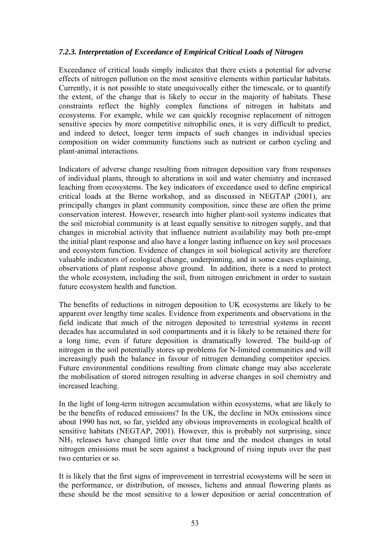## *7.2.3. Interpretation of Exceedance of Empirical Critical Loads of Nitrogen*

Exceedance of critical loads simply indicates that there exists a potential for adverse effects of nitrogen pollution on the most sensitive elements within particular habitats. Currently, it is not possible to state unequivocally either the timescale, or to quantify the extent, of the change that is likely to occur in the majority of habitats. These constraints reflect the highly complex functions of nitrogen in habitats and ecosystems. For example, while we can quickly recognise replacement of nitrogen sensitive species by more competitive nitrophilic ones, it is very difficult to predict, and indeed to detect, longer term impacts of such changes in individual species composition on wider community functions such as nutrient or carbon cycling and plant-animal interactions.

Indicators of adverse change resulting from nitrogen deposition vary from responses of individual plants, through to alterations in soil and water chemistry and increased leaching from ecosystems. The key indicators of exceedance used to define empirical critical loads at the Berne workshop, and as discussed in NEGTAP (2001), are principally changes in plant community composition, since these are often the prime conservation interest. However, research into higher plant-soil systems indicates that the soil microbial community is at least equally sensitive to nitrogen supply, and that changes in microbial activity that influence nutrient availability may both pre-empt the initial plant response and also have a longer lasting influence on key soil processes and ecosystem function. Evidence of changes in soil biological activity are therefore valuable indicators of ecological change, underpinning, and in some cases explaining, observations of plant response above ground. In addition, there is a need to protect the whole ecosystem, including the soil, from nitrogen enrichment in order to sustain future ecosystem health and function.

The benefits of reductions in nitrogen deposition to UK ecosystems are likely to be apparent over lengthy time scales. Evidence from experiments and observations in the field indicate that much of the nitrogen deposited to terrestrial systems in recent decades has accumulated in soil compartments and it is likely to be retained there for a long time, even if future deposition is dramatically lowered. The build-up of nitrogen in the soil potentially stores up problems for N-limited communities and will increasingly push the balance in favour of nitrogen demanding competitor species. Future environmental conditions resulting from climate change may also accelerate the mobilisation of stored nitrogen resulting in adverse changes in soil chemistry and increased leaching.

In the light of long-term nitrogen accumulation within ecosystems, what are likely to be the benefits of reduced emissions? In the UK, the decline in NOx emissions since about 1990 has not, so far, yielded any obvious improvements in ecological health of sensitive habitats (NEGTAP, 2001). However, this is probably not surprising, since NH3 releases have changed little over that time and the modest changes in total nitrogen emissions must be seen against a background of rising inputs over the past two centuries or so.

It is likely that the first signs of improvement in terrestrial ecosystems will be seen in the performance, or distribution, of mosses, lichens and annual flowering plants as these should be the most sensitive to a lower deposition or aerial concentration of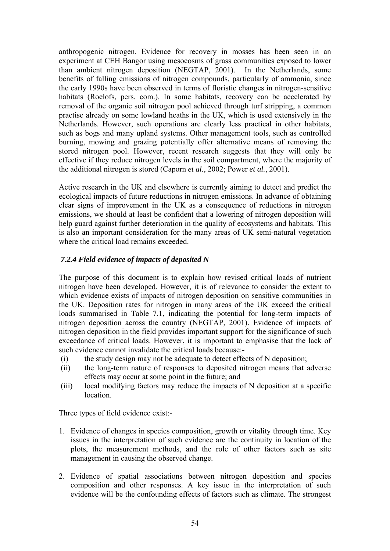anthropogenic nitrogen. Evidence for recovery in mosses has been seen in an experiment at CEH Bangor using mesocosms of grass communities exposed to lower than ambient nitrogen deposition (NEGTAP, 2001). In the Netherlands, some benefits of falling emissions of nitrogen compounds, particularly of ammonia, since the early 1990s have been observed in terms of floristic changes in nitrogen-sensitive habitats (Roelofs, pers. com.). In some habitats, recovery can be accelerated by removal of the organic soil nitrogen pool achieved through turf stripping, a common practise already on some lowland heaths in the UK, which is used extensively in the Netherlands. However, such operations are clearly less practical in other habitats, such as bogs and many upland systems. Other management tools, such as controlled burning, mowing and grazing potentially offer alternative means of removing the stored nitrogen pool. However, recent research suggests that they will only be effective if they reduce nitrogen levels in the soil compartment, where the majority of the additional nitrogen is stored (Caporn *et al.*, 2002; Power *et al.*, 2001).

Active research in the UK and elsewhere is currently aiming to detect and predict the ecological impacts of future reductions in nitrogen emissions. In advance of obtaining clear signs of improvement in the UK as a consequence of reductions in nitrogen emissions, we should at least be confident that a lowering of nitrogen deposition will help guard against further deterioration in the quality of ecosystems and habitats. This is also an important consideration for the many areas of UK semi-natural vegetation where the critical load remains exceeded.

## *7.2.4 Field evidence of impacts of deposited N*

The purpose of this document is to explain how revised critical loads of nutrient nitrogen have been developed. However, it is of relevance to consider the extent to which evidence exists of impacts of nitrogen deposition on sensitive communities in the UK. Deposition rates for nitrogen in many areas of the UK exceed the critical loads summarised in Table 7.1, indicating the potential for long-term impacts of nitrogen deposition across the country (NEGTAP, 2001). Evidence of impacts of nitrogen deposition in the field provides important support for the significance of such exceedance of critical loads. However, it is important to emphasise that the lack of such evidence cannot invalidate the critical loads because:-

- (i) the study design may not be adequate to detect effects of N deposition;
- (ii) the long-term nature of responses to deposited nitrogen means that adverse effects may occur at some point in the future; and
- (iii) local modifying factors may reduce the impacts of N deposition at a specific location.

Three types of field evidence exist:-

- 1. Evidence of changes in species composition, growth or vitality through time. Key issues in the interpretation of such evidence are the continuity in location of the plots, the measurement methods, and the role of other factors such as site management in causing the observed change.
- 2. Evidence of spatial associations between nitrogen deposition and species composition and other responses. A key issue in the interpretation of such evidence will be the confounding effects of factors such as climate. The strongest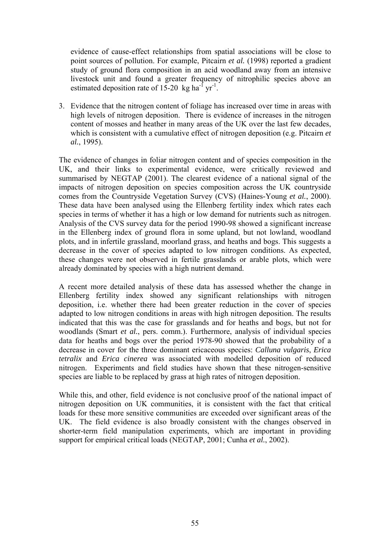evidence of cause-effect relationships from spatial associations will be close to point sources of pollution. For example, Pitcairn *et al.* (1998) reported a gradient study of ground flora composition in an acid woodland away from an intensive livestock unit and found a greater frequency of nitrophilic species above an estimated deposition rate of  $15{\text -}20$  kg ha<sup>-1</sup> yr<sup>-1</sup>.

3. Evidence that the nitrogen content of foliage has increased over time in areas with high levels of nitrogen deposition. There is evidence of increases in the nitrogen content of mosses and heather in many areas of the UK over the last few decades, which is consistent with a cumulative effect of nitrogen deposition (e.g. Pitcairn *et al.*, 1995).

The evidence of changes in foliar nitrogen content and of species composition in the UK, and their links to experimental evidence, were critically reviewed and summarised by NEGTAP (2001). The clearest evidence of a national signal of the impacts of nitrogen deposition on species composition across the UK countryside comes from the Countryside Vegetation Survey (CVS) (Haines-Young *et al.*, 2000). These data have been analysed using the Ellenberg fertility index which rates each species in terms of whether it has a high or low demand for nutrients such as nitrogen. Analysis of the CVS survey data for the period 1990-98 showed a significant increase in the Ellenberg index of ground flora in some upland, but not lowland, woodland plots, and in infertile grassland, moorland grass, and heaths and bogs. This suggests a decrease in the cover of species adapted to low nitrogen conditions. As expected, these changes were not observed in fertile grasslands or arable plots, which were already dominated by species with a high nutrient demand.

A recent more detailed analysis of these data has assessed whether the change in Ellenberg fertility index showed any significant relationships with nitrogen deposition, i.e. whether there had been greater reduction in the cover of species adapted to low nitrogen conditions in areas with high nitrogen deposition. The results indicated that this was the case for grasslands and for heaths and bogs, but not for woodlands (Smart *et al.*, pers. comm.). Furthermore, analysis of individual species data for heaths and bogs over the period 1978-90 showed that the probability of a decrease in cover for the three dominant ericaceous species: *Calluna vulgaris*, *Erica tetralix* and *Erica cinerea* was associated with modelled deposition of reduced nitrogen. Experiments and field studies have shown that these nitrogen-sensitive species are liable to be replaced by grass at high rates of nitrogen deposition.

While this, and other, field evidence is not conclusive proof of the national impact of nitrogen deposition on UK communities, it is consistent with the fact that critical loads for these more sensitive communities are exceeded over significant areas of the UK. The field evidence is also broadly consistent with the changes observed in shorter-term field manipulation experiments, which are important in providing support for empirical critical loads (NEGTAP, 2001; Cunha *et al.*, 2002).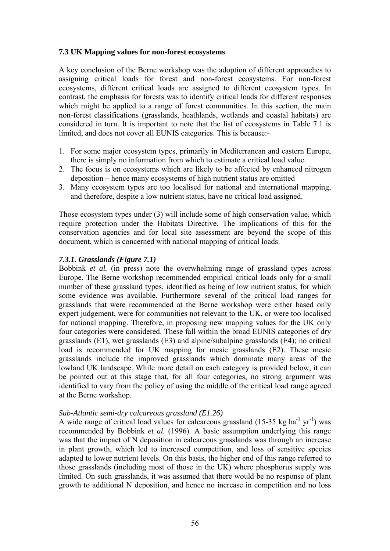### **7.3 UK Mapping values for non-forest ecosystems**

A key conclusion of the Berne workshop was the adoption of different approaches to assigning critical loads for forest and non-forest ecosystems. For non-forest ecosystems, different critical loads are assigned to different ecosystem types. In contrast, the emphasis for forests was to identify critical loads for different responses which might be applied to a range of forest communities. In this section, the main non-forest classifications (grasslands, heathlands, wetlands and coastal habitats) are considered in turn. It is important to note that the list of ecosystems in Table 7.1 is limited, and does not cover all EUNIS categories. This is because:-

- 1. For some major ecosystem types, primarily in Mediterranean and eastern Europe, there is simply no information from which to estimate a critical load value.
- 2. The focus is on ecosystems which are likely to be affected by enhanced nitrogen deposition – hence many ecosystems of high nutrient status are omitted
- 3. Many ecosystem types are too localised for national and international mapping, and therefore, despite a low nutrient status, have no critical load assigned.

Those ecosystem types under (3) will include some of high conservation value, which require protection under the Habitats Directive. The implications of this for the conservation agencies and for local site assessment are beyond the scope of this document, which is concerned with national mapping of critical loads.

## *7.3.1. Grasslands (Figure 7.1)*

Bobbink *et al.* (in press) note the overwhelming range of grassland types across Europe. The Berne workshop recommended empirical critical loads only for a small number of these grassland types, identified as being of low nutrient status, for which some evidence was available. Furthermore several of the critical load ranges for grasslands that were recommended at the Berne workshop were either based only expert judgement, were for communities not relevant to the UK, or were too localised for national mapping. Therefore, in proposing new mapping values for the UK only four categories were considered. These fall within the broad EUNIS categories of dry grasslands (E1), wet grasslands (E3) and alpine/subalpine grasslands (E4); no critical load is recommended for UK mapping for mesic grasslands (E2). These mesic grasslands include the improved grasslands which dominate many areas of the lowland UK landscape. While more detail on each category is provided below, it can be pointed out at this stage that, for all four categories, no strong argument was identified to vary from the policy of using the middle of the critical load range agreed at the Berne workshop.

### *Sub-Atlantic semi-dry calcareous grassland (E1.26)*

A wide range of critical load values for calcareous grassland (15-35 kg ha<sup>-1</sup> yr<sup>-1</sup>) was recommended by Bobbink *et al.* (1996). A basic assumption underlying this range was that the impact of N deposition in calcareous grasslands was through an increase in plant growth, which led to increased competition, and loss of sensitive species adapted to lower nutrient levels. On this basis, the higher end of this range referred to those grasslands (including most of those in the UK) where phosphorus supply was limited. On such grasslands, it was assumed that there would be no response of plant growth to additional N deposition, and hence no increase in competition and no loss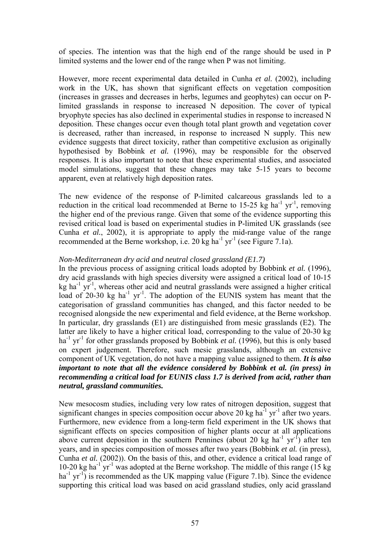of species. The intention was that the high end of the range should be used in P limited systems and the lower end of the range when P was not limiting.

However, more recent experimental data detailed in Cunha *et al.* (2002), including work in the UK, has shown that significant effects on vegetation composition (increases in grasses and decreases in herbs, legumes and geophytes) can occur on Plimited grasslands in response to increased N deposition. The cover of typical bryophyte species has also declined in experimental studies in response to increased N deposition. These changes occur even though total plant growth and vegetation cover is decreased, rather than increased, in response to increased N supply. This new evidence suggests that direct toxicity, rather than competitive exclusion as originally hypothesised by Bobbink *et al.* (1996), may be responsible for the observed responses. It is also important to note that these experimental studies, and associated model simulations, suggest that these changes may take 5-15 years to become apparent, even at relatively high deposition rates.

The new evidence of the response of P-limited calcareous grasslands led to a reduction in the critical load recommended at Berne to 15-25 kg ha<sup>-1</sup> yr<sup>-1</sup>, removing the higher end of the previous range. Given that some of the evidence supporting this revised critical load is based on experimental studies in P-limited UK grasslands (see Cunha *et al.*, 2002), it is appropriate to apply the mid-range value of the range recommended at the Berne workshop, i.e.  $20 \text{ kg ha}^{-1} \text{ yr}^{-1}$  (see Figure 7.1a).

#### *Non-Mediterranean dry acid and neutral closed grassland (E1.7)*

In the previous process of assigning critical loads adopted by Bobbink *et al.* (1996), dry acid grasslands with high species diversity were assigned a critical load of 10-15  $kg$  ha<sup>-1</sup> yr<sup>-1</sup>, whereas other acid and neutral grasslands were assigned a higher critical load of 20-30 kg ha<sup>-1</sup> yr<sup>-1</sup>. The adoption of the EUNIS system has meant that the categorisation of grassland communities has changed, and this factor needed to be recognised alongside the new experimental and field evidence, at the Berne workshop. In particular, dry grasslands (E1) are distinguished from mesic grasslands (E2). The latter are likely to have a higher critical load, corresponding to the value of 20-30 kg ha<sup>-1</sup> yr<sup>-1</sup> for other grasslands proposed by Bobbink *et al.* (1996), but this is only based on expert judgement. Therefore, such mesic grasslands, although an extensive component of UK vegetation, do not have a mapping value assigned to them. *It is also important to note that all the evidence considered by Bobbink et al. (in press) in recommending a critical load for EUNIS class 1.7 is derived from acid, rather than neutral, grassland communities.*

New mesocosm studies, including very low rates of nitrogen deposition, suggest that significant changes in species composition occur above 20 kg ha<sup>-1</sup> yr<sup>-1</sup> after two years. Furthermore, new evidence from a long-term field experiment in the UK shows that significant effects on species composition of higher plants occur at all applications above current deposition in the southern Pennines (about 20 kg  $ha^{-1}$  yr<sup>-1</sup>) after ten years, and in species composition of mosses after two years (Bobbink *et al.* (in press), Cunha *et al.* (2002)). On the basis of this, and other, evidence a critical load range of 10-20 kg ha<sup>-1</sup> yr<sup>-1</sup> was adopted at the Berne workshop. The middle of this range (15 kg)  $\text{ha}^{-1}$  yr<sup>-1</sup>) is recommended as the UK mapping value (Figure 7.1b). Since the evidence supporting this critical load was based on acid grassland studies, only acid grassland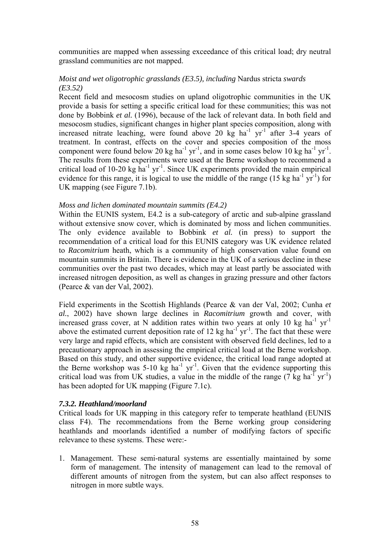communities are mapped when assessing exceedance of this critical load; dry neutral grassland communities are not mapped.

### *Moist and wet oligotrophic grasslands (E3.5), including* Nardus stricta *swards (E3.52)*

Recent field and mesocosm studies on upland oligotrophic communities in the UK provide a basis for setting a specific critical load for these communities; this was not done by Bobbink *et al.* (1996), because of the lack of relevant data. In both field and mesocosm studies, significant changes in higher plant species composition, along with increased nitrate leaching, were found above 20  $kg$  ha<sup>-1</sup> yr<sup>-1</sup> after 3-4 years of treatment. In contrast, effects on the cover and species composition of the moss component were found below 20 kg ha<sup>-1</sup> yr<sup>-1</sup>, and in some cases below 10 kg ha<sup>-1</sup> yr<sup>-1</sup>. The results from these experiments were used at the Berne workshop to recommend a critical load of 10-20  $kg$  ha<sup>-1</sup> yr<sup>-1</sup>. Since UK experiments provided the main empirical evidence for this range, it is logical to use the middle of the range  $(15 \text{ kg ha}^{-1} \text{ yr}^{-1})$  for UK mapping (see Figure 7.1b).

#### *Moss and lichen dominated mountain summits (E4.2)*

Within the EUNIS system, E4.2 is a sub-category of arctic and sub-alpine grassland without extensive snow cover, which is dominated by moss and lichen communities. The only evidence available to Bobbink *et al.* (in press) to support the recommendation of a critical load for this EUNIS category was UK evidence related to *Racomitrium* heath, which is a community of high conservation value found on mountain summits in Britain. There is evidence in the UK of a serious decline in these communities over the past two decades, which may at least partly be associated with increased nitrogen deposition, as well as changes in grazing pressure and other factors (Pearce & van der Val, 2002).

Field experiments in the Scottish Highlands (Pearce & van der Val, 2002; Cunha *et al.*, 2002) have shown large declines in *Racomitrium* growth and cover, with increased grass cover, at N addition rates within two years at only 10 kg ha<sup>-1</sup> yr<sup>-1</sup> above the estimated current deposition rate of 12 kg ha<sup>-1</sup> yr<sup>-1</sup>. The fact that these were very large and rapid effects, which are consistent with observed field declines, led to a precautionary approach in assessing the empirical critical load at the Berne workshop. Based on this study, and other supportive evidence, the critical load range adopted at the Berne workshop was  $5{\text -}10 \text{ kg} \text{ ha}^{-1} \text{ yr}^{-1}$ . Given that the evidence supporting this critical load was from UK studies, a value in the middle of the range  $(7 \text{ kg ha}^{\text{T}} \text{ yr}^{\text{-1}})$ has been adopted for UK mapping (Figure 7.1c).

#### *7.3.2. Heathland/moorland*

Critical loads for UK mapping in this category refer to temperate heathland (EUNIS class F4). The recommendations from the Berne working group considering heathlands and moorlands identified a number of modifying factors of specific relevance to these systems. These were:-

1. Management. These semi-natural systems are essentially maintained by some form of management. The intensity of management can lead to the removal of different amounts of nitrogen from the system, but can also affect responses to nitrogen in more subtle ways.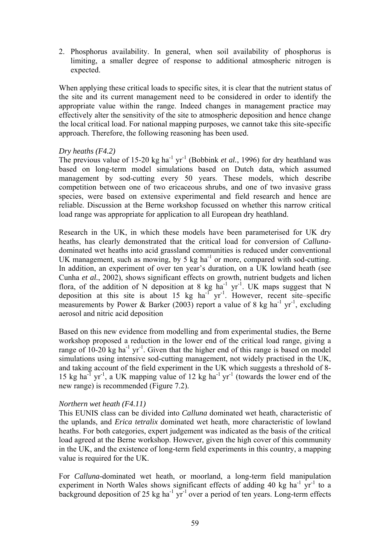2. Phosphorus availability. In general, when soil availability of phosphorus is limiting, a smaller degree of response to additional atmospheric nitrogen is expected.

When applying these critical loads to specific sites, it is clear that the nutrient status of the site and its current management need to be considered in order to identify the appropriate value within the range. Indeed changes in management practice may effectively alter the sensitivity of the site to atmospheric deposition and hence change the local critical load. For national mapping purposes, we cannot take this site-specific approach. Therefore, the following reasoning has been used.

### *Dry heaths (F4.2)*

The previous value of 15-20 kg ha<sup>-1</sup> yr<sup>-1</sup> (Bobbink *et al.*, 1996) for dry heathland was based on long-term model simulations based on Dutch data, which assumed management by sod-cutting every 50 years. These models, which describe competition between one of two ericaceous shrubs, and one of two invasive grass species, were based on extensive experimental and field research and hence are reliable. Discussion at the Berne workshop focussed on whether this narrow critical load range was appropriate for application to all European dry heathland.

Research in the UK, in which these models have been parameterised for UK dry heaths, has clearly demonstrated that the critical load for conversion of *Calluna*dominated wet heaths into acid grassland communities is reduced under conventional UK management, such as mowing, by 5 kg ha<sup>-1</sup> or more, compared with sod-cutting. In addition, an experiment of over ten year's duration, on a UK lowland heath (see Cunha *et al.*, 2002), shows significant effects on growth, nutrient budgets and lichen flora, of the addition of N deposition at 8 kg  $ha^{-1}$  yr<sup>-1</sup>. UK maps suggest that N deposition at this site is about 15 kg  $ha^{-1}$  yr<sup>-1</sup>. However, recent site–specific measurements by Power & Barker (2003) report a value of 8 kg ha<sup>-1</sup> yr<sup>-1</sup>, excluding aerosol and nitric acid deposition

Based on this new evidence from modelling and from experimental studies, the Berne workshop proposed a reduction in the lower end of the critical load range, giving a range of  $10-20$  kg ha<sup>-1</sup> yr<sup>-1</sup>. Given that the higher end of this range is based on model simulations using intensive sod-cutting management, not widely practised in the UK, and taking account of the field experiment in the UK which suggests a threshold of 8- 15 kg ha<sup>-1</sup> yr<sup>-1</sup>, a UK mapping value of 12 kg ha<sup>-1</sup> yr<sup>-1</sup> (towards the lower end of the new range) is recommended (Figure 7.2).

### *Northern wet heath (F4.11)*

This EUNIS class can be divided into *Calluna* dominated wet heath, characteristic of the uplands, and *Erica tetralix* dominated wet heath, more characteristic of lowland heaths. For both categories, expert judgement was indicated as the basis of the critical load agreed at the Berne workshop. However, given the high cover of this community in the UK, and the existence of long-term field experiments in this country, a mapping value is required for the UK.

For *Calluna*-dominated wet heath, or moorland, a long-term field manipulation experiment in North Wales shows significant effects of adding 40 kg ha<sup>-1</sup> yr<sup>-1</sup> to a background deposition of 25 kg ha<sup>-1</sup> yr<sup>-1</sup> over a period of ten years. Long-term effects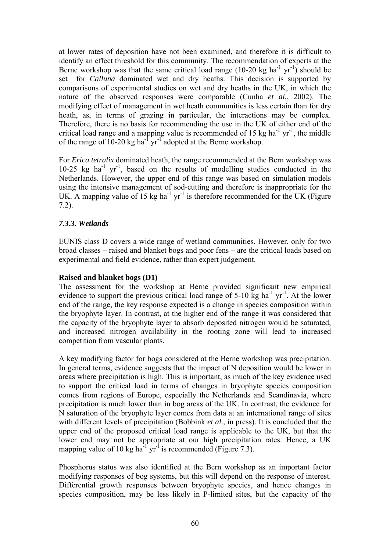at lower rates of deposition have not been examined, and therefore it is difficult to identify an effect threshold for this community. The recommendation of experts at the Berne workshop was that the same critical load range  $(10{\text -}20 \text{ kg ha}^{-1} \text{ yr}^{-1})$  should be set for *Calluna* dominated wet and dry heaths. This decision is supported by comparisons of experimental studies on wet and dry heaths in the UK, in which the nature of the observed responses were comparable (Cunha *et al.*, 2002). The modifying effect of management in wet heath communities is less certain than for dry heath, as, in terms of grazing in particular, the interactions may be complex. Therefore, there is no basis for recommending the use in the UK of either end of the critical load range and a mapping value is recommended of 15 kg ha<sup>-1</sup> yr<sup>-1</sup>, the middle of the range of 10-20 kg ha<sup>-1</sup> yr<sup>-1</sup> adopted at the Berne workshop.

For *Erica tetralix* dominated heath, the range recommended at the Bern workshop was  $10-25$  kg ha<sup>-1</sup> yr<sup>-1</sup>, based on the results of modelling studies conducted in the Netherlands. However, the upper end of this range was based on simulation models using the intensive management of sod-cutting and therefore is inappropriate for the UK. A mapping value of  $15 \text{ kg}$  ha<sup>-1</sup> yr<sup>-1</sup> is therefore recommended for the UK (Figure 7.2).

## *7.3.3. Wetlands*

EUNIS class D covers a wide range of wetland communities. However, only for two broad classes – raised and blanket bogs and poor fens – are the critical loads based on experimental and field evidence, rather than expert judgement.

### **Raised and blanket bogs (D1)**

The assessment for the workshop at Berne provided significant new empirical evidence to support the previous critical load range of  $5\text{-}10 \text{ kg}$  ha<sup>-1</sup> yr<sup>-1</sup>. At the lower end of the range, the key response expected is a change in species composition within the bryophyte layer. In contrast, at the higher end of the range it was considered that the capacity of the bryophyte layer to absorb deposited nitrogen would be saturated, and increased nitrogen availability in the rooting zone will lead to increased competition from vascular plants.

A key modifying factor for bogs considered at the Berne workshop was precipitation. In general terms, evidence suggests that the impact of N deposition would be lower in areas where precipitation is high. This is important, as much of the key evidence used to support the critical load in terms of changes in bryophyte species composition comes from regions of Europe, especially the Netherlands and Scandinavia, where precipitation is much lower than in bog areas of the UK. In contrast, the evidence for N saturation of the bryophyte layer comes from data at an international range of sites with different levels of precipitation (Bobbink *et al.*, in press). It is concluded that the upper end of the proposed critical load range is applicable to the UK, but that the lower end may not be appropriate at our high precipitation rates. Hence, a UK mapping value of 10 kg ha<sup>-1</sup> yr<sup>-1</sup> is recommended (Figure 7.3).

Phosphorus status was also identified at the Bern workshop as an important factor modifying responses of bog systems, but this will depend on the response of interest. Differential growth responses between bryophyte species, and hence changes in species composition, may be less likely in P-limited sites, but the capacity of the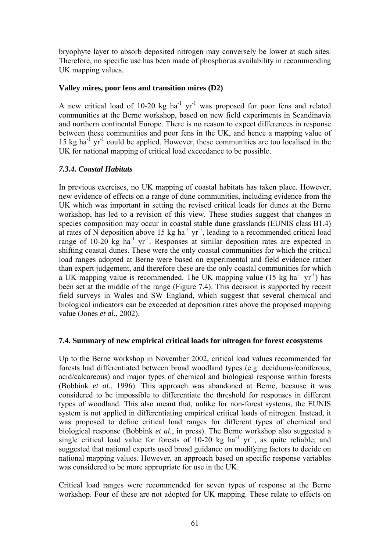bryophyte layer to absorb deposited nitrogen may conversely be lower at such sites. Therefore, no specific use has been made of phosphorus availability in recommending UK mapping values.

### **Valley mires, poor fens and transition mires (D2)**

A new critical load of 10-20  $kg$  ha<sup>-1</sup> yr<sup>-1</sup> was proposed for poor fens and related communities at the Berne workshop, based on new field experiments in Scandinavia and northern continental Europe. There is no reason to expect differences in response between these communities and poor fens in the UK, and hence a mapping value of 15 kg ha<sup>-1</sup> yr<sup>-1</sup> could be applied. However, these communities are too localised in the UK for national mapping of critical load exceedance to be possible.

### *7.3.4. Coastal Habitats*

In previous exercises, no UK mapping of coastal habitats has taken place. However, new evidence of effects on a range of dune communities, including evidence from the UK which was important in setting the revised critical loads for dunes at the Berne workshop, has led to a revision of this view. These studies suggest that changes in species composition may occur in coastal stable dune grasslands (EUNIS class B1.4) at rates of N deposition above 15 kg ha<sup>-1</sup> yr<sup>-1</sup>, leading to a recommended critical load range of  $10-20$  kg ha<sup>-1</sup> yr<sup>-1</sup>. Responses at similar deposition rates are expected in shifting coastal dunes. These were the only coastal communities for which the critical load ranges adopted at Berne were based on experimental and field evidence rather than expert judgement, and therefore these are the only coastal communities for which a UK mapping value is recommended. The UK mapping value  $(15 \text{ kg ha}^{-1} \text{ yr}^{-1})$  has been set at the middle of the range (Figure 7.4). This decision is supported by recent field surveys in Wales and SW England, which suggest that several chemical and biological indicators can be exceeded at deposition rates above the proposed mapping value (Jones *et al.*, 2002).

### **7.4. Summary of new empirical critical loads for nitrogen for forest ecosystems**

Up to the Berne workshop in November 2002, critical load values recommended for forests had differentiated between broad woodland types (e.g. deciduous/coniferous, acid/calcareous) and major types of chemical and biological response within forests (Bobbink *et al.*, 1996). This approach was abandoned at Berne, because it was considered to be impossible to differentiate the threshold for responses in different types of woodland. This also meant that, unlike for non-forest systems, the EUNIS system is not applied in differentiating empirical critical loads of nitrogen. Instead, it was proposed to define critical load ranges for different types of chemical and biological response (Bobbink *et al.*, in press). The Berne workshop also suggested a single critical load value for forests of 10-20 kg ha<sup>-1</sup> yr<sup>-1</sup>, as quite reliable, and suggested that national experts used broad guidance on modifying factors to decide on national mapping values. However, an approach based on specific response variables was considered to be more appropriate for use in the UK.

Critical load ranges were recommended for seven types of response at the Berne workshop. Four of these are not adopted for UK mapping. These relate to effects on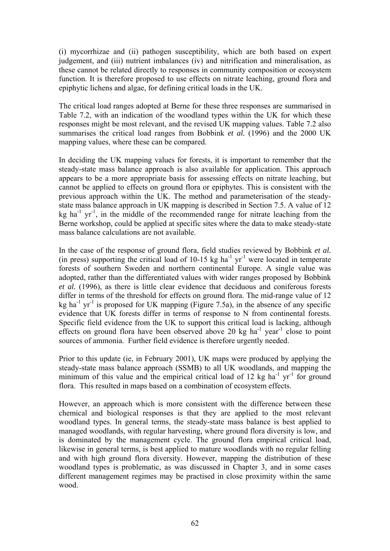(i) mycorrhizae and (ii) pathogen susceptibility, which are both based on expert judgement, and (iii) nutrient imbalances (iv) and nitrification and mineralisation, as these cannot be related directly to responses in community composition or ecosystem function. It is therefore proposed to use effects on nitrate leaching, ground flora and epiphytic lichens and algae, for defining critical loads in the UK.

The critical load ranges adopted at Berne for these three responses are summarised in Table 7.2, with an indication of the woodland types within the UK for which these responses might be most relevant, and the revised UK mapping values. Table 7.2 also summarises the critical load ranges from Bobbink *et al.* (1996) and the 2000 UK mapping values, where these can be compared.

In deciding the UK mapping values for forests, it is important to remember that the steady-state mass balance approach is also available for application. This approach appears to be a more appropriate basis for assessing effects on nitrate leaching, but cannot be applied to effects on ground flora or epiphytes. This is consistent with the previous approach within the UK. The method and parameterisation of the steadystate mass balance approach in UK mapping is described in Section 7.5. A value of 12  $kg$  ha<sup>-1</sup> yr<sup>-1</sup>, in the middle of the recommended range for nitrate leaching from the Berne workshop, could be applied at specific sites where the data to make steady-state mass balance calculations are not available.

In the case of the response of ground flora, field studies reviewed by Bobbink *et al.* (in press) supporting the critical load of  $10-15$  kg ha<sup>-1</sup> yr<sup>-1</sup> were located in temperate forests of southern Sweden and northern continental Europe. A single value was adopted, rather than the differentiated values with wider ranges proposed by Bobbink *et al.* (1996), as there is little clear evidence that deciduous and coniferous forests differ in terms of the threshold for effects on ground flora. The mid-range value of 12 kg ha<sup>-1</sup> yr<sup>-1</sup> is proposed for UK mapping (Figure 7.5a), in the absence of any specific evidence that UK forests differ in terms of response to N from continental forests. Specific field evidence from the UK to support this critical load is lacking, although effects on ground flora have been observed above 20 kg ha<sup>-1</sup> year<sup>-1</sup> close to point sources of ammonia. Further field evidence is therefore urgently needed.

Prior to this update (ie, in February 2001), UK maps were produced by applying the steady-state mass balance approach (SSMB) to all UK woodlands, and mapping the minimum of this value and the empirical critical load of 12 kg ha<sup>-1</sup> yr<sup>-1</sup> for ground flora. This resulted in maps based on a combination of ecosystem effects.

However, an approach which is more consistent with the difference between these chemical and biological responses is that they are applied to the most relevant woodland types. In general terms, the steady-state mass balance is best applied to managed woodlands, with regular harvesting, where ground flora diversity is low, and is dominated by the management cycle. The ground flora empirical critical load, likewise in general terms, is best applied to mature woodlands with no regular felling and with high ground flora diversity. However, mapping the distribution of these woodland types is problematic, as was discussed in Chapter 3, and in some cases different management regimes may be practised in close proximity within the same wood.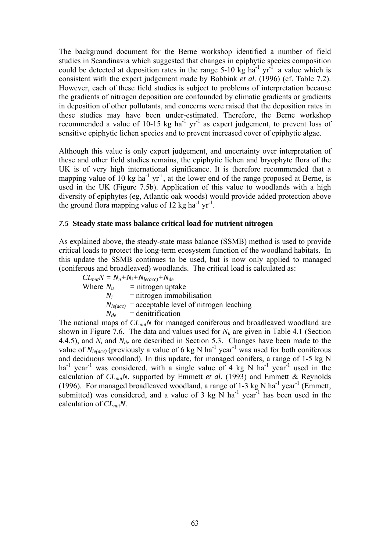The background document for the Berne workshop identified a number of field studies in Scandinavia which suggested that changes in epiphytic species composition could be detected at deposition rates in the range  $5-10 \text{ kg ha}^{-1} \text{ yr}^{-1}$  a value which is consistent with the expert judgement made by Bobbink *et al.* (1996) (cf. Table 7.2). However, each of these field studies is subject to problems of interpretation because the gradients of nitrogen deposition are confounded by climatic gradients or gradients in deposition of other pollutants, and concerns were raised that the deposition rates in these studies may have been under-estimated. Therefore, the Berne workshop recommended a value of 10-15 kg ha<sup>-1</sup> yr<sup>-1</sup> as expert judgement, to prevent loss of sensitive epiphytic lichen species and to prevent increased cover of epiphytic algae.

Although this value is only expert judgement, and uncertainty over interpretation of these and other field studies remains, the epiphytic lichen and bryophyte flora of the UK is of very high international significance. It is therefore recommended that a mapping value of 10 kg ha<sup>-1</sup> yr<sup>-1</sup>, at the lower end of the range proposed at Berne, is used in the UK (Figure 7.5b). Application of this value to woodlands with a high diversity of epiphytes (eg, Atlantic oak woods) would provide added protection above the ground flora mapping value of 12 kg ha<sup>-1</sup> yr<sup>-1</sup>.

#### *7.5* **Steady state mass balance critical load for nutrient nitrogen**

As explained above, the steady-state mass balance (SSMB) method is used to provide critical loads to protect the long-term ecosystem function of the woodland habitats. In this update the SSMB continues to be used, but is now only applied to managed (coniferous and broadleaved) woodlands. The critical load is calculated as:

 $CL_{nut}N = N_u + N_i + N_{le(acc)} + N_{de}$ <br>Where  $N_u$  = nitrogen up = nitrogen uptake  $N_i$  = nitrogen immobilisation  $N_{le(acc)}$  = acceptable level of nitrogen leaching  $N_{de}$  = denitrification

The national maps of  $CL_{nuf}N$  for managed coniferous and broadleaved woodland are shown in Figure 7.6. The data and values used for  $N_u$  are given in Table 4.1 (Section 4.4.5), and  $N_i$  and  $N_{de}$  are described in Section 5.3. Changes have been made to the value of  $N_{leq(acc)}$  (previously a value of 6 kg N ha<sup>-1</sup> year<sup>-1</sup> was used for both coniferous and deciduous woodland). In this update, for managed conifers, a range of 1-5 kg N ha<sup>-1</sup> year<sup>-1</sup> was considered, with a single value of 4 kg N ha<sup>-1</sup> year<sup>-1</sup> used in the calculation of  $CL_{nuf}N$ , supported by Emmett *et al.* (1993) and Emmett & Reynolds (1996). For managed broadleaved woodland, a range of  $1-3$  kg N ha<sup>-1</sup> year<sup>-1</sup> (Emmett, submitted) was considered, and a value of  $3 \text{ kg N}$  ha<sup>-1</sup> year<sup>-1</sup> has been used in the calculation of *CLnutN*.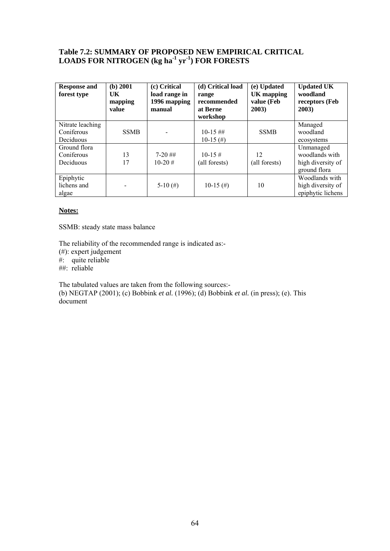## **Table 7.2: SUMMARY OF PROPOSED NEW EMPIRICAL CRITICAL LOADS FOR NITROGEN (kg ha-1 yr-1) FOR FORESTS**

| <b>Response and</b><br>forest type | (b) 2001<br>UK<br>mapping<br>value | (c) Critical<br>load range in<br>1996 mapping<br>manual | (d) Critical load<br>range<br>recommended<br>at Berne<br>workshop | (e) Updated<br><b>UK</b> mapping<br>value (Feb<br>2003) | <b>Updated UK</b><br>woodland<br>receptors (Feb<br>2003) |
|------------------------------------|------------------------------------|---------------------------------------------------------|-------------------------------------------------------------------|---------------------------------------------------------|----------------------------------------------------------|
| Nitrate leaching                   |                                    |                                                         |                                                                   |                                                         | Managed                                                  |
| Coniferous                         | <b>SSMB</b>                        |                                                         | $10-15$ ##                                                        | <b>SSMB</b>                                             | woodland                                                 |
| Deciduous                          |                                    |                                                         | $10-15$ (#)                                                       |                                                         | ecosystems                                               |
| Ground flora                       |                                    |                                                         |                                                                   |                                                         | Unmanaged                                                |
| Coniferous                         | 13                                 | $7-20$ ##                                               | $10-15 \#$                                                        | 12                                                      | woodlands with                                           |
| Deciduous                          | 17                                 | $10-20 \#$                                              | (all forests)                                                     | (all forests)                                           | high diversity of                                        |
|                                    |                                    |                                                         |                                                                   |                                                         | ground flora                                             |
| Epiphytic                          |                                    |                                                         |                                                                   |                                                         | Woodlands with                                           |
| lichens and                        |                                    | 5-10 $(\#)$                                             | $10-15$ (#)                                                       | 10                                                      | high diversity of                                        |
| algae                              |                                    |                                                         |                                                                   |                                                         | epiphytic lichens                                        |

#### **Notes:**

SSMB: steady state mass balance

The reliability of the recommended range is indicated as:-

- (#): expert judgement
- #: quite reliable
- ##: reliable

The tabulated values are taken from the following sources:-

(b) NEGTAP (2001); (c) Bobbink *et al.* (1996); (d) Bobbink *et al.* (in press); (e). This document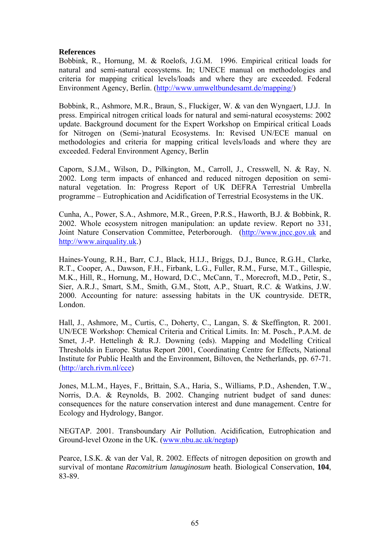## **References**

Bobbink, R., Hornung, M. & Roelofs, J.G.M. 1996. Empirical critical loads for natural and semi-natural ecosystems. In; UNECE manual on methodologies and criteria for mapping critical levels/loads and where they are exceeded. Federal Environment Agency, Berlin. ([http://www.umweltbundesamt.de/mapping/\)](http://www.umweltbundesamt.de/mapping/)

Bobbink, R., Ashmore, M.R., Braun, S., Fluckiger, W. & van den Wyngaert, I.J.J. In press. Empirical nitrogen critical loads for natural and semi-natural ecosystems: 2002 update. Background document for the Expert Workshop on Empirical critical Loads for Nitrogen on (Semi-)natural Ecosystems. In: Revised UN/ECE manual on methodologies and criteria for mapping critical levels/loads and where they are exceeded. Federal Environment Agency, Berlin

Caporn, S.J.M., Wilson, D., Pilkington, M., Carroll, J., Cresswell, N. & Ray, N. 2002. Long term impacts of enhanced and reduced nitrogen deposition on seminatural vegetation. In: Progress Report of UK DEFRA Terrestrial Umbrella programme – Eutrophication and Acidification of Terrestrial Ecosystems in the UK.

Cunha, A., Power, S.A., Ashmore, M.R., Green, P.R.S., Haworth, B.J. & Bobbink, R. 2002. Whole ecosystem nitrogen manipulation: an update review. Report no 331, Joint Nature Conservation Committee, Peterborough. [\(http://www.jncc.gov.uk](http://www.jncc.gov.uk/) and [http://www.airquality.uk.](http://www.airquality.uk/))

Haines-Young, R.H., Barr, C.J., Black, H.I.J., Briggs, D.J., Bunce, R.G.H., Clarke, R.T., Cooper, A., Dawson, F.H., Firbank, L.G., Fuller, R.M., Furse, M.T., Gillespie, M.K., Hill, R., Hornung, M., Howard, D.C., McCann, T., Morecroft, M.D., Petir, S., Sier, A.R.J., Smart, S.M., Smith, G.M., Stott, A.P., Stuart, R.C. & Watkins, J.W. 2000. Accounting for nature: assessing habitats in the UK countryside. DETR, London.

Hall, J., Ashmore, M., Curtis, C., Doherty, C., Langan, S. & Skeffington, R. 2001. UN/ECE Workshop: Chemical Criteria and Critical Limits. In: M. Posch., P.A.M. de Smet, J.-P. Hettelingh & R.J. Downing (eds). Mapping and Modelling Critical Thresholds in Europe. Status Report 2001, Coordinating Centre for Effects, National Institute for Public Health and the Environment, Biltoven, the Netherlands, pp. 67-71. ([http://arch.rivm.nl/cce\)](http://arch.rivm.nl/cce)

Jones, M.L.M., Hayes, F., Brittain, S.A., Haria, S., Williams, P.D., Ashenden, T.W., Norris, D.A. & Reynolds, B. 2002. Changing nutrient budget of sand dunes: consequences for the nature conservation interest and dune management. Centre for Ecology and Hydrology, Bangor.

NEGTAP. 2001. Transboundary Air Pollution. Acidification, Eutrophication and Ground-level Ozone in the UK. ([www.nbu.ac.uk/negtap\)](http://www.nbu.ac.uk/negtap)

Pearce, I.S.K. & van der Val, R. 2002. Effects of nitrogen deposition on growth and survival of montane *Racomitrium lanuginosum* heath. Biological Conservation, **104**, 83-89.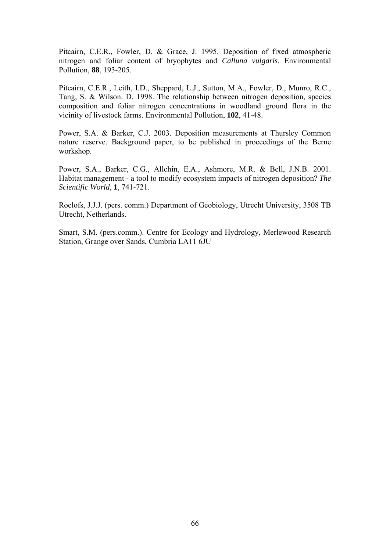Pitcairn, C.E.R., Fowler, D. & Grace, J. 1995. Deposition of fixed atmospheric nitrogen and foliar content of bryophytes and *Calluna vulgaris*. Environmental Pollution, **88**, 193-205.

Pitcairn, C.E.R., Leith, I.D., Sheppard, L.J., Sutton, M.A., Fowler, D., Munro, R.C., Tang, S. & Wilson. D. 1998. The relationship between nitrogen deposition, species composition and foliar nitrogen concentrations in woodland ground flora in the vicinity of livestock farms. Environmental Pollution, **102**, 41-48.

Power, S.A. & Barker, C.J. 2003. Deposition measurements at Thursley Common nature reserve. Background paper, to be published in proceedings of the Berne workshop.

Power, S.A., Barker, C.G., Allchin, E.A., Ashmore, M.R. & Bell, J.N.B. 2001. Habitat management - a tool to modify ecosystem impacts of nitrogen deposition? *The Scientific World*, **1**, 741-721.

Roelofs, J.J.J. (pers. comm.) Department of Geobiology, Utrecht University, 3508 TB Utrecht, Netherlands.

Smart, S.M. (pers.comm.). Centre for Ecology and Hydrology, Merlewood Research Station, Grange over Sands, Cumbria LA11 6JU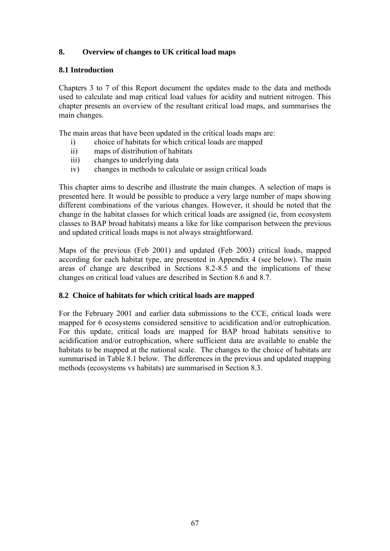## **8. Overview of changes to UK critical load maps**

## **8.1 Introduction**

Chapters 3 to 7 of this Report document the updates made to the data and methods used to calculate and map critical load values for acidity and nutrient nitrogen. This chapter presents an overview of the resultant critical load maps, and summarises the main changes.

The main areas that have been updated in the critical loads maps are:

- i) choice of habitats for which critical loads are mapped
- ii) maps of distribution of habitats
- iii) changes to underlying data
- iv) changes in methods to calculate or assign critical loads

This chapter aims to describe and illustrate the main changes. A selection of maps is presented here. It would be possible to produce a very large number of maps showing different combinations of the various changes. However, it should be noted that the change in the habitat classes for which critical loads are assigned (ie, from ecosystem classes to BAP broad habitats) means a like for like comparison between the previous and updated critical loads maps is not always straightforward.

Maps of the previous (Feb 2001) and updated (Feb 2003) critical loads, mapped according for each habitat type, are presented in Appendix 4 (see below). The main areas of change are described in Sections 8.2-8.5 and the implications of these changes on critical load values are described in Section 8.6 and 8.7.

## **8.2 Choice of habitats for which critical loads are mapped**

For the February 2001 and earlier data submissions to the CCE, critical loads were mapped for 6 ecosystems considered sensitive to acidification and/or eutrophication. For this update, critical loads are mapped for BAP broad habitats sensitive to acidification and/or eutrophication, where sufficient data are available to enable the habitats to be mapped at the national scale. The changes to the choice of habitats are summarised in Table 8.1 below. The differences in the previous and updated mapping methods (ecosystems vs habitats) are summarised in Section 8.3.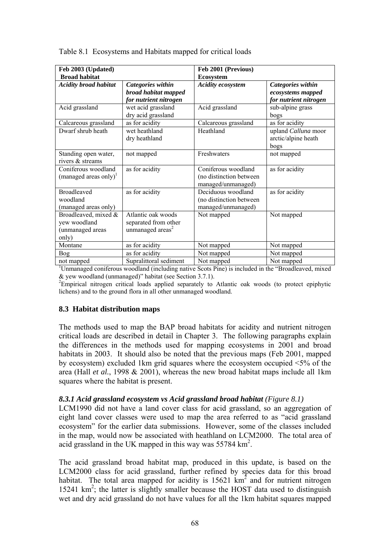| Feb 2003 (Updated)                                                |                                                                            | Feb 2001 (Previous)                                                  |                                                                 |  |
|-------------------------------------------------------------------|----------------------------------------------------------------------------|----------------------------------------------------------------------|-----------------------------------------------------------------|--|
| <b>Broad habitat</b>                                              |                                                                            | <b>Ecosystem</b>                                                     |                                                                 |  |
| <b>Acidity broad habitat</b>                                      | Categories within<br>broad habitat mapped<br>for nutrient nitrogen         | <b>Acidity ecosystem</b>                                             | Categories within<br>ecosystems mapped<br>for nutrient nitrogen |  |
| Acid grassland                                                    | wet acid grassland<br>dry acid grassland                                   | Acid grassland                                                       | sub-alpine grass<br>bogs                                        |  |
| Calcareous grassland                                              | as for acidity                                                             | Calcareous grassland                                                 | as for acidity                                                  |  |
| Dwarf shrub heath                                                 | wet heathland<br>dry heathland                                             | Heathland                                                            | upland Calluna moor<br>arctic/alpine heath<br>bogs              |  |
| Standing open water,<br>rivers & streams                          | not mapped                                                                 | Freshwaters                                                          | not mapped                                                      |  |
| Coniferous woodland<br>(managed areas only) $1$                   | as for acidity                                                             | Coniferous woodland<br>(no distinction between<br>managed/unmanaged) | as for acidity                                                  |  |
| <b>Broadleaved</b><br>woodland<br>(managed areas only)            | as for acidity                                                             | Deciduous woodland<br>(no distinction between<br>managed/unmanaged)  | as for acidity                                                  |  |
| Broadleaved, mixed &<br>yew woodland<br>(unmanaged areas<br>only) | Atlantic oak woods<br>separated from other<br>unmanaged areas <sup>2</sup> | Not mapped                                                           | Not mapped                                                      |  |
| Montane                                                           | as for acidity                                                             | Not mapped                                                           | Not mapped                                                      |  |
| <b>Bog</b>                                                        | as for acidity                                                             | Not mapped                                                           | Not mapped                                                      |  |
| not mapped                                                        | Supralittoral sediment                                                     | Not mapped                                                           | Not mapped                                                      |  |

Table 8.1 Ecosystems and Habitats mapped for critical loads

not mapped Supralittoral sediment Not mapped Not mapped Not mapped<br><sup>1</sup>Unmanaged coniferous woodland (including native Scots Pine) is included in the "Broadleaved, mixed & yew woodland (unmanaged)" habitat (see Section 3.7.1).

<sup>2</sup>Empirical nitrogen critical loads applied separately to Atlantic oak woods (to protect epiphytic lichens) and to the ground flora in all other unmanaged woodland.

### **8.3 Habitat distribution maps**

The methods used to map the BAP broad habitats for acidity and nutrient nitrogen critical loads are described in detail in Chapter 3. The following paragraphs explain the differences in the methods used for mapping ecosystems in 2001 and broad habitats in 2003. It should also be noted that the previous maps (Feb 2001, mapped by ecosystem) excluded 1km grid squares where the ecosystem occupied <5% of the area (Hall *et al.*, 1998 & 2001), whereas the new broad habitat maps include all 1km squares where the habitat is present.

#### *8.3.1 Acid grassland ecosystem vs Acid grassland broad habitat (Figure 8.1)*

LCM1990 did not have a land cover class for acid grassland, so an aggregation of eight land cover classes were used to map the area referred to as "acid grassland ecosystem" for the earlier data submissions. However, some of the classes included in the map, would now be associated with heathland on LCM2000. The total area of acid grassland in the UK mapped in this way was  $55784 \text{ km}^2$ .

The acid grassland broad habitat map, produced in this update, is based on the LCM2000 class for acid grassland, further refined by species data for this broad habitat. The total area mapped for acidity is  $15621 \text{ km}^2$  and for nutrient nitrogen 15241 km<sup>2</sup>; the latter is slightly smaller because the HOST data used to distinguish wet and dry acid grassland do not have values for all the 1km habitat squares mapped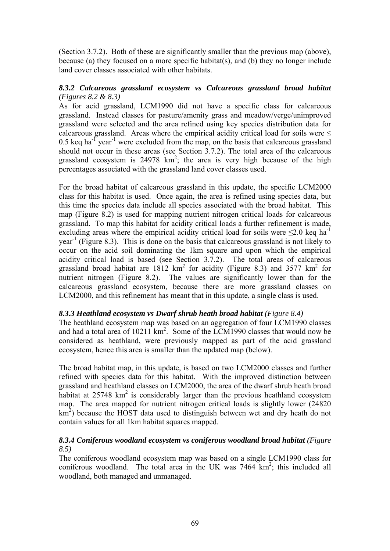(Section 3.7.2). Both of these are significantly smaller than the previous map (above), because (a) they focused on a more specific habitat(s), and (b) they no longer include land cover classes associated with other habitats.

### *8.3.2 Calcareous grassland ecosystem vs Calcareous grassland broad habitat (Figures 8.2 & 8.3)*

As for acid grassland, LCM1990 did not have a specific class for calcareous grassland. Instead classes for pasture/amenity grass and meadow/verge/unimproved grassland were selected and the area refined using key species distribution data for calcareous grassland. Areas where the empirical acidity critical load for soils were  $\leq$  $0.5$  keq ha<sup>-1</sup> year<sup>-1</sup> were excluded from the map, on the basis that calcareous grassland should not occur in these areas (see Section 3.7.2). The total area of the calcareous grassland ecosystem is  $24978 \text{ km}^2$ ; the area is very high because of the high percentages associated with the grassland land cover classes used.

For the broad habitat of calcareous grassland in this update, the specific LCM2000 class for this habitat is used. Once again, the area is refined using species data, but this time the species data include all species associated with the broad habitat. This map (Figure 8.2) is used for mapping nutrient nitrogen critical loads for calcareous grassland. To map this habitat for acidity critical loads a further refinement is made, excluding areas where the empirical acidity critical load for soils were  $\leq 2.0$  keq ha<sup>-1</sup>  $year<sup>-1</sup>$  (Figure 8.3). This is done on the basis that calcareous grassland is not likely to occur on the acid soil dominating the 1km square and upon which the empirical acidity critical load is based (see Section 3.7.2). The total areas of calcareous grassland broad habitat are  $1812 \text{ km}^2$  for acidity (Figure 8.3) and 3577 km<sup>2</sup> for nutrient nitrogen (Figure 8.2). The values are significantly lower than for the calcareous grassland ecosystem, because there are more grassland classes on LCM2000, and this refinement has meant that in this update, a single class is used.

### *8.3.3 Heathland ecosystem vs Dwarf shrub heath broad habitat (Figure 8.4)*

The heathland ecosystem map was based on an aggregation of four LCM1990 classes and had a total area of  $10211 \text{ km}^2$ . Some of the LCM1990 classes that would now be considered as heathland, were previously mapped as part of the acid grassland ecosystem, hence this area is smaller than the updated map (below).

The broad habitat map, in this update, is based on two LCM2000 classes and further refined with species data for this habitat. With the improved distinction between grassland and heathland classes on LCM2000, the area of the dwarf shrub heath broad habitat at  $25748 \text{ km}^2$  is considerably larger than the previous heathland ecosystem map. The area mapped for nutrient nitrogen critical loads is slightly lower (24820  $km<sup>2</sup>$ ) because the HOST data used to distinguish between wet and dry heath do not contain values for all 1km habitat squares mapped.

## *8.3.4 Coniferous woodland ecosystem vs coniferous woodland broad habitat (Figure 8.5)*

The coniferous woodland ecosystem map was based on a single LCM1990 class for coniferous woodland. The total area in the UK was  $7464 \text{ km}^2$ ; this included all woodland, both managed and unmanaged.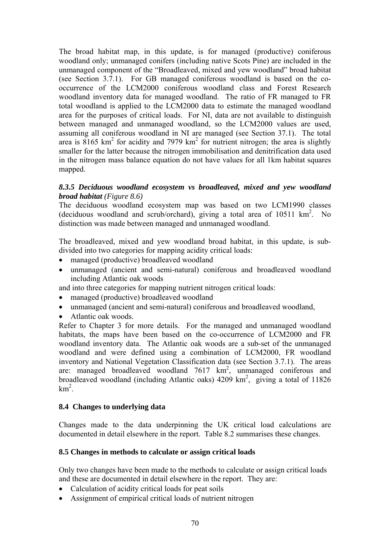The broad habitat map, in this update, is for managed (productive) coniferous woodland only; unmanaged conifers (including native Scots Pine) are included in the unmanaged component of the "Broadleaved, mixed and yew woodland" broad habitat (see Section 3.7.1). For GB managed coniferous woodland is based on the cooccurrence of the LCM2000 coniferous woodland class and Forest Research woodland inventory data for managed woodland. The ratio of FR managed to FR total woodland is applied to the LCM2000 data to estimate the managed woodland area for the purposes of critical loads. For NI, data are not available to distinguish between managed and unmanaged woodland, so the LCM2000 values are used, assuming all coniferous woodland in NI are managed (see Section 37.1). The total area is  $8165 \text{ km}^2$  for acidity and 7979 km<sup>2</sup> for nutrient nitrogen; the area is slightly smaller for the latter because the nitrogen immobilisation and denitrification data used in the nitrogen mass balance equation do not have values for all 1km habitat squares mapped.

## *8.3.5 Deciduous woodland ecosystem vs broadleaved, mixed and yew woodland broad habitat (Figure 8.6)*

The deciduous woodland ecosystem map was based on two LCM1990 classes (deciduous woodland and scrub/orchard), giving a total area of  $10511 \text{ km}^2$ . No distinction was made between managed and unmanaged woodland.

The broadleaved, mixed and yew woodland broad habitat, in this update, is subdivided into two categories for mapping acidity critical loads:

- managed (productive) broadleaved woodland
- unmanaged (ancient and semi-natural) coniferous and broadleaved woodland including Atlantic oak woods

and into three categories for mapping nutrient nitrogen critical loads:

- managed (productive) broadleaved woodland
- unmanaged (ancient and semi-natural) coniferous and broadleaved woodland,
- Atlantic oak woods.

Refer to Chapter 3 for more details. For the managed and unmanaged woodland habitats, the maps have been based on the co-occurrence of LCM2000 and FR woodland inventory data. The Atlantic oak woods are a sub-set of the unmanaged woodland and were defined using a combination of LCM2000, FR woodland inventory and National Vegetation Classification data (see Section 3.7.1). The areas are: managed broadleaved woodland  $7617 \text{ km}^2$ , unmanaged coniferous and broadleaved woodland (including Atlantic oaks)  $4209 \text{ km}^2$ , giving a total of 11826  $km^2$ .

### **8.4 Changes to underlying data**

Changes made to the data underpinning the UK critical load calculations are documented in detail elsewhere in the report. Table 8.2 summarises these changes.

### **8.5 Changes in methods to calculate or assign critical loads**

Only two changes have been made to the methods to calculate or assign critical loads and these are documented in detail elsewhere in the report. They are:

- Calculation of acidity critical loads for peat soils
- Assignment of empirical critical loads of nutrient nitrogen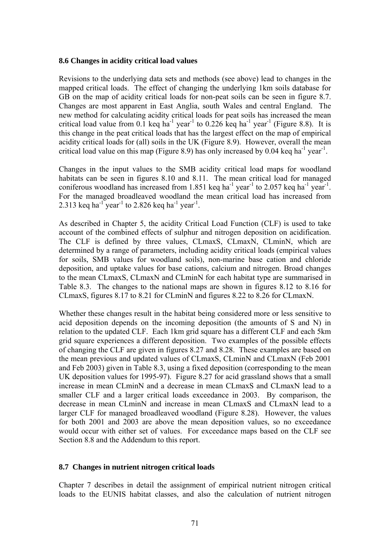#### **8.6 Changes in acidity critical load values**

Revisions to the underlying data sets and methods (see above) lead to changes in the mapped critical loads. The effect of changing the underlying 1km soils database for GB on the map of acidity critical loads for non-peat soils can be seen in figure 8.7. Changes are most apparent in East Anglia, south Wales and central England. The new method for calculating acidity critical loads for peat soils has increased the mean critical load value from  $0.1$  keq ha<sup>-1</sup> year<sup>-1</sup> to  $0.226$  keq ha<sup>-1</sup> year<sup>-1</sup> (Figure 8.8). It is this change in the peat critical loads that has the largest effect on the map of empirical acidity critical loads for (all) soils in the UK (Figure 8.9). However, overall the mean critical load value on this map (Figure 8.9) has only increased by 0.04 keq ha<sup>-1</sup> year<sup>-1</sup>.

Changes in the input values to the SMB acidity critical load maps for woodland habitats can be seen in figures 8.10 and 8.11. The mean critical load for managed coniferous woodland has increased from 1.851 keq ha<sup>-1</sup> year<sup>-1</sup> to 2.057 keq ha<sup>-1</sup> year<sup>-1</sup>. For the managed broadleaved woodland the mean critical load has increased from 2.313 keq ha<sup>-1</sup> year<sup>-1</sup> to 2.826 keq ha<sup>-1</sup> year<sup>-1</sup>.

As described in Chapter 5, the acidity Critical Load Function (CLF) is used to take account of the combined effects of sulphur and nitrogen deposition on acidification. The CLF is defined by three values, CLmaxS, CLmaxN, CLminN, which are determined by a range of parameters, including acidity critical loads (empirical values for soils, SMB values for woodland soils), non-marine base cation and chloride deposition, and uptake values for base cations, calcium and nitrogen. Broad changes to the mean CLmaxS, CLmaxN and CLminN for each habitat type are summarised in Table 8.3. The changes to the national maps are shown in figures 8.12 to 8.16 for CLmaxS, figures 8.17 to 8.21 for CLminN and figures 8.22 to 8.26 for CLmaxN.

Whether these changes result in the habitat being considered more or less sensitive to acid deposition depends on the incoming deposition (the amounts of S and N) in relation to the updated CLF. Each 1km grid square has a different CLF and each 5km grid square experiences a different deposition. Two examples of the possible effects of changing the CLF are given in figures 8.27 and 8.28. These examples are based on the mean previous and updated values of CLmaxS, CLminN and CLmaxN (Feb 2001 and Feb 2003) given in Table 8.3, using a fixed deposition (corresponding to the mean UK deposition values for 1995-97). Figure 8.27 for acid grassland shows that a small increase in mean CLminN and a decrease in mean CLmaxS and CLmaxN lead to a smaller CLF and a larger critical loads exceedance in 2003. By comparison, the decrease in mean CLminN and increase in mean CLmaxS and CLmaxN lead to a larger CLF for managed broadleaved woodland (Figure 8.28). However, the values for both 2001 and 2003 are above the mean deposition values, so no exceedance would occur with either set of values. For exceedance maps based on the CLF see Section 8.8 and the Addendum to this report.

### **8.7 Changes in nutrient nitrogen critical loads**

Chapter 7 describes in detail the assignment of empirical nutrient nitrogen critical loads to the EUNIS habitat classes, and also the calculation of nutrient nitrogen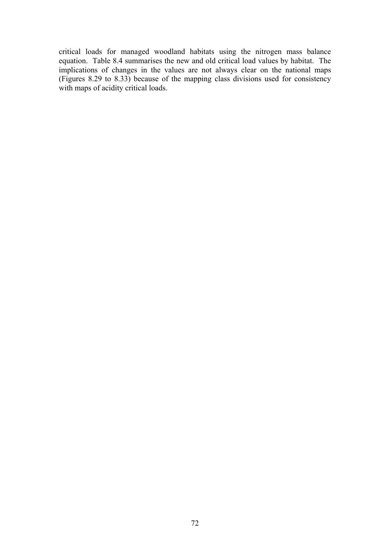critical loads for managed woodland habitats using the nitrogen mass balance equation. Table 8.4 summarises the new and old critical load values by habitat. The implications of changes in the values are not always clear on the national maps (Figures 8.29 to 8.33) because of the mapping class divisions used for consistency with maps of acidity critical loads.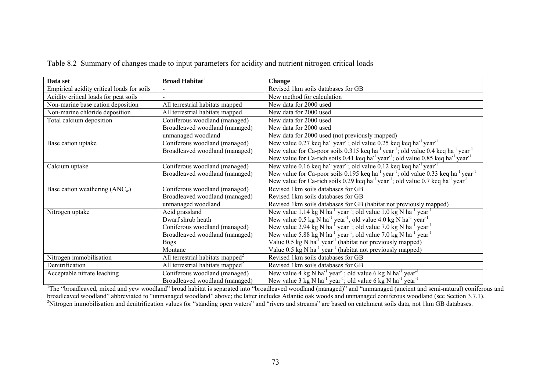| Data set                                   | <b>Broad Habitat</b>                         | <b>Change</b>                                                                                                                      |  |  |
|--------------------------------------------|----------------------------------------------|------------------------------------------------------------------------------------------------------------------------------------|--|--|
| Empirical acidity critical loads for soils |                                              | Revised 1km soils databases for GB                                                                                                 |  |  |
| Acidity critical loads for peat soils      |                                              | New method for calculation                                                                                                         |  |  |
| Non-marine base cation deposition          | All terrestrial habitats mapped              | New data for 2000 used                                                                                                             |  |  |
| Non-marine chloride deposition             | All terrestrial habitats mapped              | New data for 2000 used                                                                                                             |  |  |
| Total calcium deposition                   | Coniferous woodland (managed)                | New data for 2000 used                                                                                                             |  |  |
|                                            | Broadleaved woodland (managed)               | New data for 2000 used                                                                                                             |  |  |
|                                            | unmanaged woodland                           | New data for 2000 used (not previously mapped)                                                                                     |  |  |
| Base cation uptake                         | Coniferous woodland (managed)                | New value 0.27 keq ha <sup>-1</sup> year <sup>-1</sup> ; old value 0.25 keq keq ha <sup>-1</sup> year <sup>-1</sup>                |  |  |
|                                            | Broadleaved woodland (managed)               | New value for Ca-poor soils 0.315 keq ha <sup>-1</sup> year <sup>-1</sup> ; old value 0.4 keq ha <sup>-1</sup> year <sup>-1</sup>  |  |  |
|                                            |                                              | New value for Ca-rich soils 0.41 keq ha <sup>-1</sup> year <sup>-1</sup> ; old value 0.85 keq ha <sup>-1</sup> year <sup>-1</sup>  |  |  |
| Calcium uptake                             | Coniferous woodland (managed)                | New value 0.16 keq ha <sup>-1</sup> year <sup>-1</sup> ; old value 0.12 keq keq ha <sup>-1</sup> year <sup>-1</sup>                |  |  |
|                                            | Broadleaved woodland (managed)               | New value for Ca-poor soils 0.195 keq ha <sup>-1</sup> year <sup>-1</sup> ; old value 0.33 keq ha <sup>-1</sup> year <sup>-1</sup> |  |  |
|                                            |                                              | New value for Ca-rich soils 0.29 keq ha <sup>-1</sup> year <sup>-1</sup> ; old value 0.7 keq ha <sup>-1</sup> year <sup>-1</sup>   |  |  |
| Base cation weathering $(ANCw)$            | Coniferous woodland (managed)                | Revised 1km soils databases for GB                                                                                                 |  |  |
|                                            | Broadleaved woodland (managed)               | Revised 1km soils databases for GB                                                                                                 |  |  |
|                                            | unmanaged woodland                           | Revised 1km soils databases for GB (habitat not previously mapped)                                                                 |  |  |
| Nitrogen uptake                            | Acid grassland                               | New value 1.14 kg N ha <sup>-1</sup> year <sup>-1</sup> ; old value 1.0 kg N ha <sup>-1</sup> year <sup>-1</sup>                   |  |  |
|                                            | Dwarf shrub heath                            | New value 0.5 kg N ha <sup>-1</sup> year <sup>-1</sup> , old value 4.0 kg N ha <sup>-1</sup> year <sup>-1</sup>                    |  |  |
|                                            | Coniferous woodland (managed)                | New value 2.94 kg N ha <sup>-1</sup> year <sup>-1</sup> ; old value 7.0 kg N ha <sup>-1</sup> year <sup>-1</sup>                   |  |  |
|                                            | Broadleaved woodland (managed)               | New value 5.88 kg N ha <sup>-1</sup> year <sup>-1</sup> ; old value 7.0 kg N ha <sup>-1</sup> year <sup>-1</sup>                   |  |  |
|                                            | <b>Bogs</b>                                  | Value 0.5 kg N ha <sup>-1</sup> year <sup>-1</sup> (habitat not previously mapped)                                                 |  |  |
|                                            | Montane                                      | Value $0.5 \text{ kg N} \text{ ha}^{-1} \text{ year}^{-1}$ (habitat not previously mapped)                                         |  |  |
| Nitrogen immobilisation                    | All terrestrial habitats mapped $^2$         | Revised 1km soils databases for GB                                                                                                 |  |  |
| Denitrification                            | All terrestrial habitats mapped <sup>2</sup> | Revised 1km soils databases for GB                                                                                                 |  |  |
| Acceptable nitrate leaching                | Coniferous woodland (managed)                | New value 4 kg N ha <sup>-1</sup> year <sup>-1</sup> ; old value 6 kg N ha <sup>-1</sup> year <sup>-1</sup>                        |  |  |
|                                            | Broadleaved woodland (managed)               | New value 3 kg N ha <sup>-1</sup> year <sup>-1</sup> ; old value 6 kg N ha <sup>-1</sup> year <sup>-1</sup>                        |  |  |

Table 8.2 Summary of changes made to input parameters for acidity and nutrient nitrogen critical loads

<sup>1</sup>The "broadleaved, mixed and yew woodland" broad habitat is separated into "broadleaved woodland (managed)" and "unmanaged (ancient and semi-natural) coniferous and broadleaved woodland" abbreviated to "unmanaged woodland" above; the latter includes Atlantic oak woods and unmanaged coniferous woodland (see Section 3.7.1).<br><sup>2</sup>Nitrogen immobilisation and denitrification values for "stan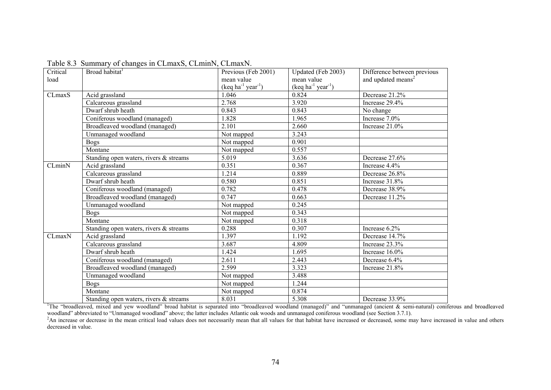| Critical | $\cdots$ $\cdots$ $\cdots$ $\cdots$ $\cdots$ $\cdots$ $\cdots$ $\cdots$<br>Broad habitat <sup>1</sup> | Previous (Feb 2001)                      | Updated (Feb 2003)                       | Difference between previous    |  |
|----------|-------------------------------------------------------------------------------------------------------|------------------------------------------|------------------------------------------|--------------------------------|--|
| load     |                                                                                                       | mean value                               | mean value                               | and updated means <sup>2</sup> |  |
|          |                                                                                                       | $(\text{keq ha}^{-1} \text{ year}^{-1})$ | $(\text{keq ha}^{-1} \text{ year}^{-1})$ |                                |  |
| CLmaxS   | Acid grassland                                                                                        | 1.046                                    | 0.824                                    | Decrease 21.2%                 |  |
|          | Calcareous grassland                                                                                  | 2.768                                    | 3.920                                    | Increase 29.4%                 |  |
|          | Dwarf shrub heath                                                                                     | 0.843                                    | 0.843                                    | No change                      |  |
|          | Coniferous woodland (managed)                                                                         | 1.828                                    | 1.965                                    | Increase 7.0%                  |  |
|          | Broadleaved woodland (managed)                                                                        | 2.101                                    | 2.660                                    | Increase 21.0%                 |  |
|          | Unmanaged woodland                                                                                    | Not mapped                               | 3.243                                    |                                |  |
|          | <b>Bogs</b>                                                                                           | Not mapped                               | 0.901                                    |                                |  |
|          | Montane                                                                                               | Not mapped                               | 0.557                                    |                                |  |
|          | Standing open waters, rivers & streams                                                                | 5.019                                    | 3.636                                    | Decrease 27.6%                 |  |
| CLminN   | Acid grassland                                                                                        | 0.351                                    | 0.367                                    | Increase 4.4%                  |  |
|          | Calcareous grassland                                                                                  | 1.214                                    | 0.889                                    | Decrease 26.8%                 |  |
|          | Dwarf shrub heath                                                                                     | 0.580                                    | 0.851                                    | Increase 31.8%                 |  |
|          | Coniferous woodland (managed)                                                                         | 0.782                                    | 0.478                                    | Decrease 38.9%                 |  |
|          | Broadleaved woodland (managed)                                                                        | 0.747                                    | 0.663                                    | Decrease 11.2%                 |  |
|          | Unmanaged woodland                                                                                    | Not mapped                               | 0.245                                    |                                |  |
|          | <b>Bogs</b>                                                                                           | Not mapped                               | 0.343                                    |                                |  |
|          | Montane                                                                                               | Not mapped                               | 0.318                                    |                                |  |
|          | Standing open waters, rivers & streams                                                                | 0.288                                    | 0.307                                    | Increase $6.2\%$               |  |
| CLmaxN   | Acid grassland                                                                                        | 1.397                                    | 1.192                                    | Decrease 14.7%                 |  |
|          | Calcareous grassland                                                                                  | 3.687                                    | 4.809                                    | Increase 23.3%                 |  |
|          | Dwarf shrub heath                                                                                     | 1.424                                    | 1.695                                    | Increase 16.0%                 |  |
|          | Coniferous woodland (managed)                                                                         | 2.611                                    | 2.443                                    | Decrease 6.4%                  |  |
|          | Broadleaved woodland (managed)                                                                        | 2.599                                    | 3.323                                    | Increase 21.8%                 |  |
|          | Unmanaged woodland                                                                                    | Not mapped                               | 3.488                                    |                                |  |
|          | <b>Bogs</b>                                                                                           | Not mapped                               | 1.244                                    |                                |  |
|          | Montane                                                                                               | Not mapped                               | 0.874                                    |                                |  |
|          | Standing open waters, rivers & streams                                                                | 8.031                                    | 5.308                                    | Decrease 33.9%                 |  |

Table 8.3 Summary of changes in CLmaxS, CLminN, CLmaxN.

The "broadleaved, mixed and yew woodland" broad habitat is separated into "broadleaved woodland (managed)" and "unmanaged (ancient & semi-natural) coniferous and broadleaved<br>woodland" abbreviated to "Unmanaged woodland" ab

<sup>2</sup>An increase or decrease in the mean critical load values does not necessarily mean that all values for that habitat have increased or decreased, some may have increased in value and others decreased in value.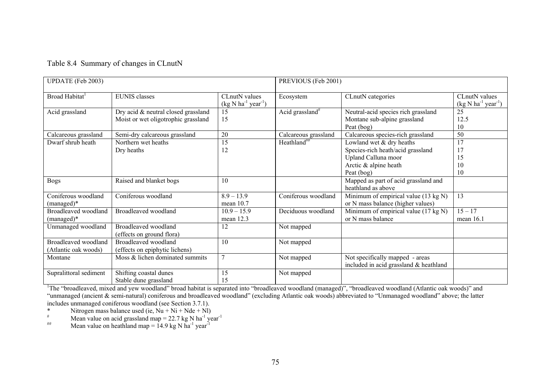|  | Table 8.4 Summary of changes in CLnutN |  |
|--|----------------------------------------|--|
|--|----------------------------------------|--|

| <b>UPDATE</b> (Feb 2003)                                                                                                                                                 |                                                                            |                                       | PREVIOUS (Feb 2001)         |                                                                                   |                                               |  |
|--------------------------------------------------------------------------------------------------------------------------------------------------------------------------|----------------------------------------------------------------------------|---------------------------------------|-----------------------------|-----------------------------------------------------------------------------------|-----------------------------------------------|--|
| Broad Habitat <sup>1</sup>                                                                                                                                               | <b>EUNIS</b> classes                                                       | CLnutN values<br>$(kg N ha-1 year-1)$ | Ecosystem                   | CLnutN categories                                                                 | CL nut N values<br>$(kg N ha^{-1} year^{-1})$ |  |
| Acid grassland                                                                                                                                                           | Dry acid & neutral closed grassland<br>Moist or wet oligotrophic grassland |                                       | Acid grassland <sup>#</sup> | Neutral-acid species rich grassland<br>Montane sub-alpine grassland<br>Peat (bog) | 25<br>12.5<br>10                              |  |
| Calcareous grassland                                                                                                                                                     | Semi-dry calcareous grassland                                              |                                       | Calcareous grassland        | Calcareous species-rich grassland                                                 | 50                                            |  |
| Dwarf shrub heath                                                                                                                                                        | Northern wet heaths                                                        | 15                                    | Heathland <sup>##</sup>     | Lowland wet & dry heaths                                                          | 17                                            |  |
|                                                                                                                                                                          | Dry heaths                                                                 | 12                                    |                             | Species-rich heath/acid grassland                                                 |                                               |  |
|                                                                                                                                                                          |                                                                            |                                       |                             | Upland Calluna moor                                                               | 15                                            |  |
|                                                                                                                                                                          |                                                                            |                                       |                             | Arctic & alpine heath                                                             | 10                                            |  |
|                                                                                                                                                                          |                                                                            |                                       |                             | Peat (bog)                                                                        | 10                                            |  |
| <b>Bogs</b>                                                                                                                                                              | Raised and blanket bogs                                                    | 10                                    |                             | Mapped as part of acid grassland and<br>heathland as above                        |                                               |  |
| Coniferous woodland                                                                                                                                                      | Coniferous woodland                                                        | $8.9 - 13.9$                          | Coniferous woodland         | Minimum of empirical value (13 kg N)                                              | 13                                            |  |
| $(managed)*$                                                                                                                                                             |                                                                            | mean $10.7$                           |                             | or N mass balance (higher values)                                                 |                                               |  |
| Broadleaved woodland                                                                                                                                                     | Broadleaved woodland                                                       | $10.9 - 15.9$                         | Deciduous woodland          | Minimum of empirical value (17 kg N)                                              | $15 - 17$                                     |  |
| $(managed)*$                                                                                                                                                             |                                                                            | mean 12.3                             |                             | or N mass balance                                                                 | mean 16.1                                     |  |
| Unmanaged woodland                                                                                                                                                       | Broadleaved woodland                                                       | 12                                    | Not mapped                  |                                                                                   |                                               |  |
|                                                                                                                                                                          | (effects on ground flora)                                                  |                                       |                             |                                                                                   |                                               |  |
| Broadleaved woodland                                                                                                                                                     | Broadleaved woodland                                                       | 10                                    | Not mapped                  |                                                                                   |                                               |  |
| (Atlantic oak woods)                                                                                                                                                     | (effects on epiphytic lichens)                                             |                                       |                             |                                                                                   |                                               |  |
| Montane                                                                                                                                                                  | Moss & lichen dominated summits                                            | $\overline{7}$                        | Not mapped                  | Not specifically mapped - areas                                                   |                                               |  |
|                                                                                                                                                                          |                                                                            |                                       |                             | included in acid grassland & heathland                                            |                                               |  |
| Supralittoral sediment                                                                                                                                                   | Shifting coastal dunes                                                     | 15                                    | Not mapped                  |                                                                                   |                                               |  |
|                                                                                                                                                                          | Stable dune grassland                                                      | 15                                    |                             |                                                                                   |                                               |  |
| <sup>1</sup> The "broadleaved, mixed and yew woodland" broad habitat is separated into "broadleaved woodland (managed)", "broadleaved woodland (Atlantic oak woods)" and |                                                                            |                                       |                             |                                                                                   |                                               |  |

"unmanaged (ancient & semi-natural) coniferous and broadleaved woodland" (excluding Atlantic oak woods) abbreviated to "Unmanaged woodland" above; the latter includes unmanaged coniferous woodland (see Section 3.7.1).<br>\* Nitrogen mass balance used (ie Nu + Ni + Nde + Nl

\* Nitrogen mass balance used (ie,  $\overline{Nu}$  + Ni + Nde + Nl)<br>  $*$  Mean value on acid grassland man = 22.7 kg N ba<sup>-1</sup> va

<sup>#</sup> Mean value on acid grassland map = 22.7 kg N ha<sup>-1</sup> year<sup>-1</sup>

<sup>##</sup> Mean value on heathland map =  $14.9 \text{ kg N} \text{ ha}^{-1} \text{ year}^{-1}$